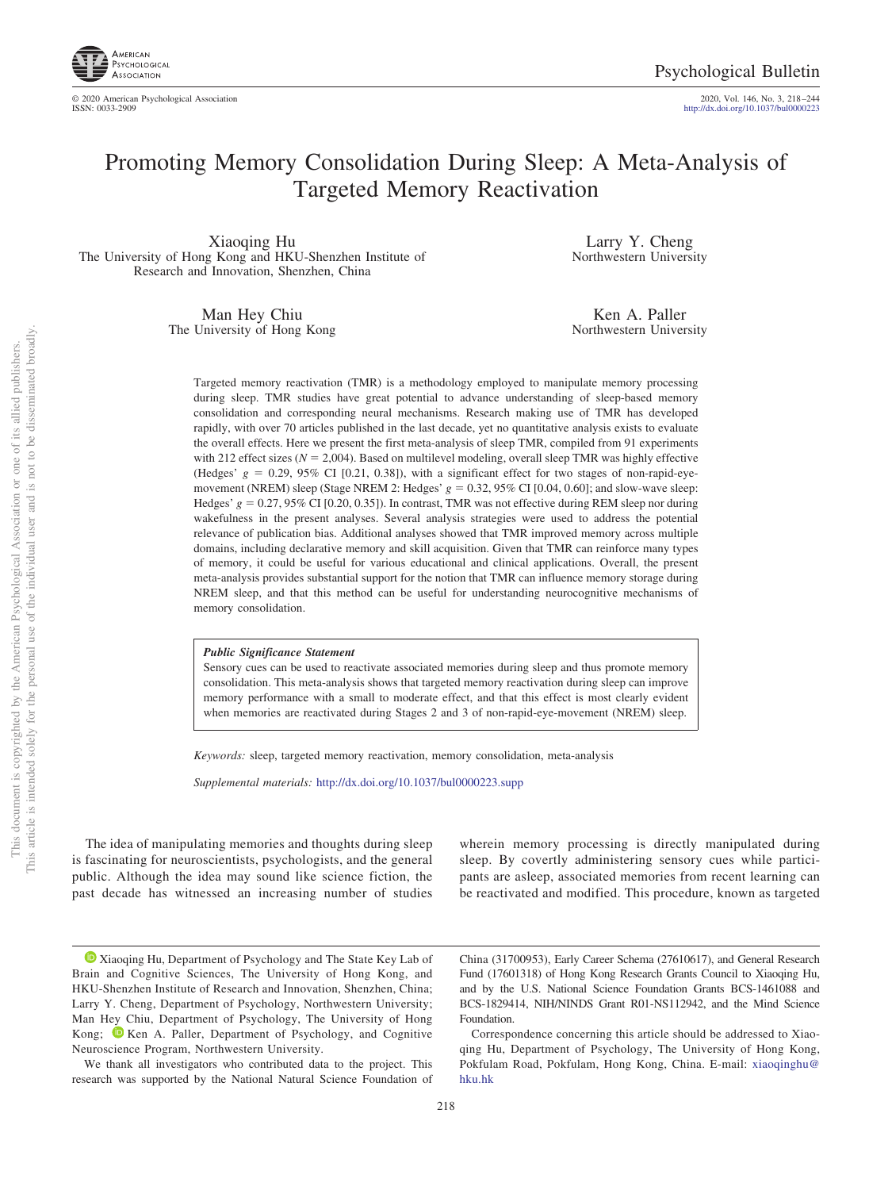

2020, Vol. 146, No. 3, 218-244<br>http://dx.doi.org[/10.1037/bul0000223](http://dx.doi.org/10.1037/bul0000223)

# Promoting Memory Consolidation During Sleep: A Meta-Analysis of Targeted Memory Reactivation

Xiaoqing Hu The University of Hong Kong and HKU-Shenzhen Institute of Research and Innovation, Shenzhen, China

> Man Hey Chiu The University of Hong Kong

Larry Y. Cheng Northwestern University

Ken A. Paller Northwestern University

Targeted memory reactivation (TMR) is a methodology employed to manipulate memory processing during sleep. TMR studies have great potential to advance understanding of sleep-based memory consolidation and corresponding neural mechanisms. Research making use of TMR has developed rapidly, with over 70 articles published in the last decade, yet no quantitative analysis exists to evaluate the overall effects. Here we present the first meta-analysis of sleep TMR, compiled from 91 experiments with 212 effect sizes ( $N = 2,004$ ). Based on multilevel modeling, overall sleep TMR was highly effective (Hedges'  $g = 0.29$ , 95% CI [0.21, 0.38]), with a significant effect for two stages of non-rapid-eyemovement (NREM) sleep (Stage NREM 2: Hedges'  $g = 0.32, 95\%$  CI [0.04, 0.60]; and slow-wave sleep: Hedges'  $g = 0.27, 95\%$  CI [0.20, 0.35]). In contrast, TMR was not effective during REM sleep nor during wakefulness in the present analyses. Several analysis strategies were used to address the potential relevance of publication bias. Additional analyses showed that TMR improved memory across multiple domains, including declarative memory and skill acquisition. Given that TMR can reinforce many types of memory, it could be useful for various educational and clinical applications. Overall, the present meta-analysis provides substantial support for the notion that TMR can influence memory storage during NREM sleep, and that this method can be useful for understanding neurocognitive mechanisms of memory consolidation.

#### *Public Significance Statement*

Sensory cues can be used to reactivate associated memories during sleep and thus promote memory consolidation. This meta-analysis shows that targeted memory reactivation during sleep can improve memory performance with a small to moderate effect, and that this effect is most clearly evident when memories are reactivated during Stages 2 and 3 of non-rapid-eye-movement (NREM) sleep.

*Keywords:* sleep, targeted memory reactivation, memory consolidation, meta-analysis

*Supplemental materials:* http://dx.doi.org/10.1037/bul0000223.supp

The idea of manipulating memories and thoughts during sleep is fascinating for neuroscientists, psychologists, and the general public. Although the idea may sound like science fiction, the past decade has witnessed an increasing number of studies

wherein memory processing is directly manipulated during sleep. By covertly administering sensory cues while participants are asleep, associated memories from recent learning can be reactivated and modified. This procedure, known as targeted

We thank all investigators who contributed data to the project. This research was supported by the National Natural Science Foundation of

China (31700953), Early Career Schema (27610617), and General Research Fund (17601318) of Hong Kong Research Grants Council to Xiaoqing Hu, and by the U.S. National Science Foundation Grants BCS-1461088 and BCS-1829414, NIH/NINDS Grant R01-NS112942, and the Mind Science Foundation.

Correspondence concerning this article should be addressed to Xiaoqing Hu, Department of Psychology, The University of Hong Kong, Pokfulam Road, Pokfulam, Hong Kong, China. E-mail: [xiaoqinghu@](mailto:xiaoqinghu@hku.hk) [hku.hk](mailto:xiaoqinghu@hku.hk)

[Xiaoqing Hu,](https://orcid.org/0000-0001-8112-9700) Department of Psychology and The State Key Lab of Brain and Cognitive Sciences, The University of Hong Kong, and HKU-Shenzhen Institute of Research and Innovation, Shenzhen, China; Larry Y. Cheng, Department of Psychology, Northwestern University; Man Hey Chiu, Department of Psychology, The University of Hong Kong; Exen A. Paller, Department of Psychology, and Cognitive Neuroscience Program, Northwestern University.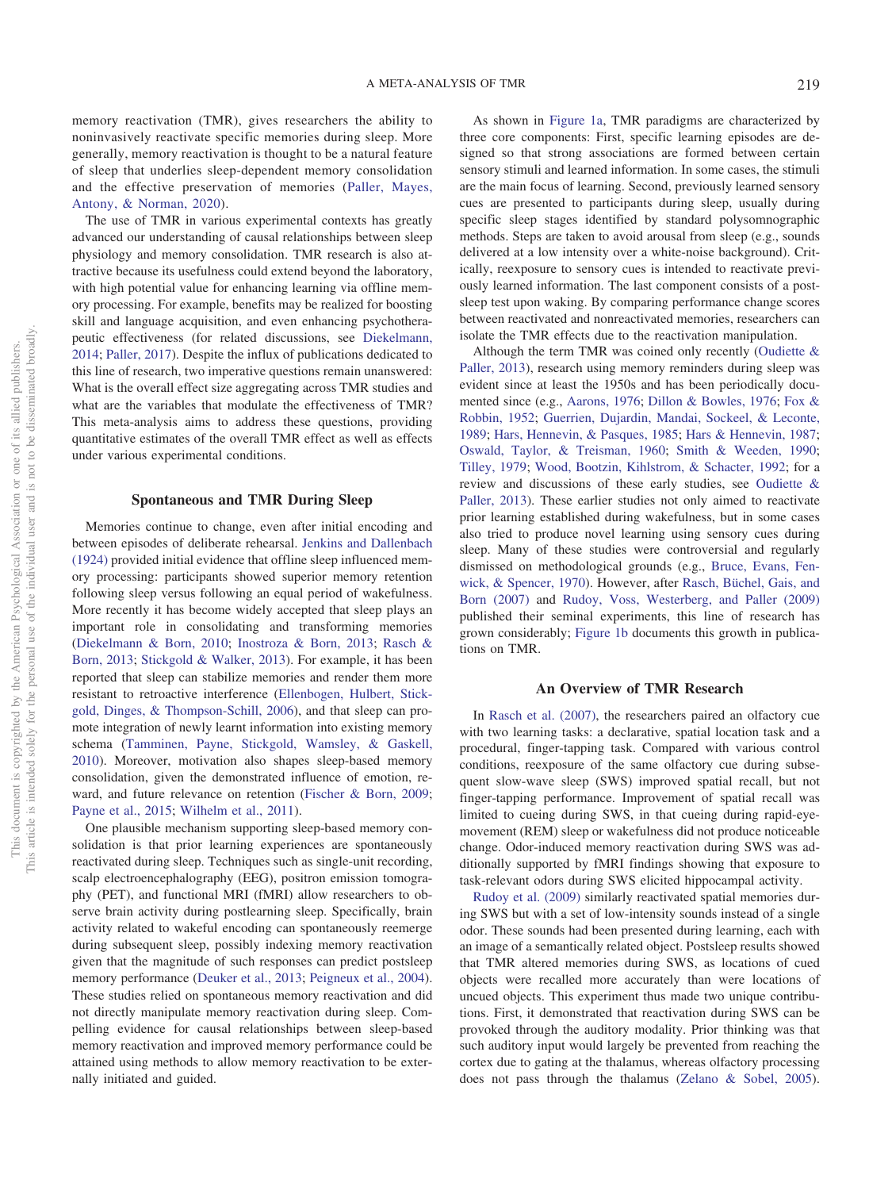memory reactivation (TMR), gives researchers the ability to noninvasively reactivate specific memories during sleep. More generally, memory reactivation is thought to be a natural feature of sleep that underlies sleep-dependent memory consolidation and the effective preservation of memories [\(Paller, Mayes,](#page-24-0) [Antony, & Norman, 2020\)](#page-24-0).

The use of TMR in various experimental contexts has greatly advanced our understanding of causal relationships between sleep physiology and memory consolidation. TMR research is also attractive because its usefulness could extend beyond the laboratory, with high potential value for enhancing learning via offline memory processing. For example, benefits may be realized for boosting skill and language acquisition, and even enhancing psychotherapeutic effectiveness (for related discussions, see [Diekelmann,](#page-22-0) [2014;](#page-22-0) [Paller, 2017\)](#page-24-1). Despite the influx of publications dedicated to this line of research, two imperative questions remain unanswered: What is the overall effect size aggregating across TMR studies and what are the variables that modulate the effectiveness of TMR? This meta-analysis aims to address these questions, providing quantitative estimates of the overall TMR effect as well as effects under various experimental conditions.

# **Spontaneous and TMR During Sleep**

Memories continue to change, even after initial encoding and between episodes of deliberate rehearsal. [Jenkins and Dallenbach](#page-24-2) [\(1924\)](#page-24-2) provided initial evidence that offline sleep influenced memory processing: participants showed superior memory retention following sleep versus following an equal period of wakefulness. More recently it has become widely accepted that sleep plays an important role in consolidating and transforming memories [\(Diekelmann & Born, 2010;](#page-22-1) [Inostroza & Born, 2013;](#page-24-3) [Rasch &](#page-25-0) [Born, 2013;](#page-25-0) [Stickgold & Walker, 2013\)](#page-25-1). For example, it has been reported that sleep can stabilize memories and render them more resistant to retroactive interference [\(Ellenbogen, Hulbert, Stick](#page-23-0)[gold, Dinges, & Thompson-Schill, 2006\)](#page-23-0), and that sleep can promote integration of newly learnt information into existing memory schema [\(Tamminen, Payne, Stickgold, Wamsley, & Gaskell,](#page-26-0) [2010\)](#page-26-0). Moreover, motivation also shapes sleep-based memory consolidation, given the demonstrated influence of emotion, reward, and future relevance on retention [\(Fischer & Born, 2009;](#page-23-1) [Payne et al., 2015;](#page-24-4) [Wilhelm et al., 2011\)](#page-26-1).

One plausible mechanism supporting sleep-based memory consolidation is that prior learning experiences are spontaneously reactivated during sleep. Techniques such as single-unit recording, scalp electroencephalography (EEG), positron emission tomography (PET), and functional MRI (fMRI) allow researchers to observe brain activity during postlearning sleep. Specifically, brain activity related to wakeful encoding can spontaneously reemerge during subsequent sleep, possibly indexing memory reactivation given that the magnitude of such responses can predict postsleep memory performance [\(Deuker et al., 2013;](#page-22-2) [Peigneux et al., 2004\)](#page-24-5). These studies relied on spontaneous memory reactivation and did not directly manipulate memory reactivation during sleep. Compelling evidence for causal relationships between sleep-based memory reactivation and improved memory performance could be attained using methods to allow memory reactivation to be externally initiated and guided.

As shown in [Figure 1a,](#page-2-0) TMR paradigms are characterized by three core components: First, specific learning episodes are designed so that strong associations are formed between certain sensory stimuli and learned information. In some cases, the stimuli are the main focus of learning. Second, previously learned sensory cues are presented to participants during sleep, usually during specific sleep stages identified by standard polysomnographic methods. Steps are taken to avoid arousal from sleep (e.g., sounds delivered at a low intensity over a white-noise background). Critically, reexposure to sensory cues is intended to reactivate previously learned information. The last component consists of a postsleep test upon waking. By comparing performance change scores between reactivated and nonreactivated memories, researchers can isolate the TMR effects due to the reactivation manipulation.

Although the term TMR was coined only recently [\(Oudiette &](#page-24-6) [Paller, 2013\)](#page-24-6), research using memory reminders during sleep was evident since at least the 1950s and has been periodically documented since (e.g., [Aarons, 1976;](#page-21-0) [Dillon & Bowles, 1976;](#page-23-2) [Fox &](#page-23-3) [Robbin, 1952;](#page-23-3) [Guerrien, Dujardin, Mandai, Sockeel, & Leconte,](#page-23-4) [1989;](#page-23-4) [Hars, Hennevin, & Pasques, 1985;](#page-23-5) [Hars & Hennevin, 1987;](#page-23-6) [Oswald, Taylor, & Treisman, 1960;](#page-24-7) [Smith & Weeden, 1990;](#page-25-2) [Tilley, 1979;](#page-26-2) [Wood, Bootzin, Kihlstrom, & Schacter, 1992;](#page-26-3) for a review and discussions of these early studies, see [Oudiette &](#page-24-6) [Paller, 2013\)](#page-24-6). These earlier studies not only aimed to reactivate prior learning established during wakefulness, but in some cases also tried to produce novel learning using sensory cues during sleep. Many of these studies were controversial and regularly dismissed on methodological grounds (e.g., [Bruce, Evans, Fen](#page-22-3)[wick, & Spencer, 1970\)](#page-22-3). However, after [Rasch, Büchel, Gais, and](#page-25-3) [Born \(2007\)](#page-25-3) and [Rudoy, Voss, Westerberg, and Paller \(2009\)](#page-25-4) published their seminal experiments, this line of research has grown considerably; [Figure 1b](#page-2-0) documents this growth in publications on TMR.

## **An Overview of TMR Research**

In [Rasch et al. \(2007\),](#page-25-3) the researchers paired an olfactory cue with two learning tasks: a declarative, spatial location task and a procedural, finger-tapping task. Compared with various control conditions, reexposure of the same olfactory cue during subsequent slow-wave sleep (SWS) improved spatial recall, but not finger-tapping performance. Improvement of spatial recall was limited to cueing during SWS, in that cueing during rapid-eyemovement (REM) sleep or wakefulness did not produce noticeable change. Odor-induced memory reactivation during SWS was additionally supported by fMRI findings showing that exposure to task-relevant odors during SWS elicited hippocampal activity.

[Rudoy et al. \(2009\)](#page-25-4) similarly reactivated spatial memories during SWS but with a set of low-intensity sounds instead of a single odor. These sounds had been presented during learning, each with an image of a semantically related object. Postsleep results showed that TMR altered memories during SWS, as locations of cued objects were recalled more accurately than were locations of uncued objects. This experiment thus made two unique contributions. First, it demonstrated that reactivation during SWS can be provoked through the auditory modality. Prior thinking was that such auditory input would largely be prevented from reaching the cortex due to gating at the thalamus, whereas olfactory processing does not pass through the thalamus [\(Zelano & Sobel, 2005\)](#page-26-4).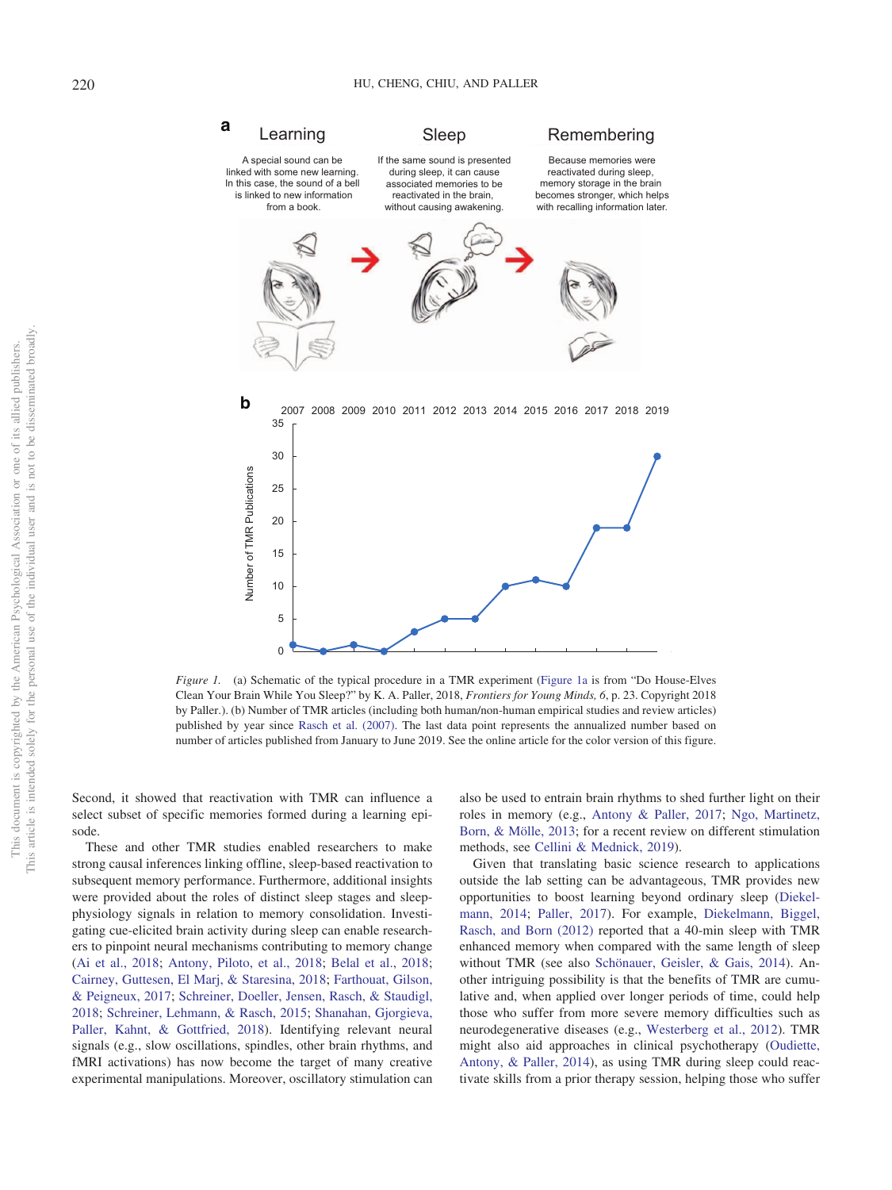

<span id="page-2-0"></span>*Figure 1.* (a) Schematic of the typical procedure in a TMR experiment [\(Figure 1a](#page-2-0) is from "Do House-Elves") Clean Your Brain While You Sleep?" by K. A. Paller, 2018, *Frontiers for Young Minds, 6*, p. 23. Copyright 2018 by Paller.). (b) Number of TMR articles (including both human/non-human empirical studies and review articles) published by year since [Rasch et al. \(2007\).](#page-25-3) The last data point represents the annualized number based on number of articles published from January to June 2019. See the online article for the color version of this figure.

Second, it showed that reactivation with TMR can influence a select subset of specific memories formed during a learning episode.

These and other TMR studies enabled researchers to make strong causal inferences linking offline, sleep-based reactivation to subsequent memory performance. Furthermore, additional insights were provided about the roles of distinct sleep stages and sleepphysiology signals in relation to memory consolidation. Investigating cue-elicited brain activity during sleep can enable researchers to pinpoint neural mechanisms contributing to memory change [\(Ai et al., 2018;](#page-21-1) [Antony, Piloto, et al., 2018;](#page-21-2) [Belal et al., 2018;](#page-22-4) [Cairney, Guttesen, El Marj, & Staresina, 2018;](#page-22-5) [Farthouat, Gilson,](#page-23-7) [& Peigneux, 2017;](#page-23-7) [Schreiner, Doeller, Jensen, Rasch, & Staudigl,](#page-25-5) [2018;](#page-25-5) [Schreiner, Lehmann, & Rasch, 2015;](#page-25-6) [Shanahan, Gjorgieva,](#page-25-7) [Paller, Kahnt, & Gottfried, 2018\)](#page-25-7). Identifying relevant neural signals (e.g., slow oscillations, spindles, other brain rhythms, and fMRI activations) has now become the target of many creative experimental manipulations. Moreover, oscillatory stimulation can

also be used to entrain brain rhythms to shed further light on their roles in memory (e.g., [Antony & Paller, 2017;](#page-21-3) [Ngo, Martinetz,](#page-24-8) [Born, & Mölle, 2013;](#page-24-8) for a recent review on different stimulation methods, see [Cellini & Mednick, 2019\)](#page-22-6).

Given that translating basic science research to applications outside the lab setting can be advantageous, TMR provides new opportunities to boost learning beyond ordinary sleep [\(Diekel](#page-22-0)[mann, 2014;](#page-22-0) [Paller, 2017\)](#page-24-1). For example, [Diekelmann, Biggel,](#page-22-7) [Rasch, and Born \(2012\)](#page-22-7) reported that a 40-min sleep with TMR enhanced memory when compared with the same length of sleep without TMR (see also [Schönauer, Geisler, & Gais, 2014\)](#page-25-8). Another intriguing possibility is that the benefits of TMR are cumulative and, when applied over longer periods of time, could help those who suffer from more severe memory difficulties such as neurodegenerative diseases (e.g., [Westerberg et al., 2012\)](#page-26-5). TMR might also aid approaches in clinical psychotherapy [\(Oudiette,](#page-24-9) [Antony, & Paller, 2014\)](#page-24-9), as using TMR during sleep could reactivate skills from a prior therapy session, helping those who suffer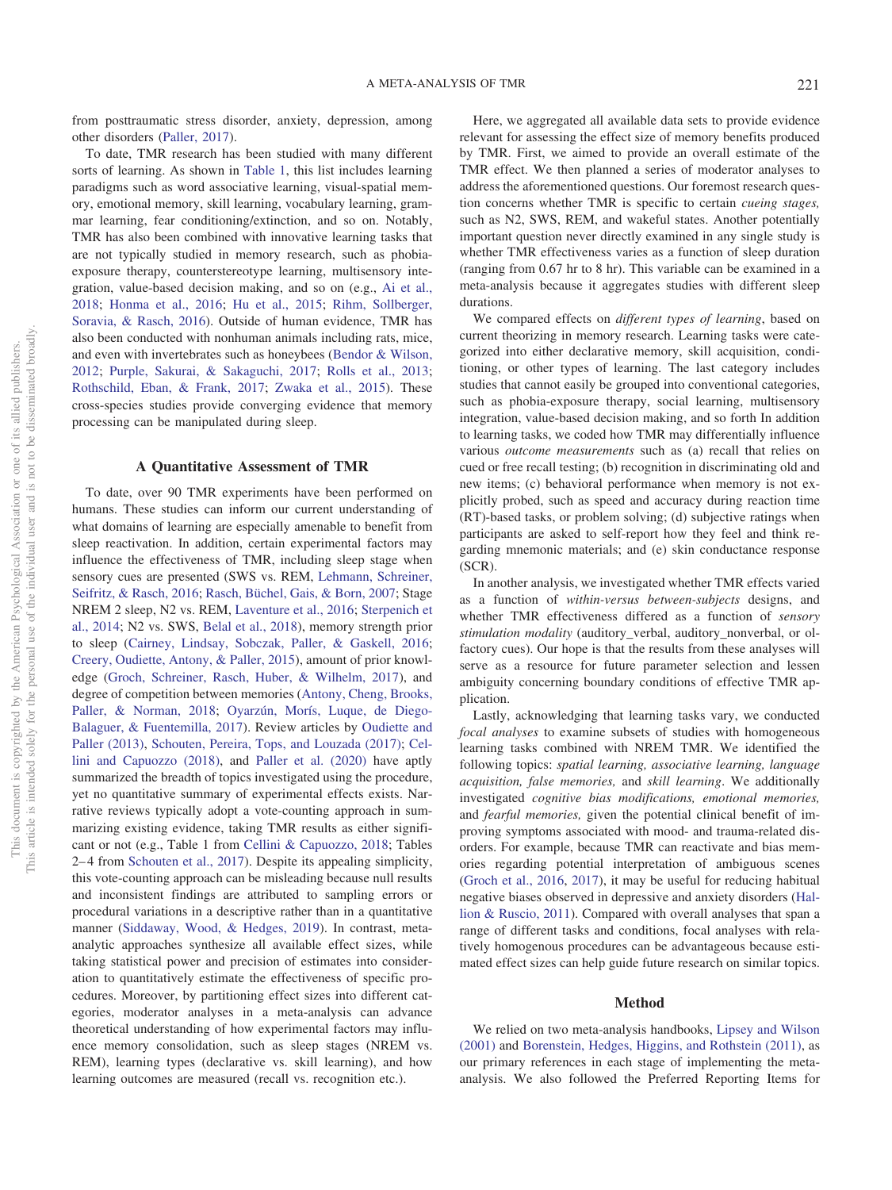from posttraumatic stress disorder, anxiety, depression, among other disorders [\(Paller, 2017\)](#page-24-1).

To date, TMR research has been studied with many different sorts of learning. As shown in [Table 1,](#page-4-0) this list includes learning paradigms such as word associative learning, visual-spatial memory, emotional memory, skill learning, vocabulary learning, grammar learning, fear conditioning/extinction, and so on. Notably, TMR has also been combined with innovative learning tasks that are not typically studied in memory research, such as phobiaexposure therapy, counterstereotype learning, multisensory integration, value-based decision making, and so on (e.g., [Ai et al.,](#page-21-1) [2018;](#page-21-1) [Honma et al., 2016;](#page-24-10) [Hu et al., 2015;](#page-24-11) [Rihm, Sollberger,](#page-25-9) [Soravia, & Rasch, 2016\)](#page-25-9). Outside of human evidence, TMR has also been conducted with nonhuman animals including rats, mice, and even with invertebrates such as honeybees [\(Bendor & Wilson,](#page-22-8) [2012;](#page-22-8) [Purple, Sakurai, & Sakaguchi, 2017;](#page-25-10) [Rolls et al., 2013;](#page-25-11) [Rothschild, Eban, & Frank, 2017;](#page-25-12) [Zwaka et al., 2015\)](#page-26-6). These cross-species studies provide converging evidence that memory processing can be manipulated during sleep.

#### **A Quantitative Assessment of TMR**

To date, over 90 TMR experiments have been performed on humans. These studies can inform our current understanding of what domains of learning are especially amenable to benefit from sleep reactivation. In addition, certain experimental factors may influence the effectiveness of TMR, including sleep stage when sensory cues are presented (SWS vs. REM, [Lehmann, Schreiner,](#page-24-12) [Seifritz, & Rasch, 2016;](#page-24-12) [Rasch, Büchel, Gais, & Born, 2007;](#page-25-3) Stage NREM 2 sleep, N2 vs. REM, [Laventure et al., 2016;](#page-24-13) [Sterpenich et](#page-25-13) [al., 2014;](#page-25-13) N2 vs. SWS, [Belal et al., 2018\)](#page-22-4), memory strength prior to sleep [\(Cairney, Lindsay, Sobczak, Paller, & Gaskell, 2016;](#page-22-9) [Creery, Oudiette, Antony, & Paller, 2015\)](#page-22-10), amount of prior knowledge [\(Groch, Schreiner, Rasch, Huber, & Wilhelm, 2017\)](#page-23-8), and degree of competition between memories [\(Antony, Cheng, Brooks,](#page-21-4) [Paller, & Norman, 2018;](#page-21-4) [Oyarzún, Morís, Luque, de Diego-](#page-24-14)[Balaguer, & Fuentemilla, 2017\)](#page-24-14). Review articles by [Oudiette and](#page-24-6) [Paller \(2013\),](#page-24-6) [Schouten, Pereira, Tops, and Louzada \(2017\);](#page-25-14) [Cel](#page-22-11)[lini and Capuozzo \(2018\),](#page-22-11) and [Paller et al. \(2020\)](#page-24-0) have aptly summarized the breadth of topics investigated using the procedure, yet no quantitative summary of experimental effects exists. Narrative reviews typically adopt a vote-counting approach in summarizing existing evidence, taking TMR results as either significant or not (e.g., Table 1 from [Cellini & Capuozzo, 2018;](#page-22-11) Tables 2– 4 from [Schouten et al., 2017\)](#page-25-14). Despite its appealing simplicity, this vote-counting approach can be misleading because null results and inconsistent findings are attributed to sampling errors or procedural variations in a descriptive rather than in a quantitative manner [\(Siddaway, Wood, & Hedges, 2019\)](#page-25-15). In contrast, metaanalytic approaches synthesize all available effect sizes, while taking statistical power and precision of estimates into consideration to quantitatively estimate the effectiveness of specific procedures. Moreover, by partitioning effect sizes into different categories, moderator analyses in a meta-analysis can advance theoretical understanding of how experimental factors may influence memory consolidation, such as sleep stages (NREM vs. REM), learning types (declarative vs. skill learning), and how learning outcomes are measured (recall vs. recognition etc.).

Here, we aggregated all available data sets to provide evidence relevant for assessing the effect size of memory benefits produced by TMR. First, we aimed to provide an overall estimate of the TMR effect. We then planned a series of moderator analyses to address the aforementioned questions. Our foremost research question concerns whether TMR is specific to certain *cueing stages,* such as N2, SWS, REM, and wakeful states. Another potentially important question never directly examined in any single study is whether TMR effectiveness varies as a function of sleep duration (ranging from 0.67 hr to 8 hr). This variable can be examined in a meta-analysis because it aggregates studies with different sleep durations.

We compared effects on *different types of learning*, based on current theorizing in memory research. Learning tasks were categorized into either declarative memory, skill acquisition, conditioning, or other types of learning. The last category includes studies that cannot easily be grouped into conventional categories, such as phobia-exposure therapy, social learning, multisensory integration, value-based decision making, and so forth In addition to learning tasks, we coded how TMR may differentially influence various *outcome measurements* such as (a) recall that relies on cued or free recall testing; (b) recognition in discriminating old and new items; (c) behavioral performance when memory is not explicitly probed, such as speed and accuracy during reaction time (RT)-based tasks, or problem solving; (d) subjective ratings when participants are asked to self-report how they feel and think regarding mnemonic materials; and (e) skin conductance response (SCR).

In another analysis, we investigated whether TMR effects varied as a function of *within-versus between-subjects* designs, and whether TMR effectiveness differed as a function of *sensory stimulation modality* (auditory\_verbal, auditory\_nonverbal, or olfactory cues). Our hope is that the results from these analyses will serve as a resource for future parameter selection and lessen ambiguity concerning boundary conditions of effective TMR application.

Lastly, acknowledging that learning tasks vary, we conducted *focal analyses* to examine subsets of studies with homogeneous learning tasks combined with NREM TMR. We identified the following topics: *spatial learning, associative learning, language acquisition, false memories,* and *skill learning*. We additionally investigated *cognitive bias modifications, emotional memories,* and *fearful memories,* given the potential clinical benefit of improving symptoms associated with mood- and trauma-related disorders. For example, because TMR can reactivate and bias memories regarding potential interpretation of ambiguous scenes [\(Groch et al., 2016,](#page-23-9) [2017\)](#page-23-10), it may be useful for reducing habitual negative biases observed in depressive and anxiety disorders [\(Hal](#page-23-11)[lion & Ruscio, 2011\)](#page-23-11). Compared with overall analyses that span a range of different tasks and conditions, focal analyses with relatively homogenous procedures can be advantageous because estimated effect sizes can help guide future research on similar topics.

#### **Method**

We relied on two meta-analysis handbooks, [Lipsey and Wilson](#page-24-15) [\(2001\)](#page-24-15) and [Borenstein, Hedges, Higgins, and Rothstein \(2011\),](#page-22-12) as our primary references in each stage of implementing the metaanalysis. We also followed the Preferred Reporting Items for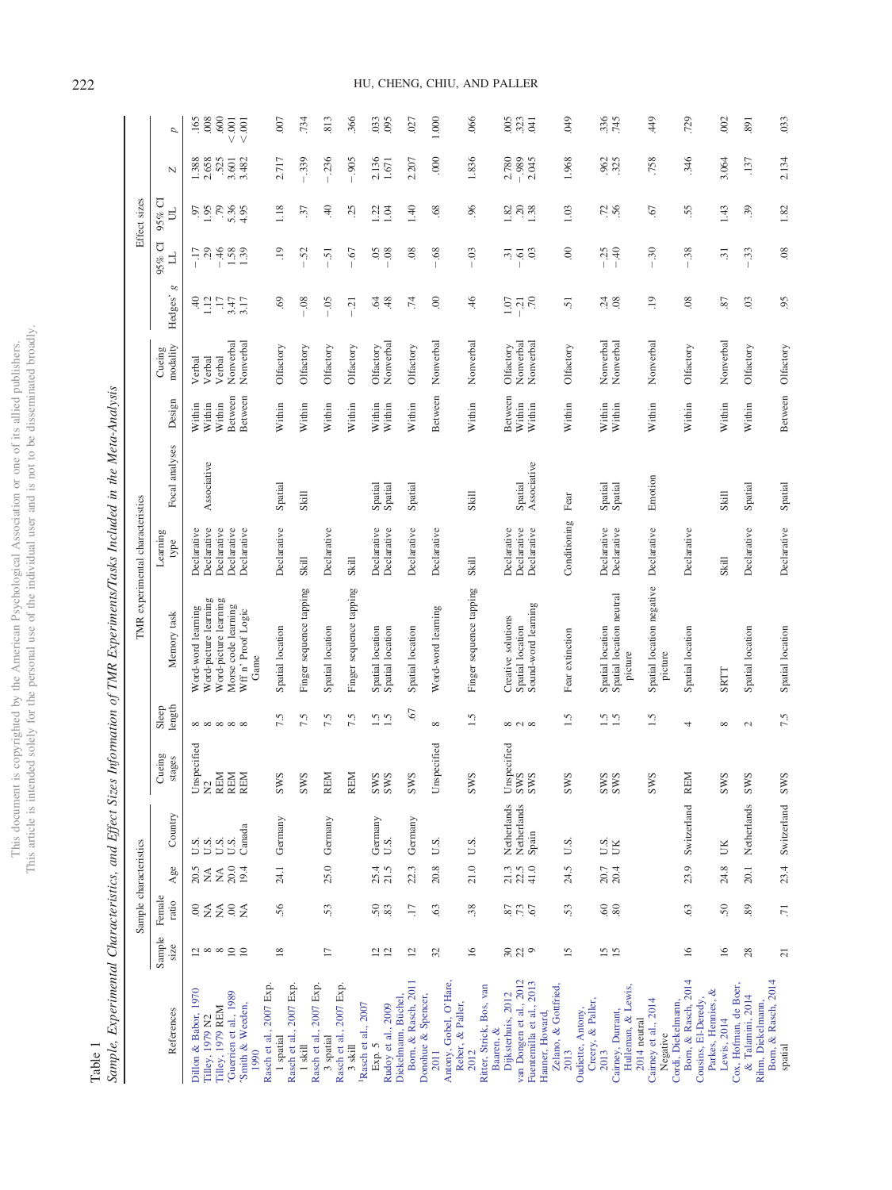| $\frac{1}{2}$<br>á.<br>Ś<br>ļ<br>$\frac{1}{2}$                      | ्र<br>i<br>ţ       |
|---------------------------------------------------------------------|--------------------|
|                                                                     | j                  |
| j<br>J.<br>I<br>į<br>l                                              |                    |
| j                                                                   |                    |
|                                                                     | į                  |
| J<br>Ű.<br>ì<br>í.<br>ł<br>3<br>ł<br>í<br>j<br>ţ<br>$\frac{1}{100}$ | í<br>hus<br>i<br>۰ |

<span id="page-4-0"></span>Table 1<br>Sample, Experimental Characteristics, and Effect Sizes Information of TMR Experiments/Tasks Included in the Meta-Analysis Sample, Experimental Characteristics, and Effect Sizes Information of TMR Experiments/Tasks Included in the Meta-Analysis

|                                                                  |                         | Sample characteristics |                  |                                    |                         |                          |                                                   | TMR experimental characteristics |                    |                            |                        |                         |                    | Effect sizes                              |                |                    |
|------------------------------------------------------------------|-------------------------|------------------------|------------------|------------------------------------|-------------------------|--------------------------|---------------------------------------------------|----------------------------------|--------------------|----------------------------|------------------------|-------------------------|--------------------|-------------------------------------------|----------------|--------------------|
| References                                                       | Sample<br>size          | Female<br>ratio        | $_{\rm Age}$     | $\operatorname{Country}$           | Cueing<br>stages        | Sleep<br>length          | Memory task                                       | Learning<br>type                 | Focal analyses     | Design                     | modality<br>Cueing     | g<br>Hedges'            | 95% CI<br>」        | $95\%$ C<br>E                             | $\overline{N}$ | d                  |
| Dillon & Babor, 1970<br>Filley, 1979 N2                          | $\overline{a}$ $\infty$ | $\frac{8}{2}$          | 20.5<br>NA       | $\frac{0}{1}$ S.                   | Unspecified $N2$        |                          | Word-picture learning<br>Word-word learning       | Declarative<br>Declarative       | Associative        | Within<br>Within           | Verbal<br>Verbal       | $^{40}_{1.12}$          | $-17$<br>29        | 60.1                                      | 2.658<br>1.388 | $\frac{165}{008}$  |
| Filley, 1979 REM                                                 |                         | $\tilde{z}$            | $\lessapprox$    | $\mathop{\mathrm{U}}\nolimits$ .5. | <b>REM</b>              |                          | Word-picture learning                             | Declarative                      |                    | Within                     | Verbal                 | $\ddot{=}$              | $-46$              | .79                                       | 525            | .600               |
| Guerrien et al., 1989<br>Smith & Weeden,<br>1990                 | $\frac{\infty}{10}$     | $\frac{8}{2}$          | 20.0<br>19.4     | Canada                             | REM<br>REM              | ∞∞∞∞∞                    | Morse code learning<br>Wff n' Proof Logic<br>Game | Declarative<br>Declarative       |                    | <b>B</b> etween<br>Between | Nonverbal<br>Nonverbal | 3.47<br>3.17            | 1.58               | 5.36<br>4.95                              | 3.482<br>3.601 | $<0.001$<br>001    |
| Rasch et al., 2007 Exp.                                          |                         |                        |                  |                                    |                         |                          |                                                   |                                  |                    |                            |                        |                         |                    |                                           |                |                    |
| Rasch et al., 2007 Exp.<br>1 spatial                             | $\overline{18}$         | 56                     | 24.1             | Germany                            | S<br>$_{\rm{sw}}$       | 7.5                      | Spatial location                                  | Declarative                      | Spatial            | Within                     | Olfactory              | $\ddot{\circ}$          | .19                | 1.18                                      | 2.717          | 007                |
| Rasch et al., 2007 Exp.<br>$1$ skill                             |                         |                        |                  |                                    | Š<br><b>SW</b>          | 7.5                      | Finger sequence tapping                           | Skill                            | Skill              | Within                     | Olfactory              | $-0.08$                 | 52                 | 37                                        | .339           | .734               |
| 3 spatial                                                        | $\Box$                  | 53                     | 25.0             | Germany                            | <b>REM</b>              | 7.5                      | Spatial location                                  | Declarative                      |                    | Within                     | Olfactory              | $-0.5$                  | $-51$              | 40                                        | .236           | .813               |
| Rasch et al., 2007 Exp.<br>$3$ skill                             |                         |                        |                  |                                    | <b>REM</b>              | 7.5                      | Finger sequence tapping                           | Skill                            |                    | Within                     | Olfactory              | $-21$                   | 67                 | 25                                        | .905           | .366               |
| Rudoy et al., 2009<br>Rasch et al., 2007<br>Exp. 5               | $12$ $2$                | 50,83                  | 25.4<br>21.5     | Germany<br>U.S.                    | ΩΩ<br>$_{\rm SN}$<br>χW | $\frac{15}{15}$          | Spatial location<br>Spatial location              | Declarative<br>Declarative       | Spatial<br>Spatial | Within<br>Within           | Nonverbal<br>Olfactory | 48<br>$\hat{A}$         | 08<br>65           | 1.22<br>1.04                              | 2.136<br>1.671 | .033<br>.095       |
| Born, & Rasch, 2011<br>Diekelmann, Büchel,                       | 12                      | $\overline{17}$        | 22.3             | Germany                            | Š<br><b>SW</b>          | $\overline{6}$           | Spatial location                                  | Declarative                      | Spatial            | Within                     | Olfactory              | $\overline{74}$         | 08                 | 1.40                                      | 2.207          | .027               |
| Donohue & Spencer,<br>2011                                       | 32                      | 63                     | $20.8$           | U.S.                               | Unspecified             | $\infty$                 | Word-word learning                                | Declarative                      |                    | Between                    | Nonverbal              | $\odot$                 | $68$               | 68                                        | 000            | 1.000              |
| Antony, Gobel, O'Hare,<br>Reber, & Paller,                       |                         |                        |                  |                                    |                         |                          |                                                   |                                  |                    |                            |                        |                         |                    |                                           |                |                    |
| Ritter, Strick, Bos, van<br>2012                                 | $\overline{16}$         | $38$                   | 21.0             | U.S.                               | S<br>$_{\rm ss}$        | $\ddot{ }$ .             | Finger sequence tapping                           | Skill                            | Skill              | Within                     | Nonverbal              | $\ddot{ }$              | 03<br>$\mathbf{I}$ | 96                                        | 1.836          | .066               |
| Dijksterhuis, 2012<br>Baaren, &                                  |                         |                        | 21.3             | Netherlands                        | Unspecified             |                          | Creative solutions                                | Declarative                      |                    | Between                    | Olfactory              |                         | $\overline{31}$    |                                           | 2.780          |                    |
| van Dongen et al., 2012                                          | 229                     | 87<br>73<br>67         | $22.5$<br>41.0   | Netherlands                        | დ დ                     | $\infty$ $\sim$ $\infty$ | Spatial location                                  | Declarative                      | Spatial            | Within                     | Nonverbal              | $1.07$<br>$-21$<br>$-7$ | $\ddot{\circ}$     | $\frac{2}{3}$ $\frac{2}{3}$ $\frac{8}{3}$ | $-0.989$       | <b>9533</b><br>323 |
| Fuentemilla et al., 2013                                         |                         |                        |                  | Spain                              | $\frac{M}{MS}$          |                          | Sound-word learning                               | Declarative                      | Associative        | Within                     | Nonverbal              |                         | 03                 |                                           | 2.045          |                    |
| Zelano, & Gottfried,<br>Hauner, Howard,                          |                         |                        |                  |                                    |                         |                          |                                                   |                                  |                    |                            |                        |                         |                    |                                           |                |                    |
| Oudiette, Antony<br>2013                                         | 15                      | 53                     | 24.5             | U.S.                               | S<br>$_{\rm ss}$        | 1.5                      | Fear extinction                                   | Conditioning                     | Fear               | Within                     | Olfactory              | 51                      | $_{00}$            | 1.03                                      | 1.968          | 640                |
| Creery, & Paller,                                                |                         |                        |                  |                                    |                         |                          |                                                   |                                  |                    |                            |                        |                         |                    |                                           |                |                    |
| 2013                                                             | $\frac{5}{15}$          | $\frac{60}{80}$        | $20.7$<br>$20.4$ | U.S.<br>UK                         | Ω ω<br>$\frac{MS}{MS}$  | $\frac{15}{15}$          | Spatial location                                  | Declarative                      | Spatial            | Within                     | Nonverbal              | 74.89                   | $-25$<br>$-40$     | 72.56                                     | 962<br>325     | 336<br>745         |
| Hulleman, & Lewis,<br>Caimey, Durrant,<br>2014 neutral           |                         |                        |                  |                                    |                         |                          | Spatial location neutral<br>picture               | Declarative                      | Spatial            | Within                     | Nonverbal              |                         |                    |                                           |                |                    |
| Cairney et al., 2014                                             |                         |                        |                  |                                    | Š<br>χW                 | 1.5                      | Spatial location negative                         | Declarative                      | Emotion            | Within                     | Nonverbal              | $\overline{0}$          | 30<br>T            | 57                                        | .758           | 449                |
| Cordi, Diekelmann,<br>Negative                                   |                         |                        |                  |                                    |                         |                          | picture                                           |                                  |                    |                            |                        |                         |                    |                                           |                |                    |
| Born, & Rasch, 2014<br>Parkes, Hennies, &<br>Cousins, El-Deredy, | 16                      | 63                     | 23.9             | Switzerland                        | <b>REM</b>              | 4                        | Spatial location                                  | Declarative                      |                    | Within                     | Olfactory              | 08                      | 38<br>$\mathbf{I}$ | 55                                        | 346            | .729               |
| Cox, Hofman, de Boer,<br>Lewis, 2014                             | $\overline{16}$         | 50                     | 24.8             | UK                                 | Ω<br>$_{\rm ss}$        | ${}^{\circ}$             | <b>SRTT</b>                                       | Skill                            | Skill              | Within                     | Nonverbal              | 87                      | $\overline{31}$    | 1.43                                      | 3.064          | .002               |
| & Talamini, 2014<br>Rihm, Diekelmann,                            | 28                      | 89                     | 20.1             | Netherlands                        | Š<br>$_{\rm ss}$        | $\sim$                   | Spatial location                                  | Declarative                      | Spatial            | Within                     | Olfactory              | $\ddot{\mathrm{c}}$     | 33                 | 39                                        | .137           | .891               |
| Born, & Rasch, 2014<br>spatial                                   | $\overline{21}$         | $\overline{.}$         | 23.4             | Switzerland                        | S<br>$_{\rm ss}$        | 7.5                      | Spatial location                                  | Declarative                      | Spatial            | Between                    | Olfactory              | 95                      | 08                 | 1.82                                      | 2.134          | .033               |

# 222 HU, CHENG, CHIU, AND PALLER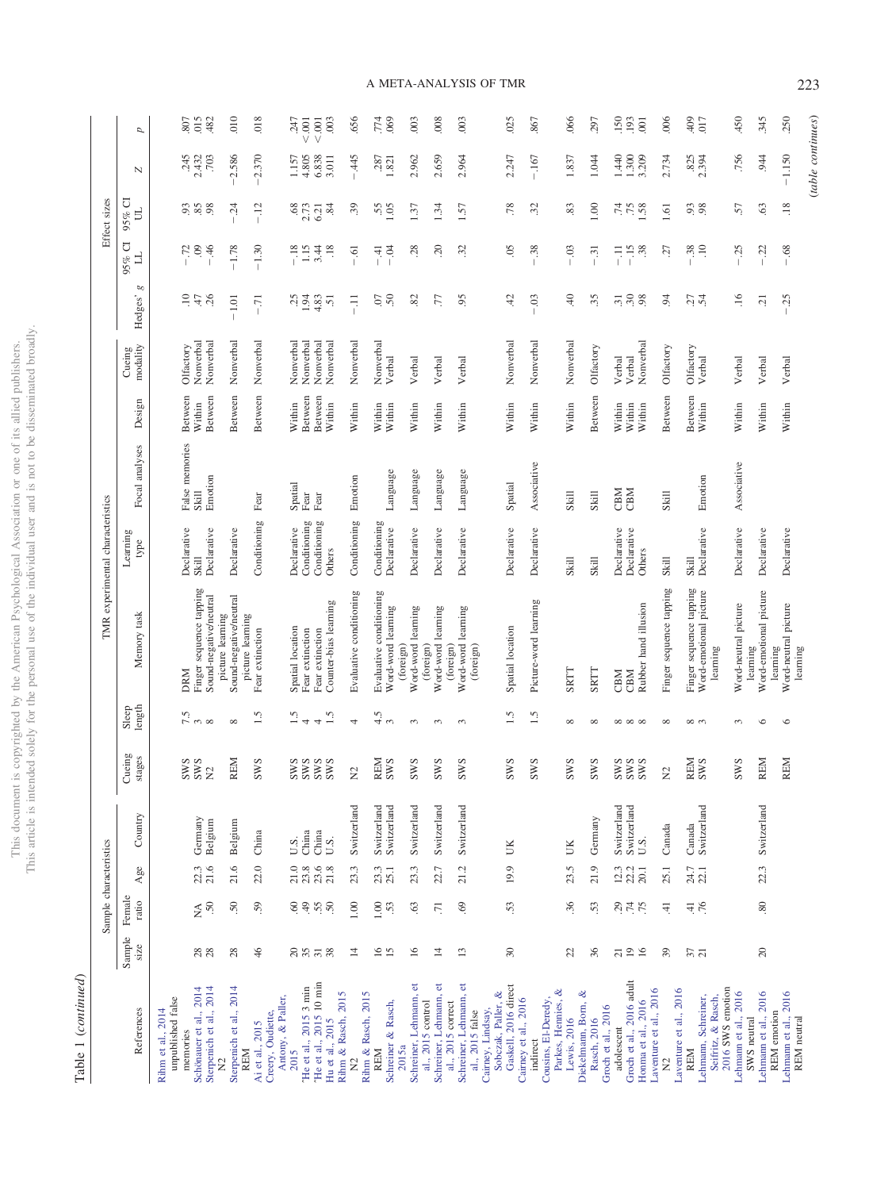This document is copyrighted by the American Psychological Association or one of its allied publishers.<br>This article is intended solely for the personal use of the individual user and is not to be disseminated broadly. This article is intended solely for the personal use of the individual user and is not to be disseminated broadly. This document is copyrighted by the American Psychological Association or one of its allied publishers.

> ${\bf Table \ 1 \ (continued)}$ Table 1 (*continued*)

|                                                   |                 | Sample characteristics                                                                   |                     |                            |                          |                          |                                                   | TMR experimental characteristics |                         |                    |                        |                                                               |                      | Effect sizes     |                   |                   |
|---------------------------------------------------|-----------------|------------------------------------------------------------------------------------------|---------------------|----------------------------|--------------------------|--------------------------|---------------------------------------------------|----------------------------------|-------------------------|--------------------|------------------------|---------------------------------------------------------------|----------------------|------------------|-------------------|-------------------|
| References                                        | Sample<br>size  | Female<br>ratio                                                                          | Age                 | Country                    | Cueing<br>stages         | Sleep<br>length          | Memory task                                       | Learning<br>type                 | Focal analyses          | Design             | modality<br>Cueing     | $\infty$<br>Hedges'                                           | J<br>」<br>95%        | $95%$ Cl<br>ヨ    | N                 | p                 |
| unpublished false<br>Rihm et al., 2014            |                 |                                                                                          |                     |                            |                          |                          |                                                   |                                  |                         |                    |                        |                                                               |                      |                  |                   |                   |
| Schönauer et al., 2014<br>memories                | 28              | $\widetilde{\Sigma}^0$                                                                   | 22.3                | Germany                    | <b>SWS</b><br><b>SWS</b> | $\frac{5}{7}$ m $\infty$ | Finger sequence tapping<br><b>DRM</b>             | Declarative<br>Skill             | False memories<br>Skill | Between<br>Within  | Nonverbal<br>Olfactory | $-14.8$                                                       | $-72$                | 5, 3, 5,         | .245<br>2.432     | 015<br>807        |
| Sterpenich et al., 2014<br>$\tilde{z}$            |                 |                                                                                          | 21.6                | Belgium                    | $\Sigma$                 |                          | Sound-negative/neutral<br>picture learning        | Declarative                      | Emotion                 | Between            | Nonverbal              |                                                               | $-46$                |                  | .703              | .482              |
| Sterpenich et al., 2014<br><b>REM</b>             | 28              | $\ddot{50}$                                                                              | 21.6                | Belgium                    | <b>REM</b>               | $\infty$                 | Sound-negative/neutral<br>picture learning        | Declarative                      |                         | Between            | Nonverbal              | $-1.01$                                                       | $-1.78$              | 24               | $-2.586$          | 010               |
| Ai et al., 2015                                   | 46              | 59                                                                                       | 22.0                | China                      | <b>SWS</b>               | 1.5                      | Fear extinction                                   | Conditioning                     | Fear                    | Between            | Nonverbal              | $-71$                                                         | $-1.30$              | $-12$            | $-2.370$          | 018               |
| Antony, & Paller,<br>Creery, Oudiette,            |                 |                                                                                          |                     |                            |                          |                          |                                                   |                                  |                         |                    |                        |                                                               |                      |                  |                   |                   |
| 2015                                              |                 | $\mathop{\mathfrak{S}}\limits^{\mathfrak{S}}\mathop{\mathfrak{S}}\limits^{\mathfrak{S}}$ | $\frac{21.0}{23.8}$ | U.S.<br>China              |                          | $\tilde{S}$ . I          | Spatial location                                  | Declarative                      | Spatial                 | Within             | Nonverbal              |                                                               | $-1.18$              | 68               | 1.157             | $\frac{247}{600}$ |
| "He et al., 2015 3 min<br>"He et al., 2015 10 min | 257             |                                                                                          | 23.6                | China                      | SWS<br>SWS<br>SWS<br>SWS | $\overline{ }$<br>4      | Fear extinction<br>Fear extinction                | Conditioning<br>Conditioning     | Fear<br>Fear            | Between<br>Between | Nonverbal<br>Nonverbal | $3340$<br>$-430$<br>$-43$                                     | 3.44                 | 2.73             | 4.805<br>6.838    | $<0.001$          |
| Rihm & Rasch, 2015<br>Hu et al., 2015             | 38              | 55                                                                                       | 21.8                | U.S.                       |                          | 1.5                      | Counter-bias learning                             | Others                           |                         | Within             | Nonverbal              |                                                               | $\frac{8}{18}$       | 6.21             | 3.011             | 003               |
| $\Sigma$                                          | $\overline{4}$  | 1.00                                                                                     | 23.3                | Switzerland                | $\Sigma$                 | 4                        | Evaluative conditioning                           | Conditioning                     | Emotion                 | Within             | Nonverbal              | 류                                                             | $-0.61$              | 39               | .445              | .656              |
| Rihm & Rasch, 2015                                |                 |                                                                                          |                     |                            |                          |                          |                                                   |                                  |                         |                    |                        |                                                               |                      |                  |                   |                   |
| Schreiner & Rasch,<br><b>REM</b>                  | $\frac{6}{15}$  | 00.1<br>53                                                                               | 23.3                | Switzerland<br>Switzerland | REM<br><b>SWS</b>        | 4.5<br>3                 | Evaluative conditioning<br>Word-word learning     | Conditioning<br>Declarative      | Language                | Within<br>Within   | Nonverbal<br>Verbal    | 500                                                           | $-0.4$<br>$-41$      | 55               | $.287$<br>$1.821$ | .774<br>.069      |
| 2015a                                             |                 |                                                                                          |                     |                            |                          |                          | (foreign)                                         |                                  |                         |                    |                        |                                                               |                      |                  |                   |                   |
| Schreiner, Lehmann, et<br>al., 2015 control       | $\frac{6}{2}$   | $\ddot{\circ}$                                                                           | 23.3                | Switzerland                | <b>SWS</b>               | 3                        | Word-word learning                                | Declarative                      | Language                | Within             | Verbal                 | 82                                                            | 28                   | 1.37             | 2.962             | .003              |
| Schreiner, Lehmann, et                            | $\overline{4}$  | $\overline{.}$                                                                           | 22.7                | Switzerland                | <b>SWS</b>               | $\epsilon$               | Word-word learning<br>(foreign)                   | Declarative                      | Language                | Within             | Verbal                 | ГŢ.                                                           | $\sim$               | 1.34             | 2.659             | .008              |
| al., 2015 correct                                 | 13              | 69                                                                                       | 21.2                | Switzerland                | <b>SWS</b>               | $\infty$                 | Word-word learning<br>(foreign)                   | Declarative                      |                         | Within             | Verbal                 | 95                                                            | 32                   | 1.57             | 2.964             | .003              |
| Schreiner, Lehmann, et<br>al., 2015 false         |                 |                                                                                          |                     |                            |                          |                          | (foreign)                                         |                                  | Language                |                    |                        |                                                               |                      |                  |                   |                   |
| Cairney, Lindsay,                                 |                 |                                                                                          |                     |                            |                          |                          |                                                   |                                  |                         |                    |                        |                                                               |                      |                  |                   |                   |
| Gaskell, 2016 direct<br>Sobczak, Paller, &        | 30              | 53                                                                                       | 19.9                | Б                          | <b>SWS</b>               | $\ddot{1.5}$             | Spatial location                                  | Declarative                      | Spatial                 | Within             | Nonverbal              | 42                                                            | 05                   | .78              | 2.247             | .025              |
| Cairney et al., 2016                              |                 |                                                                                          |                     |                            |                          |                          |                                                   |                                  |                         |                    |                        |                                                               |                      |                  |                   |                   |
| indirect                                          |                 |                                                                                          |                     |                            | <b>SWS</b>               | $\ddot{1.5}$             | Picture-word learning                             | Declarative                      | Associative             | Within             | Nonverbal              | $\overline{0}$                                                | $-0.38$              | 32               | $-.167$           | .867              |
| Cousins, El-Deredy,                               |                 |                                                                                          |                     |                            |                          |                          |                                                   |                                  |                         |                    |                        |                                                               |                      |                  |                   |                   |
| Parkes, Hennies, &<br>Lewis, 2016                 | 22              | 36                                                                                       | 23.5                | UK                         | <b>SWS</b>               | $\infty$                 | <b>SRTT</b>                                       | Skill                            | Skill                   | Within             | Nonverbal              | $\ddot{=}$                                                    | $-0.3$               | 83               | 1.837             | .066              |
| ళ<br>Diekelmann, Born,                            |                 |                                                                                          |                     |                            |                          |                          |                                                   |                                  |                         |                    |                        |                                                               |                      |                  |                   |                   |
| Rasch, 2016                                       | 36              | 53                                                                                       | 21.9                | Germany                    | <b>SWS</b>               | $\infty$                 | <b>SRTT</b>                                       | Skill                            | Skill                   | Between            | Olfactory              | 35                                                            | $-31$                | 1.00             | 1.044             | .297              |
| Groch et al., 2016<br>adolescent                  | $\overline{c}$  |                                                                                          |                     | Switzerland                | <b>SWS</b>               |                          | CBM                                               | Declarative                      | CBM                     | Within             | Verbal                 |                                                               | 류                    | .74              | .440              | .150              |
| Groch et al., 2016 adult                          | $\frac{9}{16}$  | 29.74                                                                                    | $12.3$<br>$22.2$    | Switzerland                | SWS                      | 00000                    | CBM                                               | Declarative                      | CBM                     | Within             | Verbal                 | $\stackrel{3}{\scriptstyle .} \stackrel{3}{\scriptstyle .} 0$ | $-15$                | $75$ $8$         | 0.300             | .193              |
| Laventure et al., 2016<br>Honma et al., 2016      |                 | .75                                                                                      | 20.1                | U.S.                       |                          |                          | Rubber hand illusion                              | Others                           |                         | Within             | Nonverbal              | 98                                                            | 38                   |                  | 3.209             | 001               |
| $\tilde{\mathbf{z}}$                              | 39              | ∄.                                                                                       | 25.1                | Canada                     | $\Sigma$                 | $\infty$                 | Finger sequence tapping                           | Skill                            | Skill                   | Between            | Olfactory              | $\ddot{9}$                                                    | Ľč.                  | 1.61             | 2.734             | .006              |
| Laventure et al., 2016<br>REM                     |                 |                                                                                          |                     |                            | REM                      |                          |                                                   | Skill                            |                         |                    |                        |                                                               |                      |                  | .825              | 409               |
| Lehmann, Schreiner,                               | $\frac{37}{21}$ | $-1.76$                                                                                  | 24.7                | Switzerland<br>Canada      | <b>SWS</b>               | $\infty$                 | Finger sequence tapping<br>Word-emotional picture | Declarative                      | Emotion                 | Between<br>Within  | Olfactory<br>Verbal    | $27$<br>$54$                                                  | $-.38$<br>$\ddot{=}$ | 93               | 2.394             | 017               |
| Seifritz, & Rasch,                                |                 |                                                                                          |                     |                            |                          |                          | learning                                          |                                  |                         |                    |                        |                                                               |                      |                  |                   |                   |
| 2016 SWS emotion<br>Lehmann et al., 2016          |                 |                                                                                          |                     |                            | <b>SWS</b>               | $\sim$                   | Word-neutral picture                              | Declarative                      | Associative             | Within             | Verbal                 | .16                                                           | $-25$                | 57               | .756              | 450               |
| SWS neutral                                       |                 |                                                                                          |                     |                            |                          |                          |                                                   |                                  |                         |                    |                        |                                                               |                      |                  |                   |                   |
| Lehmann et al., 2016                              | 20              | .80                                                                                      | 22.3                | Switzerland                | <b>REM</b>               | $\circ$                  | learning<br>Word-emotional picture                | Declarative                      |                         | Within             | Verbal                 | $\overline{c}$                                                | $-0.22$              | $63$             | .944              | 345               |
| Lehmann et al., 2016<br>REM emotion               |                 |                                                                                          |                     |                            | <b>REM</b>               | $\circ$                  | Word-neutral picture<br>learning                  | Declarative                      |                         | Within             | Verbal                 | 25                                                            | $-0.68$              | $\overline{.18}$ | $-1.150$          | 250               |
| REM neutral                                       |                 |                                                                                          |                     |                            |                          |                          | learning                                          |                                  |                         |                    |                        |                                                               |                      |                  | (table continues) |                   |

A META-ANALYSIS OF TMR 223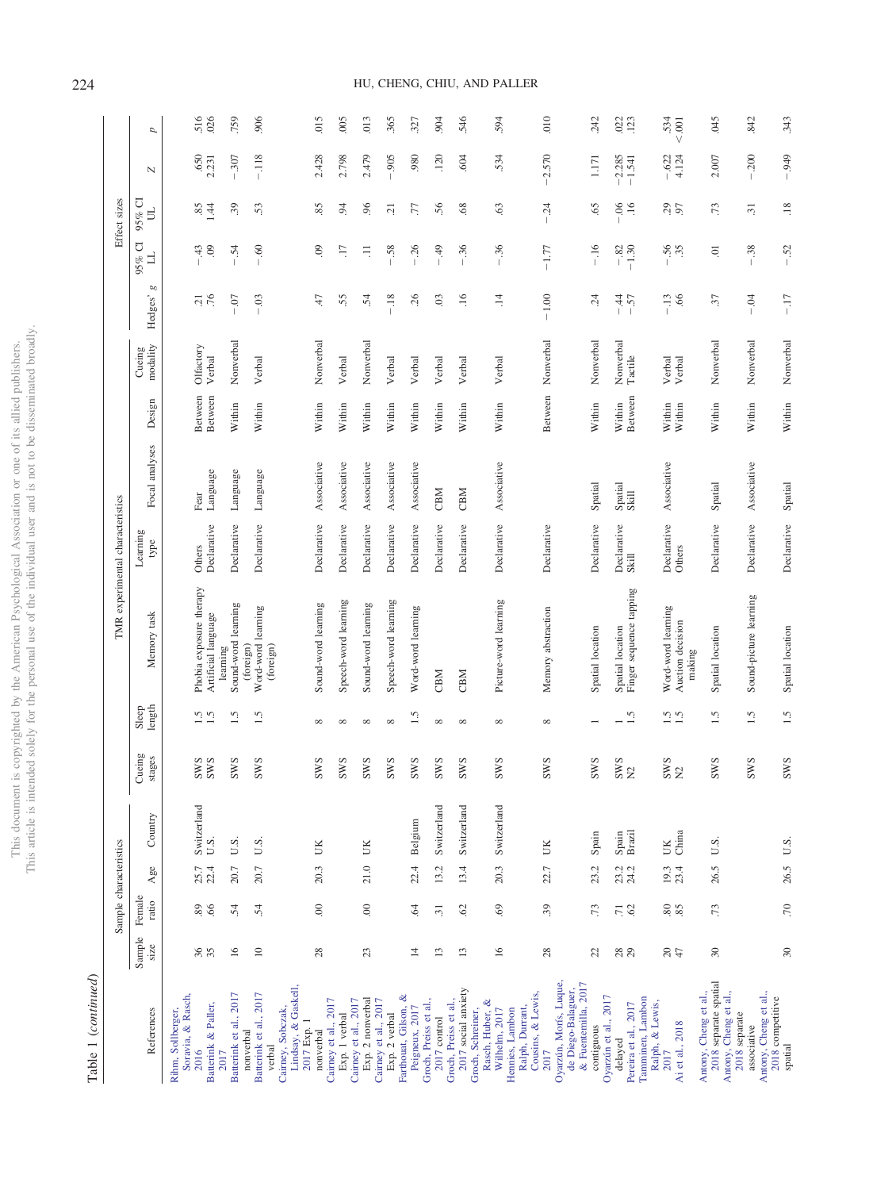| ĵ<br>i<br>ğ<br>Ś<br>ζ | i      |
|-----------------------|--------|
| ì                     |        |
|                       | i<br>; |
|                       |        |
|                       |        |
|                       |        |
|                       |        |
|                       |        |
| j                     |        |
| )<br>j                |        |
|                       |        |
| c                     |        |
|                       |        |
| the .                 |        |
|                       |        |
| ृ<br>ì<br>Ï<br>j<br>ł |        |
|                       |        |
|                       |        |
| ì                     |        |
| $\frac{1}{1}$ mis     | ns ar  |
|                       | į<br>í |

Table 1 (continued) Table 1 (*continued*)

|                                                                              |                | Sample characteristics        |                  |             |                  |                 |                                              | TMR experimental characteristics |                |         |                    |                            |                                | Effect sizes                           |                                   |                           |
|------------------------------------------------------------------------------|----------------|-------------------------------|------------------|-------------|------------------|-----------------|----------------------------------------------|----------------------------------|----------------|---------|--------------------|----------------------------|--------------------------------|----------------------------------------|-----------------------------------|---------------------------|
| References                                                                   | Sample<br>size | Female<br>ratio               | Agee             | Country     | Jueing<br>stages | Sleep<br>length | Memory task                                  | Learning<br>type                 | Focal analyses | Design  | modality<br>Cueing | g<br>Hedges'               | 95% CI<br>」                    | $95%$ C<br>E                           | $\overline{N}$                    | p                         |
| Soravia, & Rasch,<br>Rihm, Sollberger,<br>2016                               |                |                               | 25.7             | Switzerland | <b>SWS</b>       |                 | Phobia exposure therapy                      | Others                           | Fear           | Between | Olfactory          | $\Xi$                      | 43                             |                                        | .650                              | 516                       |
| Batterink & Paller,<br>2017                                                  | 36             | 89                            | 22.4             | U.S.        | <b>SWS</b>       | $\frac{5}{11}$  | Artificial language<br>learning              | Declarative                      | Language       | Between | Verbal             | .76                        | $\ddot{\circ}$                 | 1.44                                   | 2.231                             | .026                      |
| Batterink et al., 2017<br>nonverbal                                          | 16             | 54                            | 20.7             | U.S.        | <b>SWS</b>       | 1.5             | Sound-word learning                          | Declarative                      | Language       | Within  | Nonverbal          | $\overline{0}$             | $\ddot{5}$                     | 39                                     | .307                              | .759                      |
| Lindsay, & Gaskell,<br>Batterink et al., 2017<br>Cairney, Sobczak,<br>verbal | $\Xi$          | 54                            | 20.7             | U.S.        | <b>SWS</b>       | $\ddot{1.5}$    | Word-word learning<br>(foreign)<br>(foreign) | Declarative                      | Language       | Within  | Verbal             | 03                         | $\ddot{\text{o}}$              | 53                                     | $-118$                            | 906                       |
| 2017 Exp. 1<br>nonverbal                                                     | $28$           | 00                            | 20.3             | UK          | <b>SWS</b>       | $\infty$        | Sound-word learning                          | Declarative                      | Associative    | Within  | Nonverbal          | $47$                       | $\odot$                        | 85                                     | 2.428                             | .015                      |
| Caimey et al., 2017<br>Exp. 1 verbal                                         |                |                               |                  |             | <b>SWS</b>       | $\infty$        | Speech-word learning                         | Declarative                      | Associative    | Within  | Verbal             | 55                         | $\Box$                         | 94                                     | 2.798                             | .005                      |
| Cairney et al., 2017<br>Exp. 2 nonverbal<br>Caimey et al., 2017              | 23             | 00                            | 21.0             | ŬК          | <b>SWS</b>       | $\infty$        | Sound-word learning                          | Declarative                      | Associative    | Within  | Nonverbal          | $\ddot{5}$                 | Ę                              | 96                                     | 2.479                             | 013                       |
| Exp. 2 verbal                                                                |                |                               |                  |             | <b>SWS</b>       | $\infty$        | Speech-word learning                         | Declarative                      | Associative    | Within  | Verbal             | $-18$                      | .58                            | $\overline{c}$                         | $-.905$                           | .365                      |
| Farthouat, Gilson, &<br>Peigneux, 2017                                       | $\overline{4}$ | $\ddot{6}$                    | 22.4             | Belgium     | <b>SWS</b>       | $\ddot{1.5}$    | Word-word learning                           | Declarative                      | Associative    | Within  | Verbal             | .26                        | $-26$                          | 77                                     | 980                               | .327                      |
| Groch, Preiss et al.,<br>2017 control                                        | 13             | $\overline{51}$               | 13.2             | Switzerland | <b>SWS</b>       | $\infty$        | CBM                                          | Declarative                      | CBM            | Within  | Verbal             | 03                         | $-49$                          | 56                                     | .120                              | .904                      |
| 2017 social anxiety<br>Groch, Preiss et al.,                                 | 13             | 62                            | 13.4             | Switzerland | <b>SWS</b>       | $\infty$        | CBM                                          | Declarative                      | CBM            | Within  | Verbal             | $\ddot{ }$                 | $-.36$                         | 68                                     | .604                              | 546                       |
| Rasch, Huber, &<br>Groch, Schreiner,<br>Wilhelm, 2017                        | 16             | $69$                          | 20.3             | Switzerland | <b>SWS</b>       | $\infty$        | Picture-word learning                        | Declarative                      | Associative    | Within  | Verbal             | $\ddot{ }$                 | 36<br>$\overline{\phantom{a}}$ | 63                                     | 534                               | 594                       |
| Ralph, Durrant,<br>Hennies, Lambon                                           |                |                               |                  |             |                  |                 |                                              |                                  |                |         |                    |                            |                                |                                        |                                   |                           |
| Cousins, & Lewis,<br>2017                                                    | 28             | 39                            | 22.7             | UК          | <b>SWS</b>       | $\infty$        | Memory abstraction                           | Declarative                      |                | Between | Nonverbal          | $-1.00$                    | $-1.77$                        | $\ddot{c}$<br>$\overline{\phantom{a}}$ | 2.570<br>$\overline{\phantom{a}}$ | 010                       |
| Oyarzún, Morís, Luque,<br>& Fuentemilla, 2017<br>de Diego-Balaguer,          |                |                               |                  |             |                  |                 |                                              |                                  |                |         |                    |                            |                                |                                        |                                   |                           |
| contiguous                                                                   | 22             | .73                           | 23.2             | Spain       | <b>SWS</b>       | $\overline{ }$  | Spatial location                             | Declarative                      | Spatial        | Within  | Nonverbal          | 24                         | $-16$                          | 65                                     | 1.171                             | 242                       |
| Oyarzún et al., 2017<br>delayed                                              | 28             | $\overline{7}$ $\overline{6}$ | 23.2             | Spain       | <b>SWS</b>       |                 | Spatial location                             | Declarative                      | Spatial        | Within  | Nonverbal          | $\ddot{4}$<br>$\mathbf{L}$ | $-82$                          | 66                                     | $-2.285$                          | $022$<br>$123$            |
| Tamminen, Lambon<br>Pereira et al., 2017                                     |                |                               |                  | Brazil      | $\Sigma$         | $\ddot{1.5}$    | Finger sequence tapping                      | Skill                            | Skill          | Between | Tactile            | 57                         | $-1.30$                        | .16                                    | $-1.541$                          |                           |
| Ralph, & Lewis,<br>2017                                                      |                |                               |                  | ŬК          |                  |                 | Word-word learning                           | Declarative                      | Associative    | Within  | Verbal             | $-13$                      |                                |                                        | .622                              |                           |
| Ai et al., 2018                                                              | $rac{1}{47}$   | 8.8                           | $19.3$<br>$23.4$ | China       | $\frac{SWS}{N2}$ | $\frac{5}{1.5}$ | Auction decision<br>making                   | Others                           |                | Within  | Verbal             | 66                         | .56                            | 29                                     | 4.124                             | $\substack{534 \\ <.001}$ |
| 2018 separate spatial<br>Antony, Cheng et al.,<br>Antony, Cheng et al.,      | $30\,$         | .73                           | 26.5             | U.S.        | <b>SWS</b>       | $\ddot{ }$ .    | Spatial location                             | Declarative                      | Spatial        | Within  | Nonverbal          | 37                         | ā                              | .73                                    | 2.007                             | 045                       |
| Antony, Cheng et al.,<br>2018 competitive<br>2018 separate<br>associative    |                |                               |                  |             | <b>SWS</b>       | $\ddot{1.5}$    | Sound-picture learning                       | Declarative                      | Associative    | Within  | Nonverbal          | $-0.4$                     | $-.38$                         | $\Xi$                                  | $-.200$                           | .842                      |
| spatial                                                                      | 30             | $\overline{0}$                | 26.5             | U.S.        | <b>SWS</b>       | 1.5             | Spatial location                             | Declarative                      | Spatial        | Within  | Nonverbal          | $-17$                      | $-52$                          | .18                                    | $-0.949$                          | .343                      |

# 224 HU, CHENG, CHIU, AND PALLER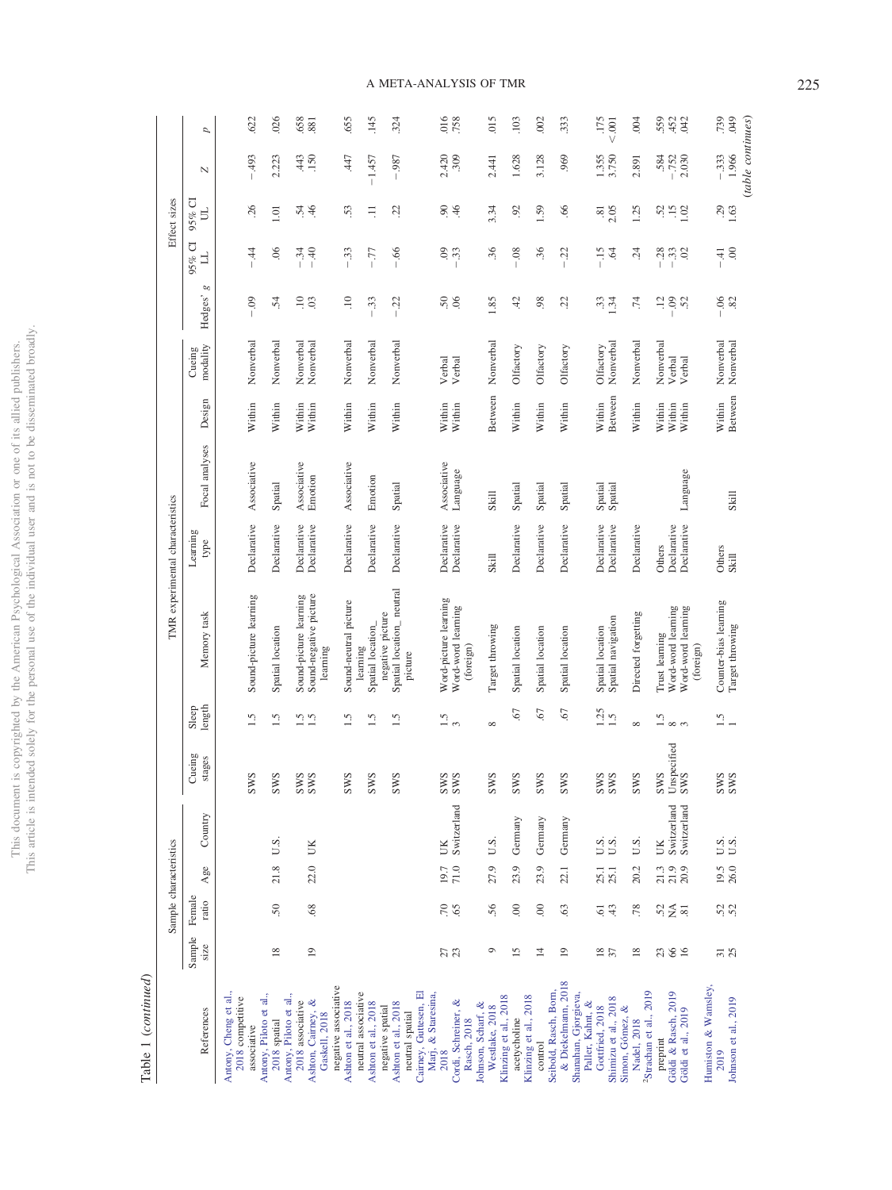This document is copyrighted by the American Psychological Association or one of its allied publishers.<br>This article is intended solely for the personal use of the individual user and is not to be disseminated broadly. This article is intended solely for the personal use of the individual user and is not to be disseminated broadly. This document is copyrighted by the American Psychological Association or one of its allied publishers.

> Table 1 (continued) Table 1 (*continued*)

|                                                                                           |                 | Sample characteristics              |                      |                                  |                                  |                             |                                                                         | TMR experimental characteristics     |                         |                            |                               |                                                        |                                                   | Effect sizes           |                                       |                    |
|-------------------------------------------------------------------------------------------|-----------------|-------------------------------------|----------------------|----------------------------------|----------------------------------|-----------------------------|-------------------------------------------------------------------------|--------------------------------------|-------------------------|----------------------------|-------------------------------|--------------------------------------------------------|---------------------------------------------------|------------------------|---------------------------------------|--------------------|
| References                                                                                | Sample<br>size  | Female<br>ratio                     | Age                  | Country                          | Cueing<br>stages                 | length<br>Sleep             | Memory task                                                             | Learning<br>type                     | Focal analyses          | Design                     | modality<br>Cueing            | g<br>Hedges'                                           | 95% CI<br>」                                       | $95%$ CI<br>E          | N                                     | d                  |
| Antony, Cheng et al.,<br>2018 competitive<br>associative                                  |                 |                                     |                      |                                  | <b>SWS</b>                       | 1.5                         | Sound-picture learning                                                  | Declarative                          | Associative             | Within                     | Nonverbal                     | $-0.09$                                                | $\ddot{4}$                                        | 26                     | 493                                   | .622               |
| Antony, Piloto et al.,<br>2018 spatial                                                    | $\frac{8}{18}$  | 50                                  | 21.8                 | U.S.                             | <b>SWS</b>                       | 1.5                         | Spatial location                                                        | Declarative                          | Spatial                 | Within                     | Nonverbal                     | $\ddot{5}$                                             | 06                                                | 1.01                   | 2.223                                 | .026               |
| Antony, Piloto et al.,<br>2018 associative<br>Ashton, Cairney, &<br><b>Gaskell</b> , 2018 | $\overline{19}$ | 68                                  | 22.0                 | ÜК                               | <b>SWS</b><br>SWS                | 1.5<br>$\tilde{1}$          | Sound-negative picture<br>Sound-picture learning<br>learning            | Declarative<br>Declarative           | Associative<br>Emotion  | Within<br>Within           | Nonverbal<br>Nonverbal        | $\frac{10}{10}$                                        | $-34$<br>$-40$                                    | 46<br>54               | .150<br>443                           | 658<br>.881        |
| negative associative<br>Ashton et al., 2018                                               |                 |                                     |                      |                                  | <b>SWS</b>                       | 1.5                         | Sound-neutral picture                                                   | Declarative                          | Associative             | Within                     | Nonverbal                     | $\Xi$                                                  | $-33$                                             | 53                     | 47                                    | .655               |
| neutral associative<br>Ashton et al., 2018                                                |                 |                                     |                      |                                  | <b>SWS</b>                       | 1.5                         | Spatial location<br>learning                                            | Declarative                          | Emotion                 | Within                     | Nonverbal                     | $-33$                                                  | $-77$                                             | $\equiv$               | $-1.457$                              | 145                |
| Cairney, Guttesen, El<br>Ashton et al., 2018<br>negative spatial<br>neutral spatial       |                 |                                     |                      |                                  | <b>SWS</b>                       | 1.5                         | Spatial location_neutral<br>negative picture<br>picture                 | Declarative                          | Spatial                 | Within                     | Nonverbal                     | $-22$                                                  | $-0.66$                                           | 22                     | $-0.987$                              | 324                |
| Marj, & Staresina,<br>Cordi, Schreiner, &<br>Rasch, 2018<br>2018                          | 27              | $\frac{5}{2}$                       | 71.0<br>19.7         | Switzerland<br>UK                | <b>SWS</b>                       | 1.5<br>$\infty$             | Word-picture learning<br>Word-word learning<br>(foreign)                | Declarative<br>Declarative           | Associative<br>Language | Within<br>Within           | Verbal<br>Verbal              | 50                                                     | 60<br>33                                          | 90<br>46               | 2.420<br>.309                         | 016<br>.758        |
| Johnson, Scharf, &<br>Westlake, 2018                                                      | $\circ$         | 56                                  | 27.9                 | U.S.                             | <b>SWS</b>                       | $\infty$                    | Target throwing                                                         | Skill                                | Skill                   | Between                    | Nonverbal                     | 1.85                                                   | 36                                                | 3.34                   | 2.441                                 | 015                |
| Klinzing et al., 2018<br>acetycholine                                                     | $\overline{15}$ | 00                                  | 23.9                 | Germany                          | <b>SWS</b>                       | .67                         | Spatial location                                                        | Declarative                          | Spatial                 | Within                     | Olfactory                     | 42                                                     | 08                                                | 92                     | 1.628                                 | .103               |
| Seibold, Rasch, Born,<br>Klinzing et al., 2018<br>control                                 | $\overline{4}$  | 00                                  | 23.9                 | Germany                          | <b>SWS</b>                       | 50                          | Spatial location                                                        | Declarative                          | Spatial                 | Within                     | Olfactory                     | 98                                                     | 36                                                | 1.59                   | 3.128                                 | 002                |
| & Diekelmann, 2018<br>Shanahan, Gjorgieva,                                                | $\overline{19}$ | 63                                  | 22.1                 | Germany                          | <b>SWS</b>                       | 50.                         | Spatial location                                                        | Declarative                          | Spatial                 | Within                     | Olfactory                     | $\ddot{c}$                                             | $\tilde{c}$<br>$\overline{1}$                     | 66                     | .969                                  | 333                |
| Shimizu et al., 2018<br>Paller, Kahnt, &<br>Gottfried, 2018<br>Simon, Gómez, &            | $\frac{18}{37}$ | 43<br>$\overline{6}$                | 25.1<br>25.1         | U.S.<br>U.S.                     | <b>SWS</b>                       | $1.25$<br>$1.5$             | Spatial navigation<br>Spatial location                                  | Declarative<br>Declarative           | Spatial<br>Spatial      | Between<br>Within          | Nonverbal<br>Olfactory        | 1.34                                                   | $-15$<br>$\ddot{6}$                               | 2.05<br>$\overline{8}$ | 1.355<br>3.750                        | .175<br>001        |
| <sup>2</sup> Strachan et al., 2019<br>Nadel, 2018                                         | $\frac{8}{18}$  | .78                                 | 20.2                 | U.S.                             | <b>SWS</b>                       | $\infty$                    | Directed forgetting                                                     | Declarative                          |                         | Within                     | Nonverbal                     | .74                                                    | $\ddot{c}$                                        | 1.25                   | 2.891                                 | 004                |
| Humiston & Wamsley.<br>Göldi & Rasch, 2019<br>Göldi et al., 2019<br>preprint              | 66<br>23        | $52$<br>$\times$<br>$\overline{81}$ | 20.9<br>21.9<br>21.3 | Switzerland<br>Switzerland<br>UK | Unspecified<br>SWS<br><b>SWS</b> | 1.5<br>$\infty$<br>$\infty$ | Word-word learning<br>Word-word learning<br>Trust learning<br>(foreign) | Declarative<br>Declarative<br>Others | Language                | Within<br>Within<br>Within | Nonverbal<br>Verbal<br>Verbal | $\overline{12}$<br>$-32$                               | $\begin{array}{c} 28 \\ -3 \\ 0 \\ 2 \end{array}$ | 52<br>1.02             | $-752$<br>2.030<br>.584               | 559<br>.452<br>042 |
| Johnson et al., 2019<br>2019                                                              | 31              | 52<br>52                            | 26.0<br>19.5         | U.S.<br>U.S.                     | <b>SWS</b><br>SWS                | $\ddot{1.5}$                | Counter-bias learning<br>Target throwing                                | Others<br>Skill                      | Skill                   | Between<br>Within          | Nonverbal<br>Nonverbal        | $\frac{8}{8}$<br>$\begin{array}{c} \hline \end{array}$ | 00<br>$\pm$                                       | 29<br>1.63             | (table continues)<br>1.966<br>$-.333$ | .739<br>640        |

# A META-ANALYSIS OF TMR 225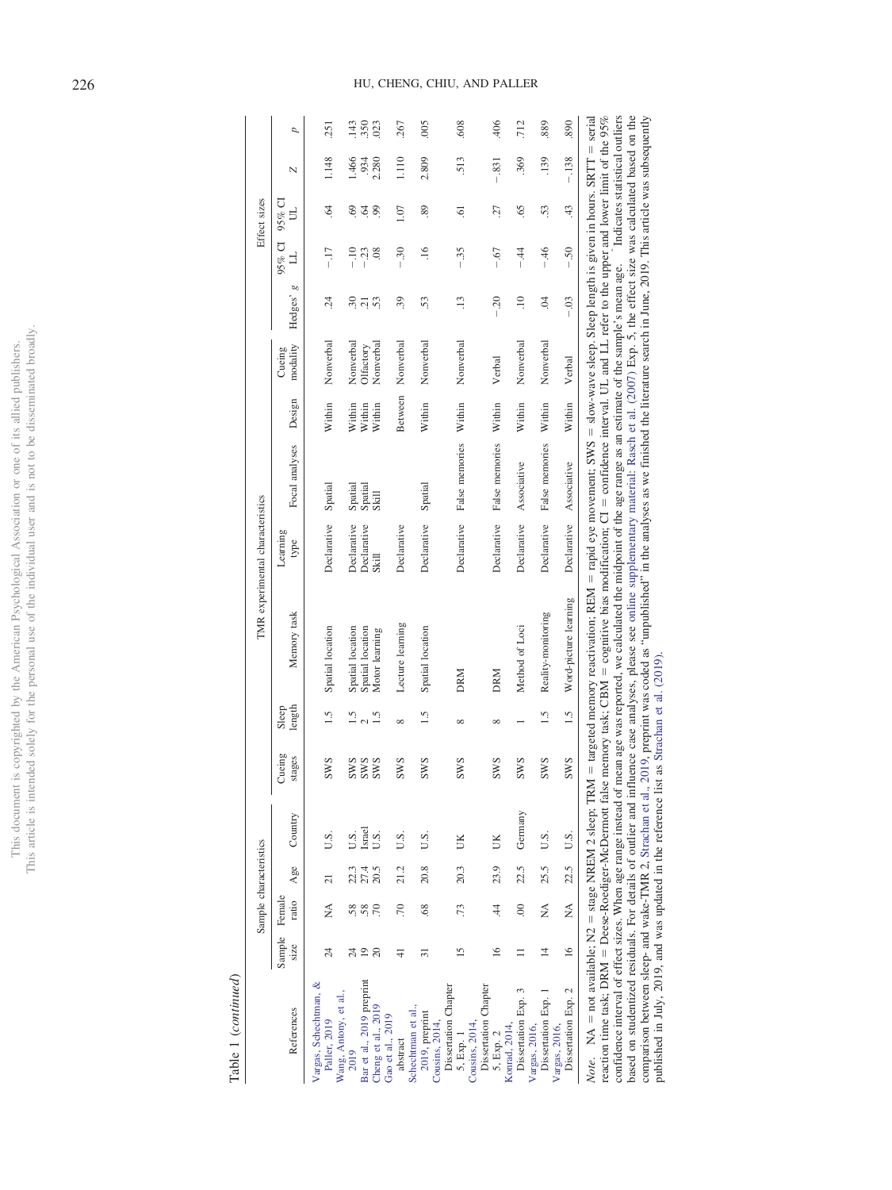|                            | ï              |
|----------------------------|----------------|
|                            |                |
| j<br>j<br>í                | j              |
| Í<br>j                     | I              |
| j                          |                |
| ţ                          |                |
|                            |                |
|                            | ì              |
|                            |                |
|                            |                |
|                            |                |
| l                          |                |
|                            | Ï              |
|                            |                |
|                            |                |
|                            |                |
|                            |                |
|                            |                |
|                            |                |
|                            |                |
|                            |                |
| Č                          |                |
| i.                         |                |
|                            |                |
|                            |                |
| į                          |                |
|                            |                |
|                            |                |
|                            |                |
|                            | ũ              |
|                            |                |
|                            |                |
|                            | Ì              |
|                            |                |
| ç                          |                |
| j                          |                |
| j<br>j<br>j                |                |
| ĵ                          |                |
| í                          |                |
|                            |                |
|                            |                |
|                            |                |
|                            |                |
| I                          | Ï              |
|                            |                |
|                            | t              |
| j<br>ï                     |                |
|                            |                |
| ţ                          | ï              |
|                            |                |
|                            | <b>CONTROL</b> |
|                            |                |
|                            |                |
| j                          |                |
|                            |                |
|                            |                |
|                            |                |
|                            |                |
| į                          |                |
| l                          |                |
| I<br>j                     |                |
| and it is a company of the |                |
|                            | ì              |
| ï                          |                |
| i                          |                |
|                            |                |
|                            |                |
|                            |                |
|                            | $\overline{a}$ |
| Í                          |                |
| i<br>S                     |                |
|                            |                |
|                            |                |
|                            |                |
|                            | $\overline{a}$ |
|                            |                |
|                            |                |
| $\frac{1}{2}$              |                |
| ŀ<br>I                     | Ï              |
|                            | í              |
|                            | ĺ<br>ì         |
|                            |                |

Table 1 (continued) Table 1 (*continued*)

|                                                                  |                       | Sample characteristics |                |         |                  |                 |                                                                                                                                                                                                                                                                                                                                                                                                                                                                                                                                                                                                                                                                                                                                                 | TMR experimental characteristics |                |         |                    |                  |                     | Effect sizes  |         |      |
|------------------------------------------------------------------|-----------------------|------------------------|----------------|---------|------------------|-----------------|-------------------------------------------------------------------------------------------------------------------------------------------------------------------------------------------------------------------------------------------------------------------------------------------------------------------------------------------------------------------------------------------------------------------------------------------------------------------------------------------------------------------------------------------------------------------------------------------------------------------------------------------------------------------------------------------------------------------------------------------------|----------------------------------|----------------|---------|--------------------|------------------|---------------------|---------------|---------|------|
| References                                                       | Sample<br><b>SIZC</b> | Female<br>ratio        | Age            | Country | Cueing<br>stages | length<br>Sleep | Memory task                                                                                                                                                                                                                                                                                                                                                                                                                                                                                                                                                                                                                                                                                                                                     | Learning<br>type                 | Focal analyses | Design  | modality<br>Cueing | œ<br>Hedges'     | 95% CI<br>$\exists$ | $95%$ CI<br>5 | N       | p    |
| Vargas, Schechtman, &<br>Paller, 2019                            | $^{24}$               | ≸                      | $\overline{c}$ | S.U     | <b>SWS</b>       | 1.5             | Spatial location                                                                                                                                                                                                                                                                                                                                                                                                                                                                                                                                                                                                                                                                                                                                | Declarative                      | Spatial        | Within  | Nonverbal          | $\ddot{c}$       | $-17$               | $\ddot{6}$    | 1.148   | 251  |
| Wang, Antony, et al.,<br>2019                                    | $^{24}$               |                        | 22.3           | U.S.    | <b>SWS</b>       | 1.5             | Spatial location                                                                                                                                                                                                                                                                                                                                                                                                                                                                                                                                                                                                                                                                                                                                | Declarative                      | Spatial        | Within  | Nonverbal          | $\ddot{.}6$      | $-10$               | 69            | 1.466   | 143  |
| Bar et al., 2019 preprint                                        | $\overline{19}$       |                        | 27.4           | Israel  | <b>SWS</b>       | $\frac{2}{15}$  | Spatial location                                                                                                                                                                                                                                                                                                                                                                                                                                                                                                                                                                                                                                                                                                                                | Declarative                      | Spatial        | Within  | Olfactory          | $\overline{2}$ 3 | $-23$               | $\ddot{q}$    | 934     | .350 |
| Cheng et al., 2019<br>Gao et al., 2019                           | 20                    |                        | 20.5           | U.S.    | <b>SWS</b>       |                 | Motor learning                                                                                                                                                                                                                                                                                                                                                                                                                                                                                                                                                                                                                                                                                                                                  | Skill                            | Skill          | Within  | Nonverbal          |                  | 08                  | 99            | 2.280   | 023  |
| abstract                                                         | ₹                     | .70                    | 21.2           | U.S.    | <b>SWS</b>       | $\infty$        | Lecture learning                                                                                                                                                                                                                                                                                                                                                                                                                                                                                                                                                                                                                                                                                                                                | Declarative                      |                | Between | Nonverbal          | 39               | $-30$               | 1.07          | 1.110   | 267  |
| Schechtman et al.,<br>2019, preprint                             | ಸ                     | 68                     | 20.8           | U.S.    | <b>SWS</b>       | 1.5             | Spatial location                                                                                                                                                                                                                                                                                                                                                                                                                                                                                                                                                                                                                                                                                                                                | Declarative                      | Spatial        | Within  | Nonverbal          | 53               | $\frac{6}{1}$       | 89            | 2.809   | 005  |
| Dissertation Chapter<br>Cousins, 2014,                           |                       |                        |                | UK      | <b>SWS</b>       | $\infty$        |                                                                                                                                                                                                                                                                                                                                                                                                                                                                                                                                                                                                                                                                                                                                                 |                                  |                |         |                    |                  |                     |               |         |      |
| Cousins, 2014,<br>5, Exp. 1                                      | $\overline{15}$       | .73                    | 20.3           |         |                  |                 | <b>DRM</b>                                                                                                                                                                                                                                                                                                                                                                                                                                                                                                                                                                                                                                                                                                                                      | Declarative                      | False memories | Within  | Nonverbal          | $\ddot{.}$       | $-35$               | 5.            | 513     | .608 |
| Dissertation Chapter<br>5, Exp. 2                                | $\overline{16}$       | $\overline{4}$         | 23.9           |         | <b>SWS</b>       | ${}^{\circ}$    | <b>DRM</b>                                                                                                                                                                                                                                                                                                                                                                                                                                                                                                                                                                                                                                                                                                                                      | Declarative                      | False memories | Within  | Verbal             | $-0.20$          | $-67$               | 27            | $-.831$ | 406  |
| Konrad, 2014,                                                    |                       |                        |                |         |                  |                 |                                                                                                                                                                                                                                                                                                                                                                                                                                                                                                                                                                                                                                                                                                                                                 |                                  |                |         |                    |                  |                     |               |         |      |
| Dissertation Exp. 3<br>Vargas, 2016,                             |                       | 00                     | 22.5           | Germany | <b>SWS</b>       |                 | Method of Loci                                                                                                                                                                                                                                                                                                                                                                                                                                                                                                                                                                                                                                                                                                                                  | Declarative                      | Associative    | Within  | Nonverbal          | $\Xi$            | $-44$               | 65            | 369     | 712  |
| Dissertation Exp. 1<br>Vargas, 2016,                             | $\overline{4}$        | ≸                      | 25.5           | U.S.    | <b>SWS</b>       | $\frac{5}{1}$   | Reality-monitoring                                                                                                                                                                                                                                                                                                                                                                                                                                                                                                                                                                                                                                                                                                                              | Declarative                      | False memories | Within  | Nonverbal          | S.               | $-46$               | 53            | 139     | 889  |
| Dissertation Exp. 2                                              | $\leq$                | ₹<br>Z                 | 22.5           | U.S.    | <b>SWS</b>       | 1.5             | Word-picture learning                                                                                                                                                                                                                                                                                                                                                                                                                                                                                                                                                                                                                                                                                                                           | Declarative                      | Associative    | Within  | Verbal             | $-0.3$           | $-50$               | 43            | $-138$  | .890 |
| confidence interval of effect sizes. When age range instead of r |                       |                        |                |         |                  |                 | reaction time task; DRM = Deese-Roediger-McDermott false memory task; CBM = cognitive bias modification; CI = confidence interval. UL and LL refer to the upper and lower limit of the 95%<br>mean age was reported, we calculated the midpoint of the age range as an estimate of the sample's mean age. Indicates statistical outliers<br>based on studentized residuals. For details of outlier and influence case analyses, please see online supplementary material: Rasch et al. (2007) Exp. 5, the effect size was calculated based on the<br>Note. $NA = not available$ ; $NZ = stage$ NREM 2 sleep; TRM = targeted memory reactivation; REM = rapid eye movement; SWS = slow-wave sleep. Sleep length is given in hours. SRTT = serial |                                  |                |         |                    |                  |                     |               |         |      |

comparison between sleep- and wake-TMR 2, [Strachan](#page-25-24) et al., 2019, preprint was coded as "unpublished" in the analyses as we finished the literature search in June, 2019. This article was subsequently

published in July, 2019, and was updated in the reference list as [Strachan](#page-25-24) et al. (2019).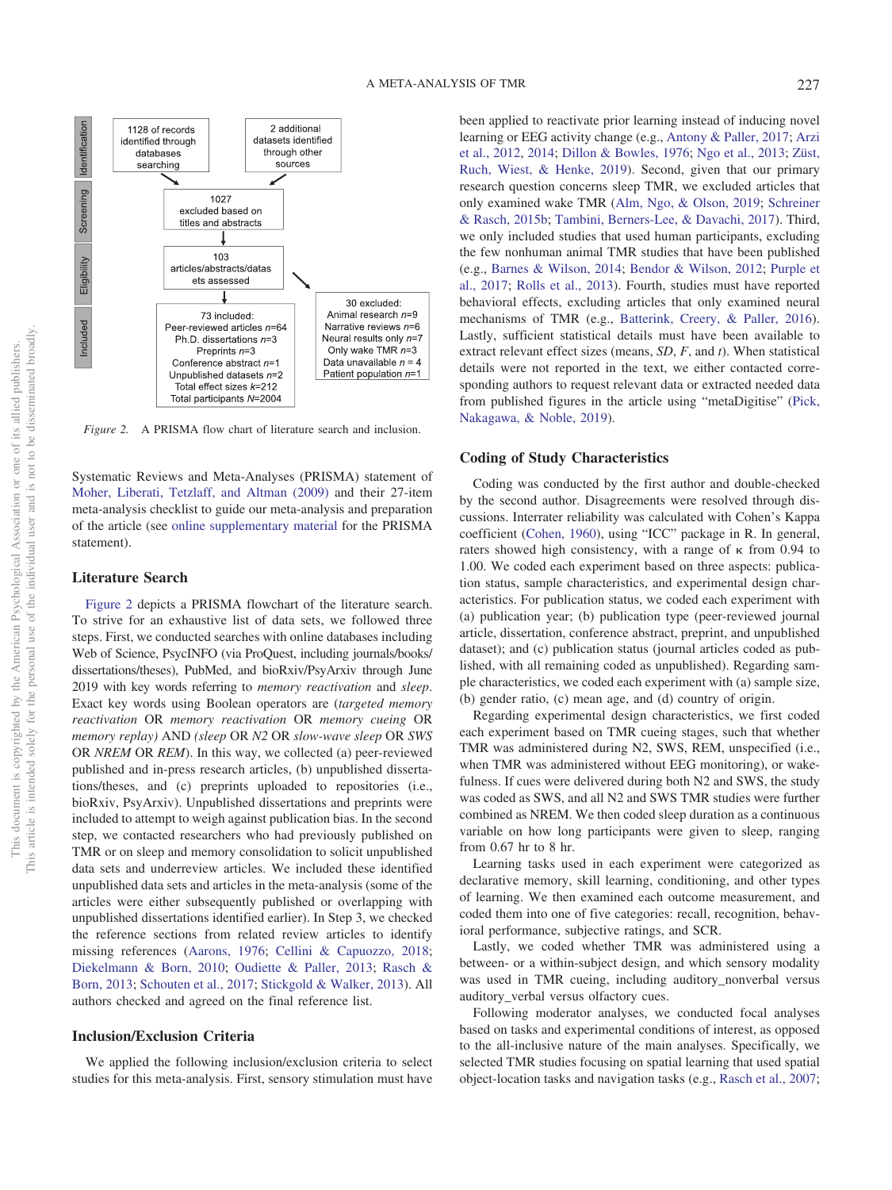

<span id="page-9-0"></span>*Figure 2.* A PRISMA flow chart of literature search and inclusion.

Systematic Reviews and Meta-Analyses (PRISMA) statement of [Moher, Liberati, Tetzlaff, and Altman \(2009\)](#page-24-23) and their 27-item meta-analysis checklist to guide our meta-analysis and preparation of the article (see [online supplementary material](http://dx.doi.org/10.1037/bul0000223.supp) for the PRISMA statement).

# **Literature Search**

[Figure 2](#page-9-0) depicts a PRISMA flowchart of the literature search. To strive for an exhaustive list of data sets, we followed three steps. First, we conducted searches with online databases including Web of Science, PsycINFO (via ProQuest, including journals/books/ dissertations/theses), PubMed, and bioRxiv/PsyArxiv through June 2019 with key words referring to *memory reactivation* and *sleep*. Exact key words using Boolean operators are (*targeted memory reactivation* OR *memory reactivation* OR *memory cueing* OR *memory replay)* AND *(sleep* OR *N2* OR *slow-wave sleep* OR *SWS* OR *NREM* OR *REM*). In this way, we collected (a) peer-reviewed published and in-press research articles, (b) unpublished dissertations/theses, and (c) preprints uploaded to repositories (i.e., bioRxiv, PsyArxiv). Unpublished dissertations and preprints were included to attempt to weigh against publication bias. In the second step, we contacted researchers who had previously published on TMR or on sleep and memory consolidation to solicit unpublished data sets and underreview articles. We included these identified unpublished data sets and articles in the meta-analysis (some of the articles were either subsequently published or overlapping with unpublished dissertations identified earlier). In Step 3, we checked the reference sections from related review articles to identify missing references [\(Aarons, 1976;](#page-21-0) [Cellini & Capuozzo, 2018;](#page-22-11) [Diekelmann & Born, 2010;](#page-22-1) [Oudiette & Paller, 2013;](#page-24-6) [Rasch &](#page-25-0) [Born, 2013;](#page-25-0) [Schouten et al., 2017;](#page-25-14) [Stickgold & Walker, 2013\)](#page-25-1). All authors checked and agreed on the final reference list.

# **Inclusion/Exclusion Criteria**

We applied the following inclusion/exclusion criteria to select studies for this meta-analysis. First, sensory stimulation must have

been applied to reactivate prior learning instead of inducing novel learning or EEG activity change (e.g., [Antony & Paller, 2017;](#page-21-3) [Arzi](#page-21-9) [et al., 2012,](#page-21-9) [2014;](#page-21-10) [Dillon & Bowles, 1976;](#page-23-2) [Ngo et al., 2013;](#page-24-8) [Züst,](#page-26-11) [Ruch, Wiest, & Henke, 2019\)](#page-26-11). Second, given that our primary research question concerns sleep TMR, we excluded articles that only examined wake TMR [\(Alm, Ngo, & Olson, 2019;](#page-21-11) [Schreiner](#page-25-26) [& Rasch, 2015b;](#page-25-26) [Tambini, Berners-Lee, & Davachi, 2017\)](#page-25-27). Third, we only included studies that used human participants, excluding the few nonhuman animal TMR studies that have been published (e.g., [Barnes & Wilson, 2014;](#page-21-12) [Bendor & Wilson, 2012;](#page-22-8) [Purple et](#page-25-10) [al., 2017;](#page-25-10) [Rolls et al., 2013\)](#page-25-11). Fourth, studies must have reported behavioral effects, excluding articles that only examined neural mechanisms of TMR (e.g., [Batterink, Creery, & Paller, 2016\)](#page-21-13). Lastly, sufficient statistical details must have been available to extract relevant effect sizes (means, *SD*, *F*, and *t*). When statistical details were not reported in the text, we either contacted corresponding authors to request relevant data or extracted needed data from published figures in the article using "metaDigitise" [\(Pick,](#page-25-28) [Nakagawa, & Noble, 2019\)](#page-25-28).

# **Coding of Study Characteristics**

Coding was conducted by the first author and double-checked by the second author. Disagreements were resolved through discussions. Interrater reliability was calculated with Cohen's Kappa coefficient [\(Cohen, 1960\)](#page-22-26), using "ICC" package in R. In general, raters showed high consistency, with a range of  $\kappa$  from 0.94 to 1.00. We coded each experiment based on three aspects: publication status, sample characteristics, and experimental design characteristics. For publication status, we coded each experiment with (a) publication year; (b) publication type (peer-reviewed journal article, dissertation, conference abstract, preprint, and unpublished dataset); and (c) publication status (journal articles coded as published, with all remaining coded as unpublished). Regarding sample characteristics, we coded each experiment with (a) sample size, (b) gender ratio, (c) mean age, and (d) country of origin.

Regarding experimental design characteristics, we first coded each experiment based on TMR cueing stages, such that whether TMR was administered during N2, SWS, REM, unspecified (i.e., when TMR was administered without EEG monitoring), or wakefulness. If cues were delivered during both N2 and SWS, the study was coded as SWS, and all N2 and SWS TMR studies were further combined as NREM. We then coded sleep duration as a continuous variable on how long participants were given to sleep, ranging from 0.67 hr to 8 hr.

Learning tasks used in each experiment were categorized as declarative memory, skill learning, conditioning, and other types of learning. We then examined each outcome measurement, and coded them into one of five categories: recall, recognition, behavioral performance, subjective ratings, and SCR.

Lastly, we coded whether TMR was administered using a between- or a within-subject design, and which sensory modality was used in TMR cueing, including auditory nonverbal versus auditory\_verbal versus olfactory cues.

Following moderator analyses, we conducted focal analyses based on tasks and experimental conditions of interest, as opposed to the all-inclusive nature of the main analyses. Specifically, we selected TMR studies focusing on spatial learning that used spatial object-location tasks and navigation tasks (e.g., [Rasch et al., 2007;](#page-25-3)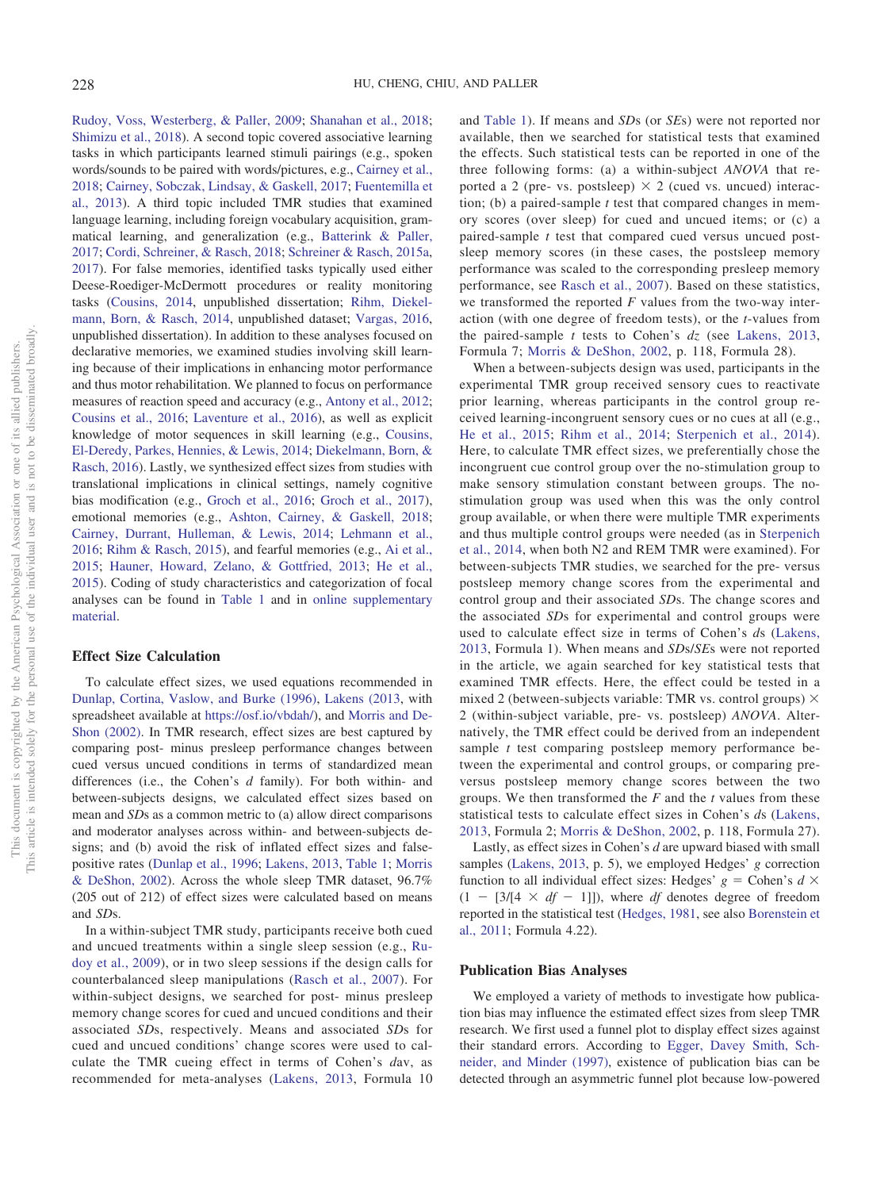[Rudoy, Voss, Westerberg, & Paller, 2009;](#page-25-4) [Shanahan et al., 2018;](#page-25-7) [Shimizu et al., 2018\)](#page-25-22). A second topic covered associative learning tasks in which participants learned stimuli pairings (e.g., spoken words/sounds to be paired with words/pictures, e.g., [Cairney et al.,](#page-22-5) [2018;](#page-22-5) [Cairney, Sobczak, Lindsay, & Gaskell, 2017;](#page-22-22) [Fuentemilla et](#page-23-13) [al., 2013\)](#page-23-13). A third topic included TMR studies that examined language learning, including foreign vocabulary acquisition, grammatical learning, and generalization (e.g., [Batterink & Paller,](#page-22-21) [2017;](#page-22-21) [Cordi, Schreiner, & Rasch, 2018;](#page-22-23) [Schreiner & Rasch, 2015a,](#page-25-19) [2017\)](#page-25-29). For false memories, identified tasks typically used either Deese-Roediger-McDermott procedures or reality monitoring tasks [\(Cousins, 2014,](#page-22-25) unpublished dissertation; [Rihm, Diekel](#page-25-17)[mann, Born, & Rasch, 2014,](#page-25-17) unpublished dataset; [Vargas, 2016,](#page-26-10) unpublished dissertation). In addition to these analyses focused on declarative memories, we examined studies involving skill learning because of their implications in enhancing motor performance and thus motor rehabilitation. We planned to focus on performance measures of reaction speed and accuracy (e.g., [Antony et al., 2012;](#page-21-5) [Cousins et al., 2016;](#page-22-19) [Laventure et al., 2016\)](#page-24-13), as well as explicit knowledge of motor sequences in skill learning (e.g., [Cousins,](#page-22-17) [El-Deredy, Parkes, Hennies, & Lewis, 2014;](#page-22-17) [Diekelmann, Born, &](#page-22-20) [Rasch, 2016\)](#page-22-20). Lastly, we synthesized effect sizes from studies with translational implications in clinical settings, namely cognitive bias modification (e.g., [Groch et al., 2016;](#page-23-9) [Groch et al., 2017\)](#page-23-10), emotional memories (e.g., [Ashton, Cairney, & Gaskell, 2018;](#page-21-7) [Cairney, Durrant, Hulleman, & Lewis, 2014;](#page-22-15) [Lehmann et al.,](#page-24-12) [2016;](#page-24-12) [Rihm & Rasch, 2015\)](#page-25-18), and fearful memories (e.g., [Ai et al.,](#page-21-6) [2015;](#page-21-6) [Hauner, Howard, Zelano, & Gottfried, 2013;](#page-23-14) [He et al.,](#page-23-15) [2015\)](#page-23-15). Coding of study characteristics and categorization of focal analyses can be found in [Table 1](#page-4-0) and in [online supplementary](http://dx.doi.org/10.1037/bul0000223.supp) [material.](http://dx.doi.org/10.1037/bul0000223.supp)

# **Effect Size Calculation**

To calculate effect sizes, we used equations recommended in [Dunlap, Cortina, Vaslow, and Burke \(1996\),](#page-23-20) [Lakens \(2013,](#page-24-24) with spreadsheet available at [https://osf.io/vbdah/\)](https://osf.io/vbdah/), and [Morris and De-](#page-24-25)[Shon \(2002\).](#page-24-25) In TMR research, effect sizes are best captured by comparing post- minus presleep performance changes between cued versus uncued conditions in terms of standardized mean differences (i.e., the Cohen's *d* family). For both within- and between-subjects designs, we calculated effect sizes based on mean and *SD*s as a common metric to (a) allow direct comparisons and moderator analyses across within- and between-subjects designs; and (b) avoid the risk of inflated effect sizes and falsepositive rates [\(Dunlap et al., 1996;](#page-23-20) [Lakens, 2013,](#page-24-24) [Table 1;](#page-4-0) [Morris](#page-24-25) [& DeShon, 2002\)](#page-24-25). Across the whole sleep TMR dataset, 96.7% (205 out of 212) of effect sizes were calculated based on means and *SD*s.

In a within-subject TMR study, participants receive both cued and uncued treatments within a single sleep session (e.g., [Ru](#page-25-4)[doy et al., 2009\)](#page-25-4), or in two sleep sessions if the design calls for counterbalanced sleep manipulations [\(Rasch et al., 2007\)](#page-25-3). For within-subject designs, we searched for post- minus presleep memory change scores for cued and uncued conditions and their associated *SD*s, respectively. Means and associated *SD*s for cued and uncued conditions' change scores were used to calculate the TMR cueing effect in terms of Cohen's *d*av, as recommended for meta-analyses [\(Lakens, 2013,](#page-24-24) Formula 10

and [Table 1\)](#page-4-0). If means and *SD*s (or *SE*s) were not reported nor available, then we searched for statistical tests that examined the effects. Such statistical tests can be reported in one of the three following forms: (a) a within-subject *ANOVA* that reported a 2 (pre- vs. postsleep)  $\times$  2 (cued vs. uncued) interaction; (b) a paired-sample *t* test that compared changes in memory scores (over sleep) for cued and uncued items; or (c) a paired-sample *t* test that compared cued versus uncued postsleep memory scores (in these cases, the postsleep memory performance was scaled to the corresponding presleep memory performance, see [Rasch et al., 2007\)](#page-25-3). Based on these statistics, we transformed the reported *F* values from the two-way interaction (with one degree of freedom tests), or the *t*-values from the paired-sample *t* tests to Cohen's *dz* (see [Lakens, 2013,](#page-24-24) Formula 7; [Morris & DeShon, 2002,](#page-24-25) p. 118, Formula 28).

When a between-subjects design was used, participants in the experimental TMR group received sensory cues to reactivate prior learning, whereas participants in the control group received learning-incongruent sensory cues or no cues at all (e.g., [He et al., 2015;](#page-23-15) [Rihm et al., 2014;](#page-25-17) [Sterpenich et al., 2014\)](#page-25-13). Here, to calculate TMR effect sizes, we preferentially chose the incongruent cue control group over the no-stimulation group to make sensory stimulation constant between groups. The nostimulation group was used when this was the only control group available, or when there were multiple TMR experiments and thus multiple control groups were needed (as in [Sterpenich](#page-25-13) [et al., 2014,](#page-25-13) when both N2 and REM TMR were examined). For between-subjects TMR studies, we searched for the pre- versus postsleep memory change scores from the experimental and control group and their associated *SD*s. The change scores and the associated *SD*s for experimental and control groups were used to calculate effect size in terms of Cohen's *d*s [\(Lakens,](#page-24-24) [2013,](#page-24-24) Formula 1). When means and *SD*s/*SE*s were not reported in the article, we again searched for key statistical tests that examined TMR effects. Here, the effect could be tested in a mixed 2 (between-subjects variable: TMR vs. control groups)  $\times$ 2 (within-subject variable, pre- vs. postsleep) *ANOVA*. Alternatively, the TMR effect could be derived from an independent sample *t* test comparing postsleep memory performance between the experimental and control groups, or comparing preversus postsleep memory change scores between the two groups. We then transformed the *F* and the *t* values from these statistical tests to calculate effect sizes in Cohen's *d*s [\(Lakens,](#page-24-24) [2013,](#page-24-24) Formula 2; [Morris & DeShon, 2002,](#page-24-25) p. 118, Formula 27).

Lastly, as effect sizes in Cohen's *d* are upward biased with small samples [\(Lakens, 2013,](#page-24-24) p. 5), we employed Hedges' *g* correction function to all individual effect sizes: Hedges'  $g = \text{Cohen's } d \times$  $(1 - [3/[4 \times df - 1]])$ , where *df* denotes degree of freedom reported in the statistical test [\(Hedges, 1981,](#page-23-21) see also [Borenstein et](#page-22-12) [al., 2011;](#page-22-12) Formula 4.22).

# **Publication Bias Analyses**

We employed a variety of methods to investigate how publication bias may influence the estimated effect sizes from sleep TMR research. We first used a funnel plot to display effect sizes against their standard errors. According to [Egger, Davey Smith, Sch](#page-23-22)[neider, and Minder \(1997\),](#page-23-22) existence of publication bias can be detected through an asymmetric funnel plot because low-powered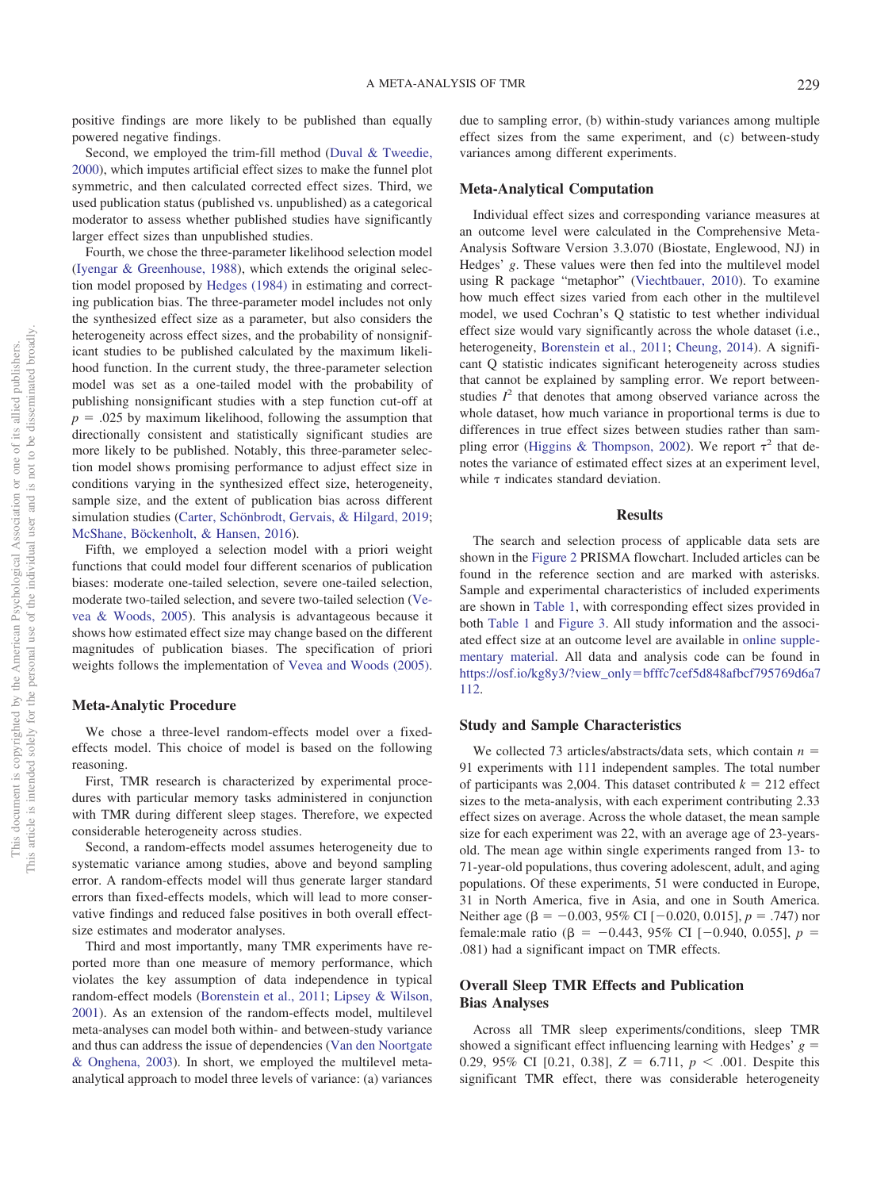positive findings are more likely to be published than equally powered negative findings.

Second, we employed the trim-fill method [\(Duval & Tweedie,](#page-23-23) [2000\)](#page-23-23), which imputes artificial effect sizes to make the funnel plot symmetric, and then calculated corrected effect sizes. Third, we used publication status (published vs. unpublished) as a categorical moderator to assess whether published studies have significantly larger effect sizes than unpublished studies.

Fourth, we chose the three-parameter likelihood selection model [\(Iyengar & Greenhouse, 1988\)](#page-24-26), which extends the original selection model proposed by [Hedges \(1984\)](#page-23-24) in estimating and correcting publication bias. The three-parameter model includes not only the synthesized effect size as a parameter, but also considers the heterogeneity across effect sizes, and the probability of nonsignificant studies to be published calculated by the maximum likelihood function. In the current study, the three-parameter selection model was set as a one-tailed model with the probability of publishing nonsignificant studies with a step function cut-off at  $p = 0.025$  by maximum likelihood, following the assumption that directionally consistent and statistically significant studies are more likely to be published. Notably, this three-parameter selection model shows promising performance to adjust effect size in conditions varying in the synthesized effect size, heterogeneity, sample size, and the extent of publication bias across different simulation studies [\(Carter, Schönbrodt, Gervais, & Hilgard, 2019;](#page-22-27) [McShane, Böckenholt, & Hansen, 2016\)](#page-24-27).

Fifth, we employed a selection model with a priori weight functions that could model four different scenarios of publication biases: moderate one-tailed selection, severe one-tailed selection, moderate two-tailed selection, and severe two-tailed selection [\(Ve](#page-26-12)[vea & Woods, 2005\)](#page-26-12). This analysis is advantageous because it shows how estimated effect size may change based on the different magnitudes of publication biases. The specification of priori weights follows the implementation of [Vevea and Woods \(2005\).](#page-26-12)

# **Meta-Analytic Procedure**

We chose a three-level random-effects model over a fixedeffects model. This choice of model is based on the following reasoning.

First, TMR research is characterized by experimental procedures with particular memory tasks administered in conjunction with TMR during different sleep stages. Therefore, we expected considerable heterogeneity across studies.

Second, a random-effects model assumes heterogeneity due to systematic variance among studies, above and beyond sampling error. A random-effects model will thus generate larger standard errors than fixed-effects models, which will lead to more conservative findings and reduced false positives in both overall effectsize estimates and moderator analyses.

Third and most importantly, many TMR experiments have reported more than one measure of memory performance, which violates the key assumption of data independence in typical random-effect models [\(Borenstein et al., 2011;](#page-22-12) [Lipsey & Wilson,](#page-24-15) [2001\)](#page-24-15). As an extension of the random-effects model, multilevel meta-analyses can model both within- and between-study variance and thus can address the issue of dependencies [\(Van den Noortgate](#page-26-13) [& Onghena, 2003\)](#page-26-13). In short, we employed the multilevel metaanalytical approach to model three levels of variance: (a) variances

due to sampling error, (b) within-study variances among multiple effect sizes from the same experiment, and (c) between-study variances among different experiments.

# **Meta-Analytical Computation**

Individual effect sizes and corresponding variance measures at an outcome level were calculated in the Comprehensive Meta-Analysis Software Version 3.3.070 (Biostate, Englewood, NJ) in Hedges' *g*. These values were then fed into the multilevel model using R package "metaphor" [\(Viechtbauer, 2010\)](#page-26-14). To examine how much effect sizes varied from each other in the multilevel model, we used Cochran's Q statistic to test whether individual effect size would vary significantly across the whole dataset (i.e., heterogeneity, [Borenstein et al., 2011;](#page-22-12) [Cheung, 2014\)](#page-22-28). A significant Q statistic indicates significant heterogeneity across studies that cannot be explained by sampling error. We report betweenstudies  $I<sup>2</sup>$  that denotes that among observed variance across the whole dataset, how much variance in proportional terms is due to differences in true effect sizes between studies rather than sam-pling error [\(Higgins & Thompson, 2002\)](#page-23-25). We report  $\tau^2$  that denotes the variance of estimated effect sizes at an experiment level, while  $\tau$  indicates standard deviation.

#### **Results**

The search and selection process of applicable data sets are shown in the [Figure 2](#page-9-0) PRISMA flowchart. Included articles can be found in the reference section and are marked with asterisks. Sample and experimental characteristics of included experiments are shown in [Table 1,](#page-4-0) with corresponding effect sizes provided in both [Table 1](#page-4-0) and [Figure 3.](#page-12-0) All study information and the associated effect size at an outcome level are available in [online supple](http://dx.doi.org/10.1037/bul0000223.supp)[mentary material.](http://dx.doi.org/10.1037/bul0000223.supp) All data and analysis code can be found in https://osf.io/kg8y3/?view\_only-[bfffc7cef5d848afbcf795769d6a7](https://osf.io/kg8y3/?view_only=bfffc7cef5d848afbcf795769d6a7112) [112.](https://osf.io/kg8y3/?view_only=bfffc7cef5d848afbcf795769d6a7112)

# **Study and Sample Characteristics**

We collected 73 articles/abstracts/data sets, which contain  $n =$ 91 experiments with 111 independent samples. The total number of participants was 2,004. This dataset contributed  $k = 212$  effect sizes to the meta-analysis, with each experiment contributing 2.33 effect sizes on average. Across the whole dataset, the mean sample size for each experiment was 22, with an average age of 23-yearsold. The mean age within single experiments ranged from 13- to 71-year-old populations, thus covering adolescent, adult, and aging populations. Of these experiments, 51 were conducted in Europe, 31 in North America, five in Asia, and one in South America. Neither age ( $\beta = -0.003, 95\%$  CI [ $-0.020, 0.015$ ],  $p = .747$ ) nor female:male ratio (β = -0.443, 95% CI [-0.940, 0.055],  $p =$ .081) had a significant impact on TMR effects.

# **Overall Sleep TMR Effects and Publication Bias Analyses**

Across all TMR sleep experiments/conditions, sleep TMR showed a significant effect influencing learning with Hedges'  $g =$ 0.29, 95% CI [0.21, 0.38],  $Z = 6.711$ ,  $p < .001$ . Despite this significant TMR effect, there was considerable heterogeneity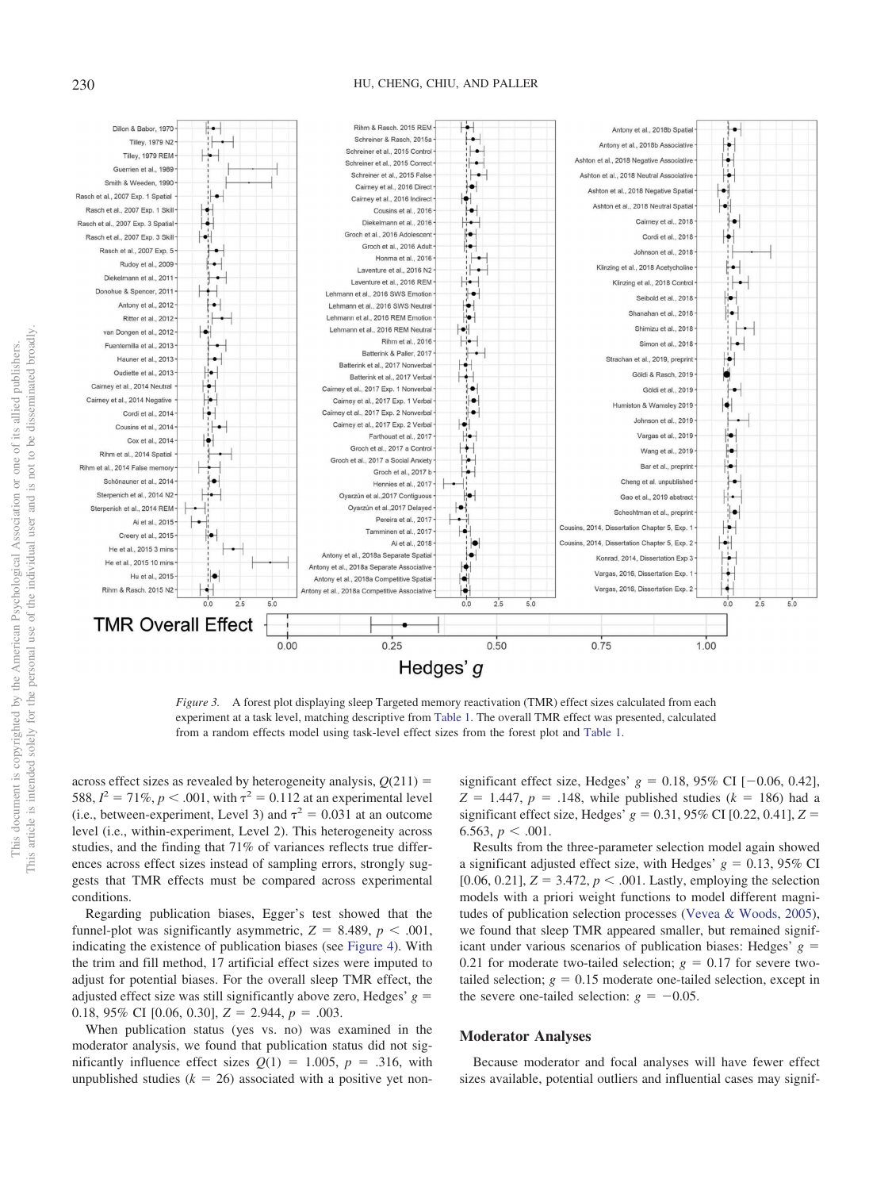# 230 HU, CHENG, CHIU, AND PALLER



<span id="page-12-0"></span>*Figure 3.* A forest plot displaying sleep Targeted memory reactivation (TMR) effect sizes calculated from each experiment at a task level, matching descriptive from [Table 1.](#page-4-0) The overall TMR effect was presented, calculated from a random effects model using task-level effect sizes from the forest plot and [Table 1.](#page-4-0)

across effect sizes as revealed by heterogeneity analysis,  $Q(211)$  = 588,  $I^2 = 71\%$ ,  $p < .001$ , with  $\tau^2 = 0.112$  at an experimental level (i.e., between-experiment, Level 3) and  $\tau^2 = 0.031$  at an outcome level (i.e., within-experiment, Level 2). This heterogeneity across studies, and the finding that 71% of variances reflects true differences across effect sizes instead of sampling errors, strongly suggests that TMR effects must be compared across experimental conditions.

Regarding publication biases, Egger's test showed that the funnel-plot was significantly asymmetric,  $Z = 8.489$ ,  $p < .001$ , indicating the existence of publication biases (see [Figure 4\)](#page-13-0). With the trim and fill method, 17 artificial effect sizes were imputed to adjust for potential biases. For the overall sleep TMR effect, the adjusted effect size was still significantly above zero, Hedges'  $g =$ 0.18, 95% CI [0.06, 0.30],  $Z = 2.944$ ,  $p = .003$ .

When publication status (yes vs. no) was examined in the moderator analysis, we found that publication status did not significantly influence effect sizes  $Q(1) = 1.005$ ,  $p = .316$ , with unpublished studies  $(k = 26)$  associated with a positive yet non-

significant effect size, Hedges'  $g = 0.18, 95\%$  CI  $[-0.06, 0.42]$ ,  $Z = 1.447$ ,  $p = .148$ , while published studies ( $k = 186$ ) had a significant effect size, Hedges'  $g = 0.31, 95\%$  CI [0.22, 0.41],  $Z =$ 6.563,  $p < .001$ .

Results from the three-parameter selection model again showed a significant adjusted effect size, with Hedges'  $g = 0.13$ , 95% CI [0.06, 0.21],  $Z = 3.472$ ,  $p < .001$ . Lastly, employing the selection models with a priori weight functions to model different magnitudes of publication selection processes [\(Vevea & Woods, 2005\)](#page-26-12), we found that sleep TMR appeared smaller, but remained significant under various scenarios of publication biases: Hedges'  $g =$ 0.21 for moderate two-tailed selection;  $g = 0.17$  for severe twotailed selection;  $g = 0.15$  moderate one-tailed selection, except in the severe one-tailed selection:  $g = -0.05$ .

#### **Moderator Analyses**

Because moderator and focal analyses will have fewer effect sizes available, potential outliers and influential cases may signif-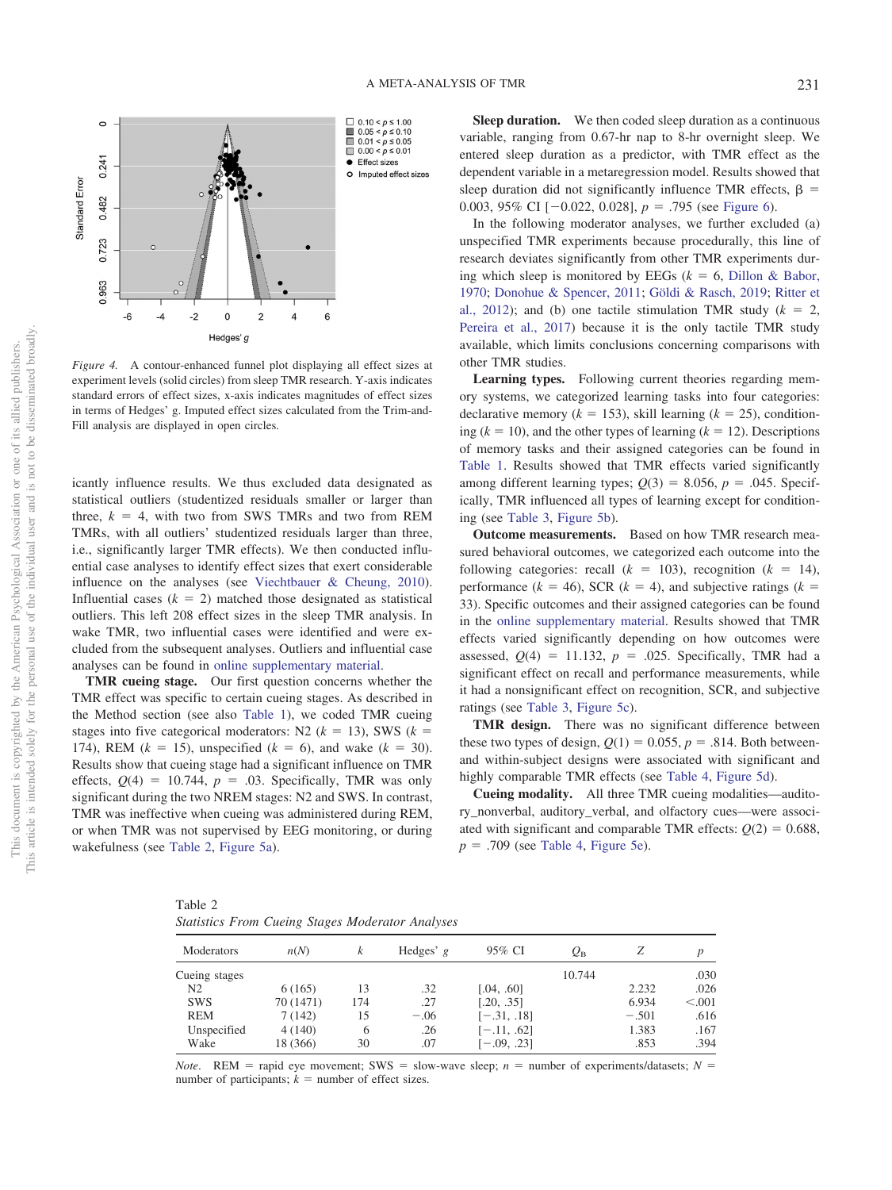

<span id="page-13-0"></span>*Figure 4.* A contour-enhanced funnel plot displaying all effect sizes at experiment levels (solid circles) from sleep TMR research. Y-axis indicates standard errors of effect sizes, x-axis indicates magnitudes of effect sizes in terms of Hedges' g. Imputed effect sizes calculated from the Trim-and-Fill analysis are displayed in open circles.

icantly influence results. We thus excluded data designated as statistical outliers (studentized residuals smaller or larger than three,  $k = 4$ , with two from SWS TMRs and two from REM TMRs, with all outliers' studentized residuals larger than three, i.e., significantly larger TMR effects). We then conducted influential case analyses to identify effect sizes that exert considerable influence on the analyses (see [Viechtbauer & Cheung, 2010\)](#page-26-15). Influential cases  $(k = 2)$  matched those designated as statistical outliers. This left 208 effect sizes in the sleep TMR analysis. In wake TMR, two influential cases were identified and were excluded from the subsequent analyses. Outliers and influential case analyses can be found in [online supplementary material.](http://dx.doi.org/10.1037/bul0000223.supp)

**TMR cueing stage.** Our first question concerns whether the TMR effect was specific to certain cueing stages. As described in the Method section (see also [Table 1\)](#page-4-0), we coded TMR cueing stages into five categorical moderators: N2  $(k = 13)$ , SWS  $(k = 14)$ 174), REM ( $k = 15$ ), unspecified ( $k = 6$ ), and wake ( $k = 30$ ). Results show that cueing stage had a significant influence on TMR effects,  $Q(4) = 10.744$ ,  $p = .03$ . Specifically, TMR was only significant during the two NREM stages: N2 and SWS. In contrast, TMR was ineffective when cueing was administered during REM, or when TMR was not supervised by EEG monitoring, or during wakefulness (see [Table 2,](#page-13-1) [Figure 5a\)](#page-14-0).

**Sleep duration.** We then coded sleep duration as a continuous variable, ranging from 0.67-hr nap to 8-hr overnight sleep. We entered sleep duration as a predictor, with TMR effect as the dependent variable in a metaregression model. Results showed that sleep duration did not significantly influence TMR effects,  $\beta$  = 0.003, 95% CI  $[-0.022, 0.028]$ ,  $p = .795$  (see [Figure 6\)](#page-15-0).

In the following moderator analyses, we further excluded (a) unspecified TMR experiments because procedurally, this line of research deviates significantly from other TMR experiments during which sleep is monitored by EEGs  $(k = 6, 2)$  [Dillon & Babor,](#page-22-13) [1970;](#page-22-13) [Donohue & Spencer, 2011;](#page-23-12) [Göldi & Rasch, 2019;](#page-23-17) [Ritter et](#page-25-16) [al., 2012\)](#page-25-16); and (b) one tactile stimulation TMR study  $(k = 2,$ [Pereira et al., 2017\)](#page-24-17) because it is the only tactile TMR study available, which limits conclusions concerning comparisons with other TMR studies.

**Learning types.** Following current theories regarding memory systems, we categorized learning tasks into four categories: declarative memory ( $k = 153$ ), skill learning ( $k = 25$ ), conditioning  $(k = 10)$ , and the other types of learning  $(k = 12)$ . Descriptions of memory tasks and their assigned categories can be found in [Table 1.](#page-4-0) Results showed that TMR effects varied significantly among different learning types;  $Q(3) = 8.056$ ,  $p = .045$ . Specifically, TMR influenced all types of learning except for conditioning (see [Table 3,](#page-15-1) [Figure 5b\)](#page-14-0).

**Outcome measurements.** Based on how TMR research measured behavioral outcomes, we categorized each outcome into the following categories: recall  $(k = 103)$ , recognition  $(k = 14)$ , performance  $(k = 46)$ , SCR  $(k = 4)$ , and subjective ratings  $(k = 46)$ 33). Specific outcomes and their assigned categories can be found in the [online supplementary material.](http://dx.doi.org/10.1037/bul0000223.supp) Results showed that TMR effects varied significantly depending on how outcomes were assessed,  $Q(4) = 11.132$ ,  $p = .025$ . Specifically, TMR had a significant effect on recall and performance measurements, while it had a nonsignificant effect on recognition, SCR, and subjective ratings (see [Table 3,](#page-15-1) [Figure 5c\)](#page-14-0).

**TMR design.** There was no significant difference between these two types of design,  $Q(1) = 0.055$ ,  $p = .814$ . Both betweenand within-subject designs were associated with significant and highly comparable TMR effects (see [Table 4,](#page-16-0) [Figure 5d\)](#page-14-0).

**Cueing modality.** All three TMR cueing modalities—auditory\_nonverbal, auditory\_verbal, and olfactory cues—were associated with significant and comparable TMR effects:  $Q(2) = 0.688$ ,  $p = .709$  (see [Table 4,](#page-16-0) [Figure 5e\)](#page-14-0).

<span id="page-13-1"></span>Table 2 *Statistics From Cueing Stages Moderator Analyses*

| Moderators     | n(N)      | k   | Hedges' $g$ | 95% CI        | $\varrho_{\textrm{\tiny B}}$ | Ζ       | $\boldsymbol{D}$ |
|----------------|-----------|-----|-------------|---------------|------------------------------|---------|------------------|
| Cueing stages  |           |     |             |               | 10.744                       |         | .030             |
| N <sub>2</sub> | 6(165)    | 13  | .32         | [.04, .60]    |                              | 2.232   | .026             |
| <b>SWS</b>     | 70 (1471) | 174 | .27         | [.20, .35]    |                              | 6.934   | < 0.001          |
| <b>REM</b>     | 7(142)    | 15  | $-.06$      | $[-.31, .18]$ |                              | $-.501$ | .616             |
| Unspecified    | 4(140)    | 6   | .26         | $[-.11, .62]$ |                              | 1.383   | .167             |
| Wake           | 18 (366)  | 30  | .07         | $[-.09, .23]$ |                              | .853    | .394             |

*Note*. REM = rapid eye movement; SWS = slow-wave sleep;  $n =$  number of experiments/datasets;  $N =$ number of participants;  $k =$  number of effect sizes.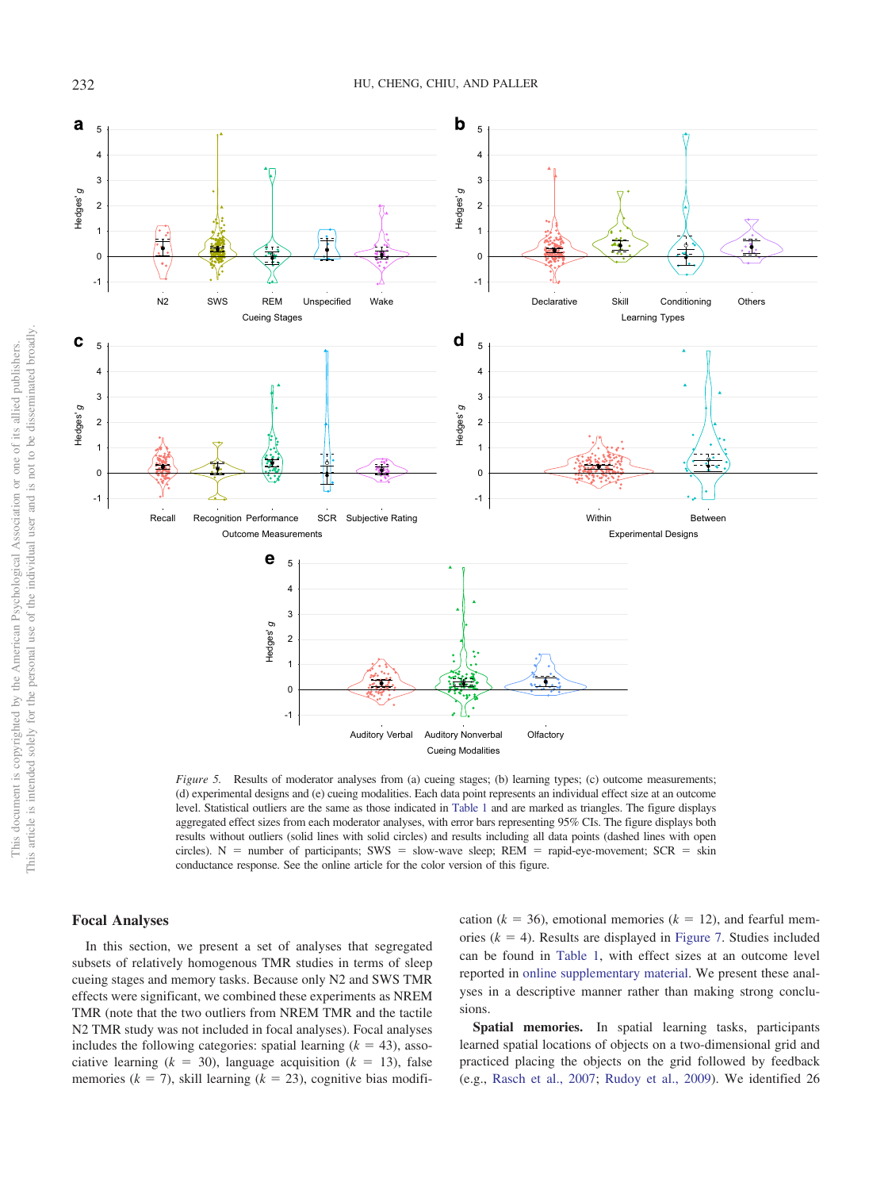

<span id="page-14-0"></span>*Figure 5.* Results of moderator analyses from (a) cueing stages; (b) learning types; (c) outcome measurements; (d) experimental designs and (e) cueing modalities. Each data point represents an individual effect size at an outcome level. Statistical outliers are the same as those indicated in [Table 1](#page-4-0) and are marked as triangles. The figure displays aggregated effect sizes from each moderator analyses, with error bars representing 95% CIs. The figure displays both results without outliers (solid lines with solid circles) and results including all data points (dashed lines with open circles).  $N =$  number of participants; SWS = slow-wave sleep; REM = rapid-eye-movement; SCR = skin conductance response. See the online article for the color version of this figure.

# **Focal Analyses**

In this section, we present a set of analyses that segregated subsets of relatively homogenous TMR studies in terms of sleep cueing stages and memory tasks. Because only N2 and SWS TMR effects were significant, we combined these experiments as NREM TMR (note that the two outliers from NREM TMR and the tactile N2 TMR study was not included in focal analyses). Focal analyses includes the following categories: spatial learning  $(k = 43)$ , associative learning  $(k = 30)$ , language acquisition  $(k = 13)$ , false memories ( $k = 7$ ), skill learning ( $k = 23$ ), cognitive bias modifi-

cation ( $k = 36$ ), emotional memories ( $k = 12$ ), and fearful memories  $(k = 4)$ . Results are displayed in [Figure 7.](#page-16-1) Studies included can be found in [Table 1,](#page-4-0) with effect sizes at an outcome level reported in [online supplementary material.](http://dx.doi.org/10.1037/bul0000223.supp) We present these analyses in a descriptive manner rather than making strong conclusions.

**Spatial memories.** In spatial learning tasks, participants learned spatial locations of objects on a two-dimensional grid and practiced placing the objects on the grid followed by feedback (e.g., [Rasch et al., 2007;](#page-25-3) [Rudoy et al., 2009\)](#page-25-4). We identified 26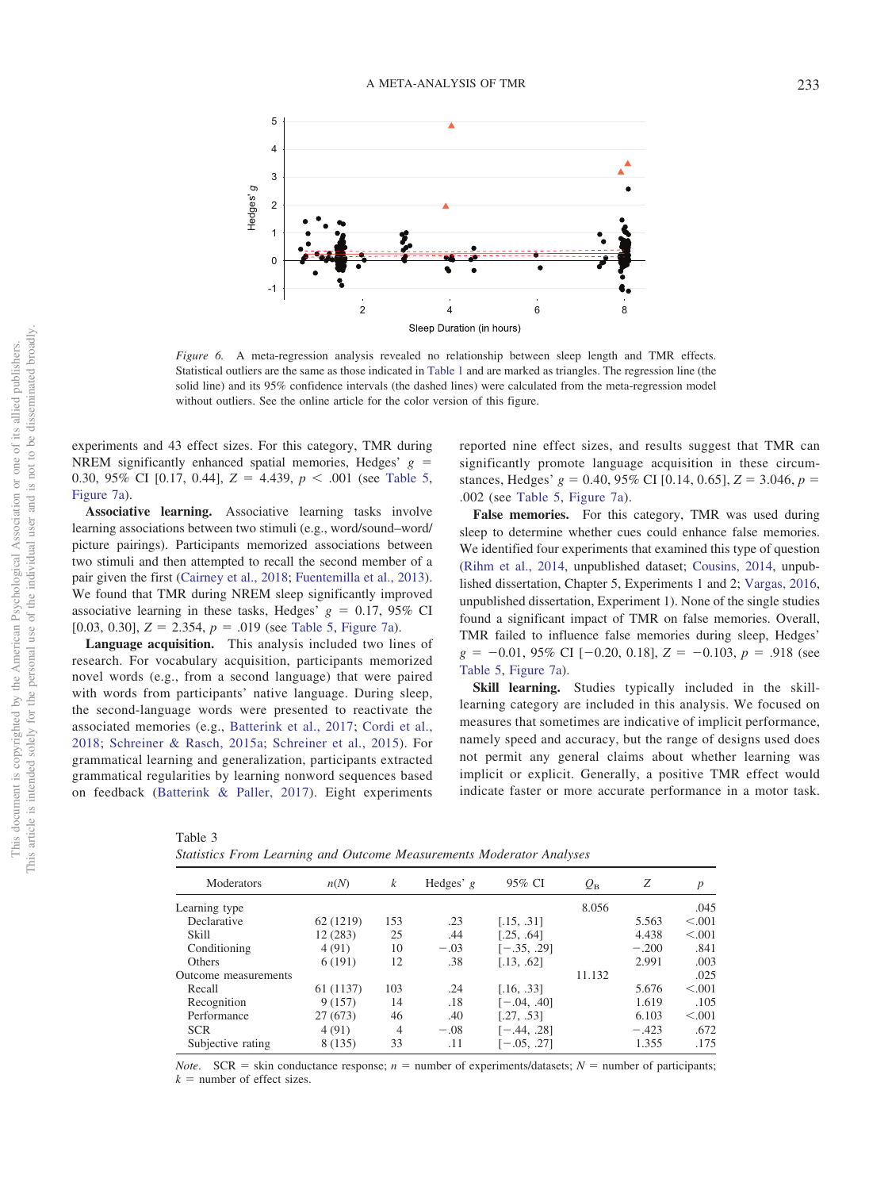

<span id="page-15-0"></span>*Figure 6.* A meta-regression analysis revealed no relationship between sleep length and TMR effects. Statistical outliers are the same as those indicated in [Table 1](#page-4-0) and are marked as triangles. The regression line (the solid line) and its 95% confidence intervals (the dashed lines) were calculated from the meta-regression model without outliers. See the online article for the color version of this figure.

experiments and 43 effect sizes. For this category, TMR during NREM significantly enhanced spatial memories, Hedges'  $g =$ 0.30, 95% CI [0.17, 0.44],  $Z = 4.439$ ,  $p < .001$  (see [Table 5,](#page-17-0) [Figure 7a\)](#page-16-1).

**Associative learning.** Associative learning tasks involve learning associations between two stimuli (e.g., word/sound–word/ picture pairings). Participants memorized associations between two stimuli and then attempted to recall the second member of a pair given the first [\(Cairney et al., 2018;](#page-22-5) [Fuentemilla et al., 2013\)](#page-23-13). We found that TMR during NREM sleep significantly improved associative learning in these tasks, Hedges'  $g = 0.17, 95\%$  CI [0.03, 0.30],  $Z = 2.354$ ,  $p = .019$  (see [Table 5,](#page-17-0) [Figure 7a\)](#page-16-1).

**Language acquisition.** This analysis included two lines of research. For vocabulary acquisition, participants memorized novel words (e.g., from a second language) that were paired with words from participants' native language. During sleep, the second-language words were presented to reactivate the associated memories (e.g., [Batterink et al., 2017;](#page-22-21) [Cordi et al.,](#page-22-23) [2018;](#page-22-23) [Schreiner & Rasch, 2015a;](#page-25-19) [Schreiner et al., 2015\)](#page-25-6). For grammatical learning and generalization, participants extracted grammatical regularities by learning nonword sequences based on feedback [\(Batterink & Paller, 2017\)](#page-22-21). Eight experiments

<span id="page-15-1"></span> $T<sub>11</sub>$   $\alpha$ 

reported nine effect sizes, and results suggest that TMR can significantly promote language acquisition in these circumstances, Hedges'  $g = 0.40, 95\%$  CI [0.14, 0.65],  $Z = 3.046, p =$ .002 (see [Table 5,](#page-17-0) [Figure 7a\)](#page-16-1).

**False memories.** For this category, TMR was used during sleep to determine whether cues could enhance false memories. We identified four experiments that examined this type of question [\(Rihm et al., 2014,](#page-25-17) unpublished dataset; [Cousins, 2014,](#page-22-25) unpublished dissertation, Chapter 5, Experiments 1 and 2; [Vargas, 2016,](#page-26-10) unpublished dissertation, Experiment 1). None of the single studies found a significant impact of TMR on false memories. Overall, TMR failed to influence false memories during sleep, Hedges'  $g = -0.01, 95\% \text{ CI} [-0.20, 0.18], Z = -0.103, p = .918 \text{ (see)}$ [Table 5,](#page-17-0) [Figure 7a\)](#page-16-1).

**Skill learning.** Studies typically included in the skilllearning category are included in this analysis. We focused on measures that sometimes are indicative of implicit performance, namely speed and accuracy, but the range of designs used does not permit any general claims about whether learning was implicit or explicit. Generally, a positive TMR effect would indicate faster or more accurate performance in a motor task.

| rapie 5 |  |  |                                                                      |  |
|---------|--|--|----------------------------------------------------------------------|--|
|         |  |  | Statistics From Learning and Outcome Measurements Moderator Analyses |  |

| Moderators           | n(N)      | k   | Hedges' $g$ | 95% CI        | $\varrho_{\textrm{\tiny B}}$ | Z       | $\boldsymbol{p}$ |
|----------------------|-----------|-----|-------------|---------------|------------------------------|---------|------------------|
| Learning type        |           |     |             |               | 8.056                        |         | .045             |
| Declarative          | 62 (1219) | 153 | .23         | [.15, .31]    |                              | 5.563   | < 0.001          |
| Skill                | 12 (283)  | 25  | .44         | [.25, .64]    |                              | 4.438   | < 0.001          |
| Conditioning         | 4(91)     | 10  | $-.03$      | $[-.35, .29]$ |                              | $-.200$ | .841             |
| <b>Others</b>        | 6(191)    | 12  | .38         | [.13, .62]    |                              | 2.991   | .003             |
| Outcome measurements |           |     |             |               | 11.132                       |         | .025             |
| Recall               | 61 (1137) | 103 | .24         | [.16, .33]    |                              | 5.676   | < 0.001          |
| Recognition          | 9(157)    | 14  | .18         | $[-.04, .40]$ |                              | 1.619   | .105             |
| Performance          | 27(673)   | 46  | .40         | [.27, .53]    |                              | 6.103   | < 0.001          |
| <b>SCR</b>           | 4(91)     | 4   | $-.08$      | $[-.44, .28]$ |                              | $-.423$ | .672             |
| Subjective rating    | 8(135)    | 33  | .11         | $[-.05, .27]$ |                              | 1.355   | .175             |
|                      |           |     |             |               |                              |         |                  |

*Note.*  $SCR = skin$  conductance response;  $n =$  number of experiments/datasets;  $N =$  number of participants;  $k =$  number of effect sizes.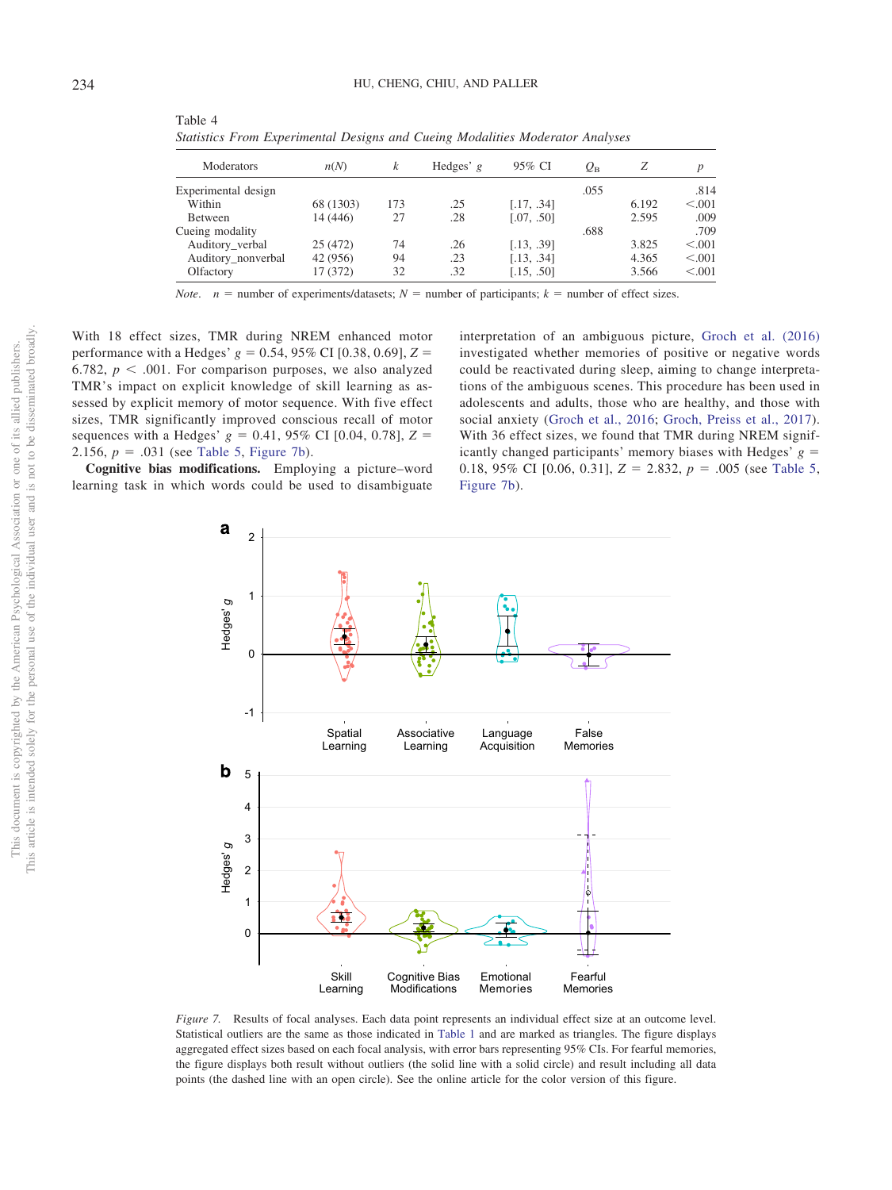| Moderators          | n(N)      | k   | Hedges' $g$ | 95% CI     | $\varrho_{\textrm{\tiny R}}$ |       | D       |
|---------------------|-----------|-----|-------------|------------|------------------------------|-------|---------|
| Experimental design |           |     |             |            | .055                         |       | .814    |
| Within              | 68 (1303) | 173 | .25         | [.17, .34] |                              | 6.192 | < 0.001 |
| Between             | 14 (446)  | 27  | .28         | [.07, .50] |                              | 2.595 | .009    |
| Cueing modality     |           |     |             |            | .688                         |       | .709    |
| Auditory_verbal     | 25 (472)  | 74  | .26         | [.13, .39] |                              | 3.825 | < 0.001 |
| Auditory_nonverbal  | 42 (956)  | 94  | .23         | [.13, .34] |                              | 4.365 | < 0.001 |
| Olfactory           | 17 (372)  | 32  | .32         | [.15, .50] |                              | 3.566 | < 0.001 |

<span id="page-16-0"></span>Table 4 *Statistics From Experimental Designs and Cueing Modalities Moderator Analyses*

*Note.*  $n =$  number of experiments/datasets;  $N =$  number of participants;  $k =$  number of effect sizes.

With 18 effect sizes, TMR during NREM enhanced motor performance with a Hedges'  $g = 0.54, 95\%$  CI [0.38, 0.69],  $Z =$ 6.782,  $p < .001$ . For comparison purposes, we also analyzed TMR's impact on explicit knowledge of skill learning as assessed by explicit memory of motor sequence. With five effect sizes, TMR significantly improved conscious recall of motor sequences with a Hedges'  $g = 0.41, 95\%$  CI [0.04, 0.78],  $Z =$ 2.156,  $p = .031$  (see [Table 5,](#page-17-0) [Figure 7b\)](#page-16-1).

**Cognitive bias modifications.** Employing a picture–word learning task in which words could be used to disambiguate interpretation of an ambiguous picture, [Groch et al. \(2016\)](#page-23-9) investigated whether memories of positive or negative words could be reactivated during sleep, aiming to change interpretations of the ambiguous scenes. This procedure has been used in adolescents and adults, those who are healthy, and those with social anxiety [\(Groch et al., 2016;](#page-23-9) [Groch, Preiss et al., 2017\)](#page-23-10). With 36 effect sizes, we found that TMR during NREM significantly changed participants' memory biases with Hedges'  $g =$ 0.18, 95% CI [0.06, 0.31],  $Z = 2.832$ ,  $p = .005$  (see [Table 5,](#page-17-0) [Figure 7b\)](#page-16-1).



<span id="page-16-1"></span>*Figure 7.* Results of focal analyses. Each data point represents an individual effect size at an outcome level. Statistical outliers are the same as those indicated in [Table 1](#page-4-0) and are marked as triangles. The figure displays aggregated effect sizes based on each focal analysis, with error bars representing 95% CIs. For fearful memories, the figure displays both result without outliers (the solid line with a solid circle) and result including all data points (the dashed line with an open circle). See the online article for the color version of this figure.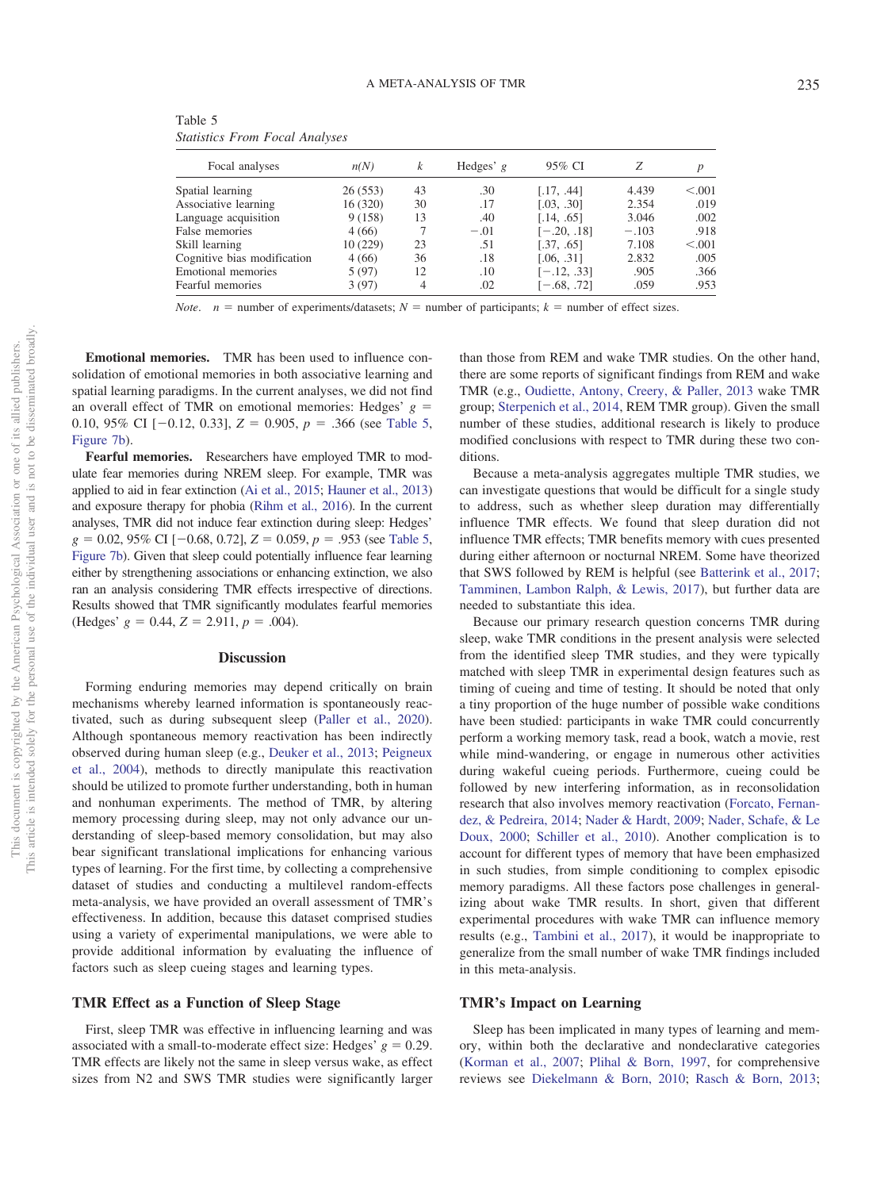| Focal analyses              | n(N)     | k  | Hedges' $g$ | 95% CI        |         |         |
|-----------------------------|----------|----|-------------|---------------|---------|---------|
| Spatial learning            | 26(553)  | 43 | .30         | [.17, .44]    | 4.439   | < 0.001 |
| Associative learning        | 16(320)  | 30 | .17         | [.03, .30]    | 2.354   | .019    |
| Language acquisition        | 9(158)   | 13 | .40         | [.14, .65]    | 3.046   | .002    |
| False memories              | 4(66)    |    | $-.01$      | $[-.20, .18]$ | $-.103$ | .918    |
| Skill learning              | 10 (229) | 23 | .51         | [.37, .65]    | 7.108   | < 0.001 |
| Cognitive bias modification | 4(66)    | 36 | .18         | [.06, .31]    | 2.832   | .005    |
| Emotional memories          | 5(97)    | 12 | .10         | $[-.12, .33]$ | .905    | .366    |
| Fearful memories            | 3(97)    | 4  | .02         | $[-.68, .72]$ | .059    | .953    |

<span id="page-17-0"></span>Table 5 *Statistics From Focal Analyses*

*Note.*  $n =$  number of experiments/datasets;  $N =$  number of participants;  $k =$  number of effect sizes.

**Emotional memories.** TMR has been used to influence consolidation of emotional memories in both associative learning and spatial learning paradigms. In the current analyses, we did not find an overall effect of TMR on emotional memories: Hedges'  $g =$ 0.10, 95% CI  $[-0.12, 0.33]$ ,  $Z = 0.905$ ,  $p = .366$  (see [Table 5,](#page-17-0) [Figure 7b\)](#page-16-1).

**Fearful memories.** Researchers have employed TMR to modulate fear memories during NREM sleep. For example, TMR was applied to aid in fear extinction [\(Ai et al., 2015;](#page-21-6) [Hauner et al., 2013\)](#page-23-14) and exposure therapy for phobia [\(Rihm et al., 2016\)](#page-25-9). In the current analyses, TMR did not induce fear extinction during sleep: Hedges'  $g = 0.02, 95\% \text{ CI} [-0.68, 0.72], Z = 0.059, p = .953 \text{ (see Table 5, }$  $g = 0.02, 95\% \text{ CI} [-0.68, 0.72], Z = 0.059, p = .953 \text{ (see Table 5, }$  $g = 0.02, 95\% \text{ CI} [-0.68, 0.72], Z = 0.059, p = .953 \text{ (see Table 5, }$ [Figure 7b\)](#page-16-1). Given that sleep could potentially influence fear learning either by strengthening associations or enhancing extinction, we also ran an analysis considering TMR effects irrespective of directions. Results showed that TMR significantly modulates fearful memories  $(Hedges' g = 0.44, Z = 2.911, p = .004).$ 

# **Discussion**

Forming enduring memories may depend critically on brain mechanisms whereby learned information is spontaneously reactivated, such as during subsequent sleep [\(Paller et al., 2020\)](#page-24-0). Although spontaneous memory reactivation has been indirectly observed during human sleep (e.g., [Deuker et al., 2013;](#page-22-2) [Peigneux](#page-24-5) [et al., 2004\)](#page-24-5), methods to directly manipulate this reactivation should be utilized to promote further understanding, both in human and nonhuman experiments. The method of TMR, by altering memory processing during sleep, may not only advance our understanding of sleep-based memory consolidation, but may also bear significant translational implications for enhancing various types of learning. For the first time, by collecting a comprehensive dataset of studies and conducting a multilevel random-effects meta-analysis, we have provided an overall assessment of TMR's effectiveness. In addition, because this dataset comprised studies using a variety of experimental manipulations, we were able to provide additional information by evaluating the influence of factors such as sleep cueing stages and learning types.

# **TMR Effect as a Function of Sleep Stage**

First, sleep TMR was effective in influencing learning and was associated with a small-to-moderate effect size: Hedges'  $g = 0.29$ . TMR effects are likely not the same in sleep versus wake, as effect sizes from N2 and SWS TMR studies were significantly larger than those from REM and wake TMR studies. On the other hand, there are some reports of significant findings from REM and wake TMR (e.g., [Oudiette, Antony, Creery, & Paller, 2013](#page-24-16) wake TMR group; [Sterpenich et al., 2014,](#page-25-13) REM TMR group). Given the small number of these studies, additional research is likely to produce modified conclusions with respect to TMR during these two conditions.

Because a meta-analysis aggregates multiple TMR studies, we can investigate questions that would be difficult for a single study to address, such as whether sleep duration may differentially influence TMR effects. We found that sleep duration did not influence TMR effects; TMR benefits memory with cues presented during either afternoon or nocturnal NREM. Some have theorized that SWS followed by REM is helpful (see [Batterink et al., 2017;](#page-22-21) [Tamminen, Lambon Ralph, & Lewis, 2017\)](#page-25-20), but further data are needed to substantiate this idea.

Because our primary research question concerns TMR during sleep, wake TMR conditions in the present analysis were selected from the identified sleep TMR studies, and they were typically matched with sleep TMR in experimental design features such as timing of cueing and time of testing. It should be noted that only a tiny proportion of the huge number of possible wake conditions have been studied: participants in wake TMR could concurrently perform a working memory task, read a book, watch a movie, rest while mind-wandering, or engage in numerous other activities during wakeful cueing periods. Furthermore, cueing could be followed by new interfering information, as in reconsolidation research that also involves memory reactivation [\(Forcato, Fernan](#page-23-26)[dez, & Pedreira, 2014;](#page-23-26) [Nader & Hardt, 2009;](#page-24-28) [Nader, Schafe, & Le](#page-24-29) [Doux, 2000;](#page-24-29) [Schiller et al., 2010\)](#page-25-30). Another complication is to account for different types of memory that have been emphasized in such studies, from simple conditioning to complex episodic memory paradigms. All these factors pose challenges in generalizing about wake TMR results. In short, given that different experimental procedures with wake TMR can influence memory results (e.g., [Tambini et al., 2017\)](#page-25-27), it would be inappropriate to generalize from the small number of wake TMR findings included in this meta-analysis.

# **TMR's Impact on Learning**

Sleep has been implicated in many types of learning and memory, within both the declarative and nondeclarative categories [\(Korman et al., 2007;](#page-24-30) [Plihal & Born, 1997,](#page-25-31) for comprehensive reviews see [Diekelmann & Born, 2010;](#page-22-1) [Rasch & Born, 2013;](#page-25-0)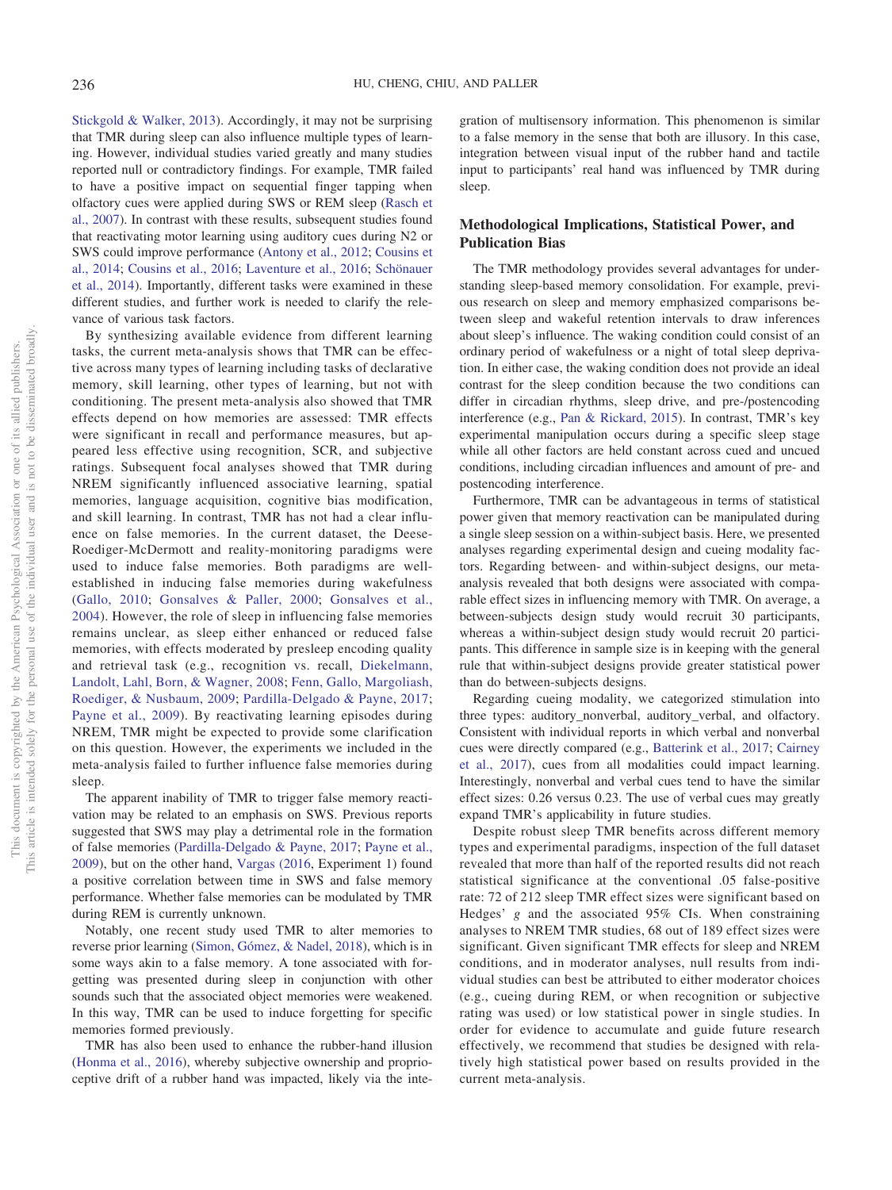[Stickgold & Walker, 2013\)](#page-25-1). Accordingly, it may not be surprising that TMR during sleep can also influence multiple types of learning. However, individual studies varied greatly and many studies reported null or contradictory findings. For example, TMR failed to have a positive impact on sequential finger tapping when olfactory cues were applied during SWS or REM sleep [\(Rasch et](#page-25-3) [al., 2007\)](#page-25-3). In contrast with these results, subsequent studies found that reactivating motor learning using auditory cues during N2 or SWS could improve performance [\(Antony et al., 2012;](#page-21-5) [Cousins et](#page-22-17) [al., 2014;](#page-22-17) [Cousins et al., 2016;](#page-22-19) [Laventure et al., 2016;](#page-24-13) [Schönauer](#page-25-8) [et al., 2014\)](#page-25-8). Importantly, different tasks were examined in these different studies, and further work is needed to clarify the relevance of various task factors.

By synthesizing available evidence from different learning tasks, the current meta-analysis shows that TMR can be effective across many types of learning including tasks of declarative memory, skill learning, other types of learning, but not with conditioning. The present meta-analysis also showed that TMR effects depend on how memories are assessed: TMR effects were significant in recall and performance measures, but appeared less effective using recognition, SCR, and subjective ratings. Subsequent focal analyses showed that TMR during NREM significantly influenced associative learning, spatial memories, language acquisition, cognitive bias modification, and skill learning. In contrast, TMR has not had a clear influence on false memories. In the current dataset, the Deese-Roediger-McDermott and reality-monitoring paradigms were used to induce false memories. Both paradigms are wellestablished in inducing false memories during wakefulness [\(Gallo, 2010;](#page-23-27) [Gonsalves & Paller, 2000;](#page-23-28) [Gonsalves et al.,](#page-23-29) [2004\)](#page-23-29). However, the role of sleep in influencing false memories remains unclear, as sleep either enhanced or reduced false memories, with effects moderated by presleep encoding quality and retrieval task (e.g., recognition vs. recall, [Diekelmann,](#page-22-29) [Landolt, Lahl, Born, & Wagner, 2008;](#page-22-29) [Fenn, Gallo, Margoliash,](#page-23-30) [Roediger, & Nusbaum, 2009;](#page-23-30) [Pardilla-Delgado & Payne, 2017;](#page-24-31) [Payne et al., 2009\)](#page-24-32). By reactivating learning episodes during NREM, TMR might be expected to provide some clarification on this question. However, the experiments we included in the meta-analysis failed to further influence false memories during sleep.

The apparent inability of TMR to trigger false memory reactivation may be related to an emphasis on SWS. Previous reports suggested that SWS may play a detrimental role in the formation of false memories [\(Pardilla-Delgado & Payne, 2017;](#page-24-31) [Payne et al.,](#page-24-32) [2009\)](#page-24-32), but on the other hand, [Vargas \(2016,](#page-26-10) Experiment 1) found a positive correlation between time in SWS and false memory performance. Whether false memories can be modulated by TMR during REM is currently unknown.

Notably, one recent study used TMR to alter memories to reverse prior learning [\(Simon, Gómez, & Nadel, 2018\)](#page-25-23), which is in some ways akin to a false memory. A tone associated with forgetting was presented during sleep in conjunction with other sounds such that the associated object memories were weakened. In this way, TMR can be used to induce forgetting for specific memories formed previously.

TMR has also been used to enhance the rubber-hand illusion [\(Honma et al., 2016\)](#page-24-10), whereby subjective ownership and proprioceptive drift of a rubber hand was impacted, likely via the inte-

gration of multisensory information. This phenomenon is similar to a false memory in the sense that both are illusory. In this case, integration between visual input of the rubber hand and tactile input to participants' real hand was influenced by TMR during sleep.

# **Methodological Implications, Statistical Power, and Publication Bias**

The TMR methodology provides several advantages for understanding sleep-based memory consolidation. For example, previous research on sleep and memory emphasized comparisons between sleep and wakeful retention intervals to draw inferences about sleep's influence. The waking condition could consist of an ordinary period of wakefulness or a night of total sleep deprivation. In either case, the waking condition does not provide an ideal contrast for the sleep condition because the two conditions can differ in circadian rhythms, sleep drive, and pre-/postencoding interference (e.g., [Pan & Rickard, 2015\)](#page-24-33). In contrast, TMR's key experimental manipulation occurs during a specific sleep stage while all other factors are held constant across cued and uncued conditions, including circadian influences and amount of pre- and postencoding interference.

Furthermore, TMR can be advantageous in terms of statistical power given that memory reactivation can be manipulated during a single sleep session on a within-subject basis. Here, we presented analyses regarding experimental design and cueing modality factors. Regarding between- and within-subject designs, our metaanalysis revealed that both designs were associated with comparable effect sizes in influencing memory with TMR. On average, a between-subjects design study would recruit 30 participants, whereas a within-subject design study would recruit 20 participants. This difference in sample size is in keeping with the general rule that within-subject designs provide greater statistical power than do between-subjects designs.

Regarding cueing modality, we categorized stimulation into three types: auditory\_nonverbal, auditory\_verbal, and olfactory. Consistent with individual reports in which verbal and nonverbal cues were directly compared (e.g., [Batterink et al., 2017;](#page-22-21) [Cairney](#page-22-22) [et al., 2017\)](#page-22-22), cues from all modalities could impact learning. Interestingly, nonverbal and verbal cues tend to have the similar effect sizes: 0.26 versus 0.23. The use of verbal cues may greatly expand TMR's applicability in future studies.

Despite robust sleep TMR benefits across different memory types and experimental paradigms, inspection of the full dataset revealed that more than half of the reported results did not reach statistical significance at the conventional .05 false-positive rate: 72 of 212 sleep TMR effect sizes were significant based on Hedges' *g* and the associated 95% CIs. When constraining analyses to NREM TMR studies, 68 out of 189 effect sizes were significant. Given significant TMR effects for sleep and NREM conditions, and in moderator analyses, null results from individual studies can best be attributed to either moderator choices (e.g., cueing during REM, or when recognition or subjective rating was used) or low statistical power in single studies. In order for evidence to accumulate and guide future research effectively, we recommend that studies be designed with relatively high statistical power based on results provided in the current meta-analysis.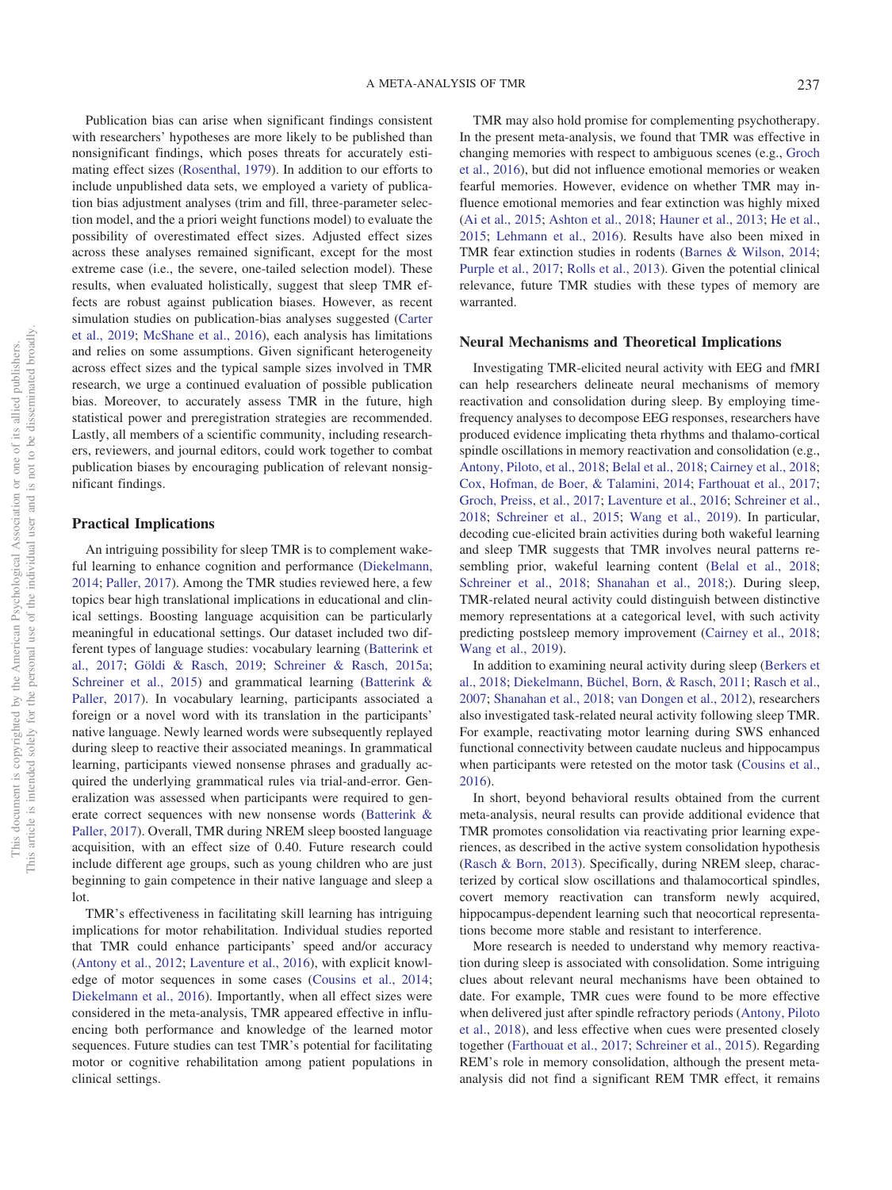Publication bias can arise when significant findings consistent with researchers' hypotheses are more likely to be published than nonsignificant findings, which poses threats for accurately estimating effect sizes [\(Rosenthal, 1979\)](#page-25-32). In addition to our efforts to include unpublished data sets, we employed a variety of publication bias adjustment analyses (trim and fill, three-parameter selection model, and the a priori weight functions model) to evaluate the possibility of overestimated effect sizes. Adjusted effect sizes across these analyses remained significant, except for the most extreme case (i.e., the severe, one-tailed selection model). These results, when evaluated holistically, suggest that sleep TMR effects are robust against publication biases. However, as recent simulation studies on publication-bias analyses suggested [\(Carter](#page-22-27) [et al., 2019;](#page-22-27) [McShane et al., 2016\)](#page-24-27), each analysis has limitations and relies on some assumptions. Given significant heterogeneity across effect sizes and the typical sample sizes involved in TMR research, we urge a continued evaluation of possible publication bias. Moreover, to accurately assess TMR in the future, high statistical power and preregistration strategies are recommended. Lastly, all members of a scientific community, including researchers, reviewers, and journal editors, could work together to combat publication biases by encouraging publication of relevant nonsignificant findings.

# **Practical Implications**

An intriguing possibility for sleep TMR is to complement wakeful learning to enhance cognition and performance [\(Diekelmann,](#page-22-0) [2014;](#page-22-0) [Paller, 2017\)](#page-24-1). Among the TMR studies reviewed here, a few topics bear high translational implications in educational and clinical settings. Boosting language acquisition can be particularly meaningful in educational settings. Our dataset included two different types of language studies: vocabulary learning [\(Batterink et](#page-22-21) [al., 2017;](#page-22-21) [Göldi & Rasch, 2019;](#page-23-17) [Schreiner & Rasch, 2015a;](#page-25-19) [Schreiner et al., 2015\)](#page-25-6) and grammatical learning [\(Batterink &](#page-22-21) [Paller, 2017\)](#page-22-21). In vocabulary learning, participants associated a foreign or a novel word with its translation in the participants' native language. Newly learned words were subsequently replayed during sleep to reactive their associated meanings. In grammatical learning, participants viewed nonsense phrases and gradually acquired the underlying grammatical rules via trial-and-error. Generalization was assessed when participants were required to generate correct sequences with new nonsense words [\(Batterink &](#page-22-21) [Paller, 2017\)](#page-22-21). Overall, TMR during NREM sleep boosted language acquisition, with an effect size of 0.40. Future research could include different age groups, such as young children who are just beginning to gain competence in their native language and sleep a lot.

TMR's effectiveness in facilitating skill learning has intriguing implications for motor rehabilitation. Individual studies reported that TMR could enhance participants' speed and/or accuracy [\(Antony et al., 2012;](#page-21-5) [Laventure et al., 2016\)](#page-24-13), with explicit knowledge of motor sequences in some cases [\(Cousins et al., 2014;](#page-22-17) [Diekelmann et al., 2016\)](#page-22-20). Importantly, when all effect sizes were considered in the meta-analysis, TMR appeared effective in influencing both performance and knowledge of the learned motor sequences. Future studies can test TMR's potential for facilitating motor or cognitive rehabilitation among patient populations in clinical settings.

TMR may also hold promise for complementing psychotherapy. In the present meta-analysis, we found that TMR was effective in changing memories with respect to ambiguous scenes (e.g., [Groch](#page-23-9) [et al., 2016\)](#page-23-9), but did not influence emotional memories or weaken fearful memories. However, evidence on whether TMR may influence emotional memories and fear extinction was highly mixed [\(Ai et al., 2015;](#page-21-6) [Ashton et al., 2018;](#page-21-7) [Hauner et al., 2013;](#page-23-14) [He et al.,](#page-23-15) [2015;](#page-23-15) [Lehmann et al., 2016\)](#page-24-12). Results have also been mixed in TMR fear extinction studies in rodents [\(Barnes & Wilson, 2014;](#page-21-12) [Purple et al., 2017;](#page-25-10) [Rolls et al., 2013\)](#page-25-11). Given the potential clinical relevance, future TMR studies with these types of memory are warranted.

# **Neural Mechanisms and Theoretical Implications**

Investigating TMR-elicited neural activity with EEG and fMRI can help researchers delineate neural mechanisms of memory reactivation and consolidation during sleep. By employing timefrequency analyses to decompose EEG responses, researchers have produced evidence implicating theta rhythms and thalamo-cortical spindle oscillations in memory reactivation and consolidation (e.g., [Antony, Piloto, et al., 2018;](#page-21-2) [Belal et al., 2018;](#page-22-4) [Cairney et al., 2018;](#page-22-5) [Cox, Hofman, de Boer, & Talamini, 2014;](#page-22-18) [Farthouat et al., 2017;](#page-23-7) [Groch, Preiss, et al., 2017;](#page-23-10) [Laventure et al., 2016;](#page-24-13) [Schreiner et al.,](#page-25-5) [2018;](#page-25-5) [Schreiner et al., 2015;](#page-25-6) [Wang et al., 2019\)](#page-26-9). In particular, decoding cue-elicited brain activities during both wakeful learning and sleep TMR suggests that TMR involves neural patterns resembling prior, wakeful learning content [\(Belal et al., 2018;](#page-22-4) [Schreiner et al., 2018;](#page-25-5) [Shanahan et al., 2018;](#page-25-7)). During sleep, TMR-related neural activity could distinguish between distinctive memory representations at a categorical level, with such activity predicting postsleep memory improvement [\(Cairney et al., 2018;](#page-22-5) [Wang et al., 2019\)](#page-26-9).

In addition to examining neural activity during sleep [\(Berkers et](#page-22-30) [al., 2018;](#page-22-30) [Diekelmann, Büchel, Born, & Rasch, 2011;](#page-22-14) [Rasch et al.,](#page-25-3) [2007;](#page-25-3) [Shanahan et al., 2018;](#page-25-7) [van Dongen et al., 2012\)](#page-26-7), researchers also investigated task-related neural activity following sleep TMR. For example, reactivating motor learning during SWS enhanced functional connectivity between caudate nucleus and hippocampus when participants were retested on the motor task [\(Cousins et al.,](#page-22-19) [2016\)](#page-22-19).

In short, beyond behavioral results obtained from the current meta-analysis, neural results can provide additional evidence that TMR promotes consolidation via reactivating prior learning experiences, as described in the active system consolidation hypothesis [\(Rasch & Born, 2013\)](#page-25-0). Specifically, during NREM sleep, characterized by cortical slow oscillations and thalamocortical spindles, covert memory reactivation can transform newly acquired, hippocampus-dependent learning such that neocortical representations become more stable and resistant to interference.

More research is needed to understand why memory reactivation during sleep is associated with consolidation. Some intriguing clues about relevant neural mechanisms have been obtained to date. For example, TMR cues were found to be more effective when delivered just after spindle refractory periods [\(Antony, Piloto](#page-21-2) [et al., 2018\)](#page-21-2), and less effective when cues were presented closely together [\(Farthouat et al., 2017;](#page-23-7) [Schreiner et al., 2015\)](#page-25-6). Regarding REM's role in memory consolidation, although the present metaanalysis did not find a significant REM TMR effect, it remains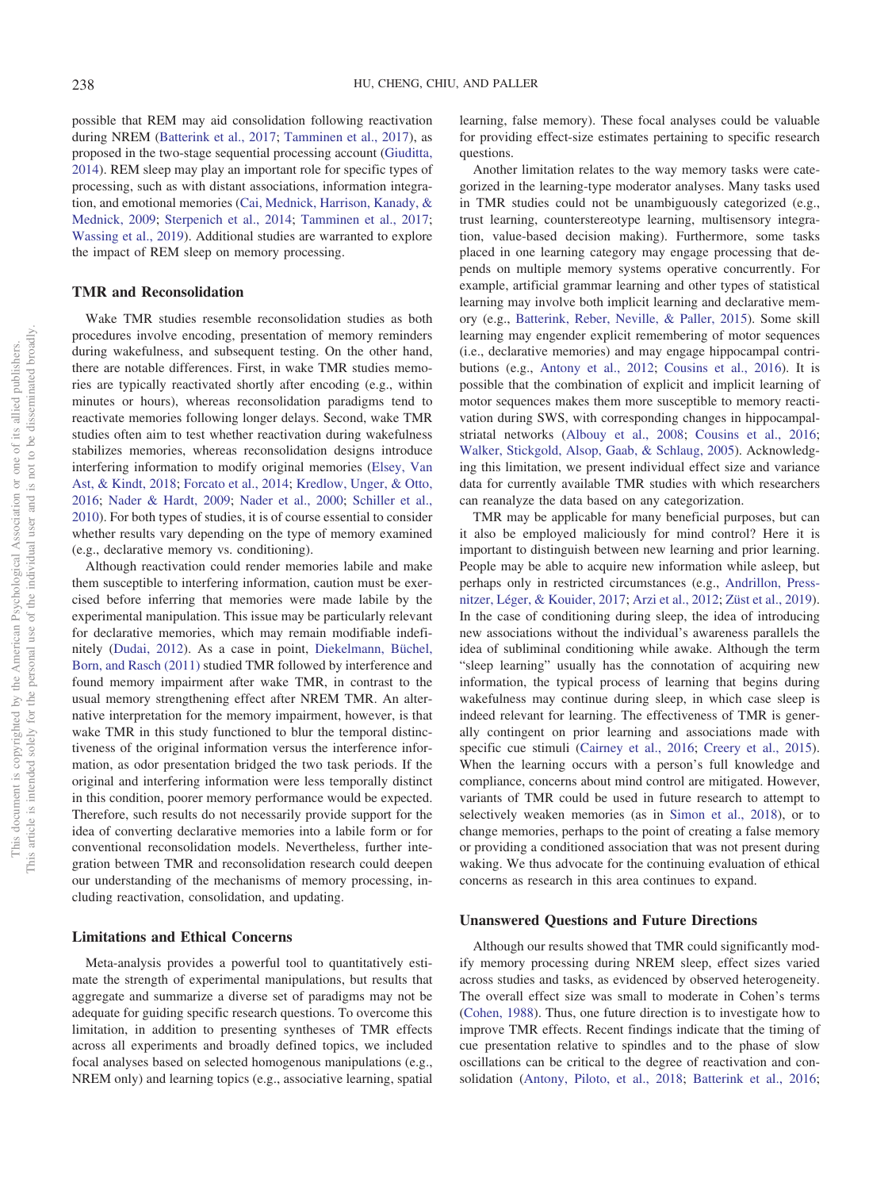possible that REM may aid consolidation following reactivation during NREM [\(Batterink et al., 2017;](#page-22-21) [Tamminen et al., 2017\)](#page-25-20), as proposed in the two-stage sequential processing account [\(Giuditta,](#page-23-31) [2014\)](#page-23-31). REM sleep may play an important role for specific types of processing, such as with distant associations, information integration, and emotional memories [\(Cai, Mednick, Harrison, Kanady, &](#page-22-31) [Mednick, 2009;](#page-22-31) [Sterpenich et al., 2014;](#page-25-13) [Tamminen et al., 2017;](#page-25-20) [Wassing et al., 2019\)](#page-26-16). Additional studies are warranted to explore the impact of REM sleep on memory processing.

# **TMR and Reconsolidation**

Wake TMR studies resemble reconsolidation studies as both procedures involve encoding, presentation of memory reminders during wakefulness, and subsequent testing. On the other hand, there are notable differences. First, in wake TMR studies memories are typically reactivated shortly after encoding (e.g., within minutes or hours), whereas reconsolidation paradigms tend to reactivate memories following longer delays. Second, wake TMR studies often aim to test whether reactivation during wakefulness stabilizes memories, whereas reconsolidation designs introduce interfering information to modify original memories [\(Elsey, Van](#page-23-32) [Ast, & Kindt, 2018;](#page-23-32) [Forcato et al., 2014;](#page-23-26) [Kredlow, Unger, & Otto,](#page-24-34) [2016;](#page-24-34) [Nader & Hardt, 2009;](#page-24-28) [Nader et al., 2000;](#page-24-29) [Schiller et al.,](#page-25-30) [2010\)](#page-25-30). For both types of studies, it is of course essential to consider whether results vary depending on the type of memory examined (e.g., declarative memory vs. conditioning).

Although reactivation could render memories labile and make them susceptible to interfering information, caution must be exercised before inferring that memories were made labile by the experimental manipulation. This issue may be particularly relevant for declarative memories, which may remain modifiable indefinitely [\(Dudai, 2012\)](#page-23-33). As a case in point, [Diekelmann, Büchel,](#page-22-14) [Born, and Rasch \(2011\)](#page-22-14) studied TMR followed by interference and found memory impairment after wake TMR, in contrast to the usual memory strengthening effect after NREM TMR. An alternative interpretation for the memory impairment, however, is that wake TMR in this study functioned to blur the temporal distinctiveness of the original information versus the interference information, as odor presentation bridged the two task periods. If the original and interfering information were less temporally distinct in this condition, poorer memory performance would be expected. Therefore, such results do not necessarily provide support for the idea of converting declarative memories into a labile form or for conventional reconsolidation models. Nevertheless, further integration between TMR and reconsolidation research could deepen our understanding of the mechanisms of memory processing, including reactivation, consolidation, and updating.

# **Limitations and Ethical Concerns**

Meta-analysis provides a powerful tool to quantitatively estimate the strength of experimental manipulations, but results that aggregate and summarize a diverse set of paradigms may not be adequate for guiding specific research questions. To overcome this limitation, in addition to presenting syntheses of TMR effects across all experiments and broadly defined topics, we included focal analyses based on selected homogenous manipulations (e.g., NREM only) and learning topics (e.g., associative learning, spatial

learning, false memory). These focal analyses could be valuable for providing effect-size estimates pertaining to specific research questions.

Another limitation relates to the way memory tasks were categorized in the learning-type moderator analyses. Many tasks used in TMR studies could not be unambiguously categorized (e.g., trust learning, counterstereotype learning, multisensory integration, value-based decision making). Furthermore, some tasks placed in one learning category may engage processing that depends on multiple memory systems operative concurrently. For example, artificial grammar learning and other types of statistical learning may involve both implicit learning and declarative memory (e.g., [Batterink, Reber, Neville, & Paller, 2015\)](#page-22-32). Some skill learning may engender explicit remembering of motor sequences (i.e., declarative memories) and may engage hippocampal contributions (e.g., [Antony et al., 2012;](#page-21-5) [Cousins et al., 2016\)](#page-22-19). It is possible that the combination of explicit and implicit learning of motor sequences makes them more susceptible to memory reactivation during SWS, with corresponding changes in hippocampalstriatal networks [\(Albouy et al., 2008;](#page-21-14) [Cousins et al., 2016;](#page-22-19) [Walker, Stickgold, Alsop, Gaab, & Schlaug, 2005\)](#page-26-17). Acknowledging this limitation, we present individual effect size and variance data for currently available TMR studies with which researchers can reanalyze the data based on any categorization.

TMR may be applicable for many beneficial purposes, but can it also be employed maliciously for mind control? Here it is important to distinguish between new learning and prior learning. People may be able to acquire new information while asleep, but perhaps only in restricted circumstances (e.g., [Andrillon, Press](#page-21-15)[nitzer, Léger, & Kouider, 2017;](#page-21-15) [Arzi et al., 2012;](#page-21-9) [Züst et al., 2019\)](#page-26-11). In the case of conditioning during sleep, the idea of introducing new associations without the individual's awareness parallels the idea of subliminal conditioning while awake. Although the term "sleep learning" usually has the connotation of acquiring new information, the typical process of learning that begins during wakefulness may continue during sleep, in which case sleep is indeed relevant for learning. The effectiveness of TMR is generally contingent on prior learning and associations made with specific cue stimuli [\(Cairney et al., 2016;](#page-22-9) [Creery et al., 2015\)](#page-22-10). When the learning occurs with a person's full knowledge and compliance, concerns about mind control are mitigated. However, variants of TMR could be used in future research to attempt to selectively weaken memories (as in [Simon et al., 2018\)](#page-25-23), or to change memories, perhaps to the point of creating a false memory or providing a conditioned association that was not present during waking. We thus advocate for the continuing evaluation of ethical concerns as research in this area continues to expand.

# **Unanswered Questions and Future Directions**

Although our results showed that TMR could significantly modify memory processing during NREM sleep, effect sizes varied across studies and tasks, as evidenced by observed heterogeneity. The overall effect size was small to moderate in Cohen's terms [\(Cohen, 1988\)](#page-22-33). Thus, one future direction is to investigate how to improve TMR effects. Recent findings indicate that the timing of cue presentation relative to spindles and to the phase of slow oscillations can be critical to the degree of reactivation and consolidation [\(Antony, Piloto, et al., 2018;](#page-21-2) [Batterink et al., 2016;](#page-21-13)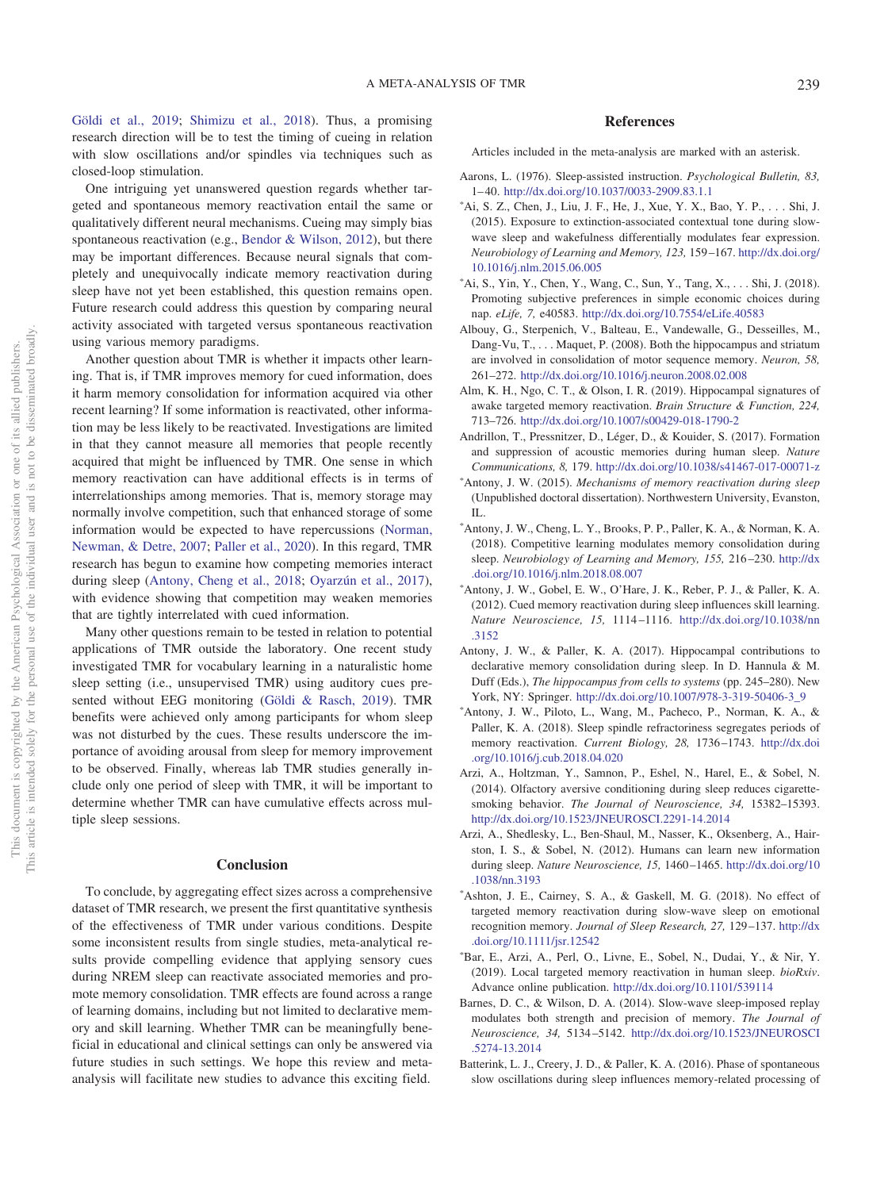[Göldi et al., 2019;](#page-23-18) [Shimizu et al., 2018\)](#page-25-22). Thus, a promising research direction will be to test the timing of cueing in relation with slow oscillations and/or spindles via techniques such as closed-loop stimulation.

One intriguing yet unanswered question regards whether targeted and spontaneous memory reactivation entail the same or qualitatively different neural mechanisms. Cueing may simply bias spontaneous reactivation (e.g., [Bendor & Wilson, 2012\)](#page-22-8), but there may be important differences. Because neural signals that completely and unequivocally indicate memory reactivation during sleep have not yet been established, this question remains open. Future research could address this question by comparing neural activity associated with targeted versus spontaneous reactivation using various memory paradigms.

Another question about TMR is whether it impacts other learning. That is, if TMR improves memory for cued information, does it harm memory consolidation for information acquired via other recent learning? If some information is reactivated, other information may be less likely to be reactivated. Investigations are limited in that they cannot measure all memories that people recently acquired that might be influenced by TMR. One sense in which memory reactivation can have additional effects is in terms of interrelationships among memories. That is, memory storage may normally involve competition, such that enhanced storage of some information would be expected to have repercussions [\(Norman,](#page-24-35) [Newman, & Detre, 2007;](#page-24-35) [Paller et al., 2020\)](#page-24-0). In this regard, TMR research has begun to examine how competing memories interact during sleep [\(Antony, Cheng et al., 2018;](#page-21-4) [Oyarzún et al., 2017\)](#page-24-14), with evidence showing that competition may weaken memories that are tightly interrelated with cued information.

Many other questions remain to be tested in relation to potential applications of TMR outside the laboratory. One recent study investigated TMR for vocabulary learning in a naturalistic home sleep setting (i.e., unsupervised TMR) using auditory cues presented without EEG monitoring [\(Göldi & Rasch, 2019\)](#page-23-17). TMR benefits were achieved only among participants for whom sleep was not disturbed by the cues. These results underscore the importance of avoiding arousal from sleep for memory improvement to be observed. Finally, whereas lab TMR studies generally include only one period of sleep with TMR, it will be important to determine whether TMR can have cumulative effects across multiple sleep sessions.

# **Conclusion**

To conclude, by aggregating effect sizes across a comprehensive dataset of TMR research, we present the first quantitative synthesis of the effectiveness of TMR under various conditions. Despite some inconsistent results from single studies, meta-analytical results provide compelling evidence that applying sensory cues during NREM sleep can reactivate associated memories and promote memory consolidation. TMR effects are found across a range of learning domains, including but not limited to declarative memory and skill learning. Whether TMR can be meaningfully beneficial in educational and clinical settings can only be answered via future studies in such settings. We hope this review and metaanalysis will facilitate new studies to advance this exciting field.

# **References**

Articles included in the meta-analysis are marked with an asterisk.

- <span id="page-21-0"></span>Aarons, L. (1976). Sleep-assisted instruction. *Psychological Bulletin, 83,* 1– 40. <http://dx.doi.org/10.1037/0033-2909.83.1.1>
- <span id="page-21-6"></span>- Ai, S. Z., Chen, J., Liu, J. F., He, J., Xue, Y. X., Bao, Y. P.,... Shi, J. (2015). Exposure to extinction-associated contextual tone during slowwave sleep and wakefulness differentially modulates fear expression. *Neurobiology of Learning and Memory, 123,* 159 –167. [http://dx.doi.org/](http://dx.doi.org/10.1016/j.nlm.2015.06.005) [10.1016/j.nlm.2015.06.005](http://dx.doi.org/10.1016/j.nlm.2015.06.005)
- <span id="page-21-1"></span>- Ai, S., Yin, Y., Chen, Y., Wang, C., Sun, Y., Tang, X.,... Shi, J. (2018). Promoting subjective preferences in simple economic choices during nap. *eLife, 7,* e40583. <http://dx.doi.org/10.7554/eLife.40583>
- <span id="page-21-14"></span>Albouy, G., Sterpenich, V., Balteau, E., Vandewalle, G., Desseilles, M., Dang-Vu, T., . . . Maquet, P. (2008). Both the hippocampus and striatum are involved in consolidation of motor sequence memory. *Neuron, 58,* 261–272. <http://dx.doi.org/10.1016/j.neuron.2008.02.008>
- <span id="page-21-11"></span>Alm, K. H., Ngo, C. T., & Olson, I. R. (2019). Hippocampal signatures of awake targeted memory reactivation. *Brain Structure & Function, 224,* 713–726. <http://dx.doi.org/10.1007/s00429-018-1790-2>
- <span id="page-21-15"></span>Andrillon, T., Pressnitzer, D., Léger, D., & Kouider, S. (2017). Formation and suppression of acoustic memories during human sleep. *Nature Communications, 8,* 179. <http://dx.doi.org/10.1038/s41467-017-00071-z>
- Antony, J. W. (2015). *Mechanisms of memory reactivation during sleep* (Unpublished doctoral dissertation). Northwestern University, Evanston, IL.
- <span id="page-21-4"></span>- Antony, J. W., Cheng, L. Y., Brooks, P. P., Paller, K. A., & Norman, K. A. (2018). Competitive learning modulates memory consolidation during sleep. *Neurobiology of Learning and Memory, 155,* 216 –230. [http://dx](http://dx.doi.org/10.1016/j.nlm.2018.08.007) [.doi.org/10.1016/j.nlm.2018.08.007](http://dx.doi.org/10.1016/j.nlm.2018.08.007)
- <span id="page-21-5"></span>- Antony, J. W., Gobel, E. W., O'Hare, J. K., Reber, P. J., & Paller, K. A. (2012). Cued memory reactivation during sleep influences skill learning. *Nature Neuroscience, 15,* 1114 –1116. [http://dx.doi.org/10.1038/nn](http://dx.doi.org/10.1038/nn.3152) [.3152](http://dx.doi.org/10.1038/nn.3152)
- <span id="page-21-3"></span>Antony, J. W., & Paller, K. A. (2017). Hippocampal contributions to declarative memory consolidation during sleep. In D. Hannula & M. Duff (Eds.), *The hippocampus from cells to systems* (pp. 245–280). New York, NY: Springer. [http://dx.doi.org/10.1007/978-3-319-50406-3\\_9](http://dx.doi.org/10.1007/978-3-319-50406-3_9)
- <span id="page-21-2"></span>- Antony, J. W., Piloto, L., Wang, M., Pacheco, P., Norman, K. A., & Paller, K. A. (2018). Sleep spindle refractoriness segregates periods of memory reactivation. *Current Biology, 28,* 1736 –1743. [http://dx.doi](http://dx.doi.org/10.1016/j.cub.2018.04.020) [.org/10.1016/j.cub.2018.04.020](http://dx.doi.org/10.1016/j.cub.2018.04.020)
- <span id="page-21-10"></span>Arzi, A., Holtzman, Y., Samnon, P., Eshel, N., Harel, E., & Sobel, N. (2014). Olfactory aversive conditioning during sleep reduces cigarettesmoking behavior. *The Journal of Neuroscience, 34,* 15382–15393. <http://dx.doi.org/10.1523/JNEUROSCI.2291-14.2014>
- <span id="page-21-9"></span>Arzi, A., Shedlesky, L., Ben-Shaul, M., Nasser, K., Oksenberg, A., Hairston, I. S., & Sobel, N. (2012). Humans can learn new information during sleep. *Nature Neuroscience, 15,* 1460 –1465. [http://dx.doi.org/10](http://dx.doi.org/10.1038/nn.3193) [.1038/nn.3193](http://dx.doi.org/10.1038/nn.3193)
- <span id="page-21-7"></span>\*Ashton, J. E., Cairney, S. A., & Gaskell, M. G. (2018). No effect of targeted memory reactivation during slow-wave sleep on emotional recognition memory. *Journal of Sleep Research, 27,* 129 –137. [http://dx](http://dx.doi.org/10.1111/jsr.12542) [.doi.org/10.1111/jsr.12542](http://dx.doi.org/10.1111/jsr.12542)
- <span id="page-21-8"></span>- Bar, E., Arzi, A., Perl, O., Livne, E., Sobel, N., Dudai, Y., & Nir, Y. (2019). Local targeted memory reactivation in human sleep. *bioRxiv*. Advance online publication. <http://dx.doi.org/10.1101/539114>
- <span id="page-21-12"></span>Barnes, D. C., & Wilson, D. A. (2014). Slow-wave sleep-imposed replay modulates both strength and precision of memory. *The Journal of Neuroscience, 34,* 5134 –5142. [http://dx.doi.org/10.1523/JNEUROSCI](http://dx.doi.org/10.1523/JNEUROSCI.5274-13.2014) [.5274-13.2014](http://dx.doi.org/10.1523/JNEUROSCI.5274-13.2014)
- <span id="page-21-13"></span>Batterink, L. J., Creery, J. D., & Paller, K. A. (2016). Phase of spontaneous slow oscillations during sleep influences memory-related processing of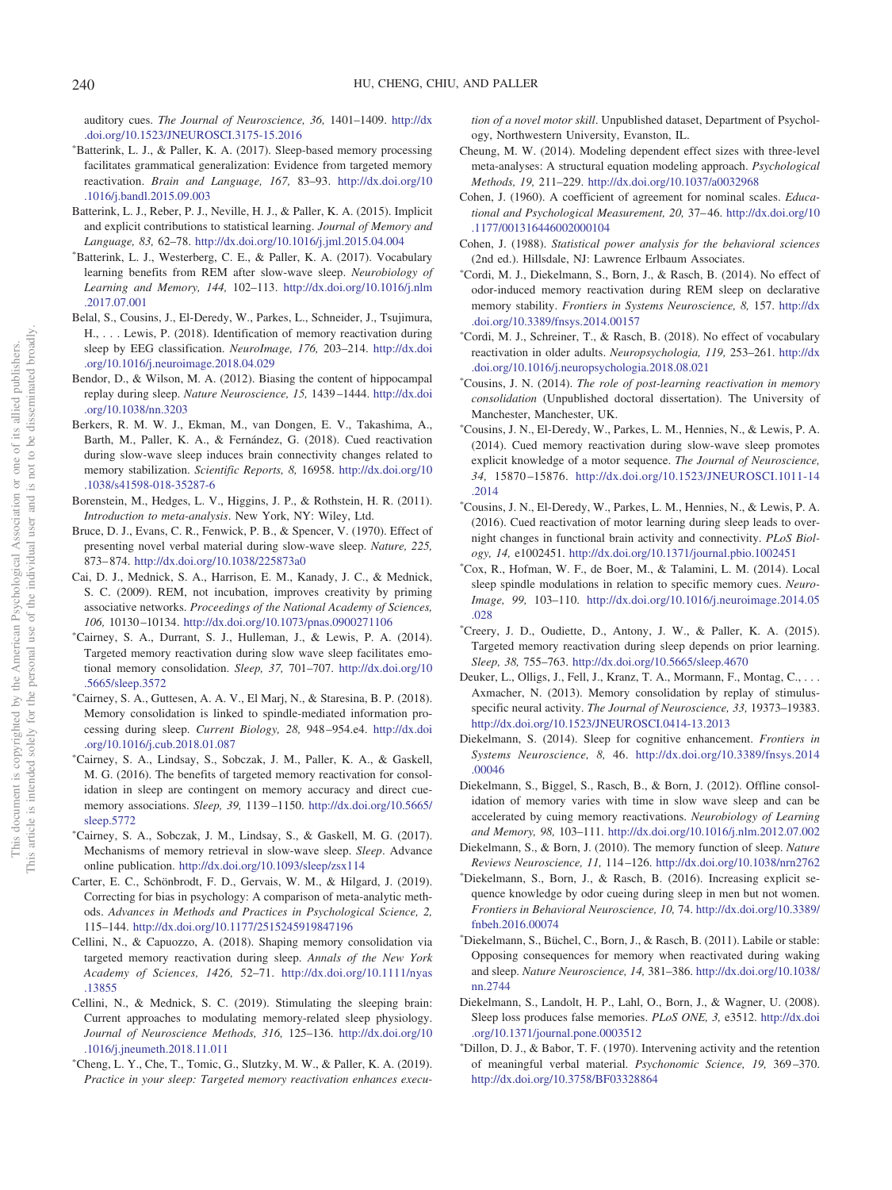auditory cues. *The Journal of Neuroscience, 36,* 1401–1409. [http://dx](http://dx.doi.org/10.1523/JNEUROSCI.3175-15.2016) [.doi.org/10.1523/JNEUROSCI.3175-15.2016](http://dx.doi.org/10.1523/JNEUROSCI.3175-15.2016)

- <span id="page-22-21"></span>- Batterink, L. J., & Paller, K. A. (2017). Sleep-based memory processing facilitates grammatical generalization: Evidence from targeted memory reactivation. *Brain and Language, 167,* 83–93. [http://dx.doi.org/10](http://dx.doi.org/10.1016/j.bandl.2015.09.003) [.1016/j.bandl.2015.09.003](http://dx.doi.org/10.1016/j.bandl.2015.09.003)
- <span id="page-22-32"></span>Batterink, L. J., Reber, P. J., Neville, H. J., & Paller, K. A. (2015). Implicit and explicit contributions to statistical learning. *Journal of Memory and Language, 83,* 62–78. <http://dx.doi.org/10.1016/j.jml.2015.04.004>
- Batterink, L. J., Westerberg, C. E., & Paller, K. A. (2017). Vocabulary learning benefits from REM after slow-wave sleep. *Neurobiology of Learning and Memory, 144,* 102–113. [http://dx.doi.org/10.1016/j.nlm](http://dx.doi.org/10.1016/j.nlm.2017.07.001) [.2017.07.001](http://dx.doi.org/10.1016/j.nlm.2017.07.001)
- <span id="page-22-4"></span>Belal, S., Cousins, J., El-Deredy, W., Parkes, L., Schneider, J., Tsujimura, H., . . . Lewis, P. (2018). Identification of memory reactivation during sleep by EEG classification. *NeuroImage, 176,* 203–214. [http://dx.doi](http://dx.doi.org/10.1016/j.neuroimage.2018.04.029) [.org/10.1016/j.neuroimage.2018.04.029](http://dx.doi.org/10.1016/j.neuroimage.2018.04.029)
- <span id="page-22-8"></span>Bendor, D., & Wilson, M. A. (2012). Biasing the content of hippocampal replay during sleep. *Nature Neuroscience, 15,* 1439 –1444. [http://dx.doi](http://dx.doi.org/10.1038/nn.3203) [.org/10.1038/nn.3203](http://dx.doi.org/10.1038/nn.3203)
- <span id="page-22-30"></span>Berkers, R. M. W. J., Ekman, M., van Dongen, E. V., Takashima, A., Barth, M., Paller, K. A., & Fernández, G. (2018). Cued reactivation during slow-wave sleep induces brain connectivity changes related to memory stabilization. *Scientific Reports, 8,* 16958. [http://dx.doi.org/10](http://dx.doi.org/10.1038/s41598-018-35287-6) [.1038/s41598-018-35287-6](http://dx.doi.org/10.1038/s41598-018-35287-6)
- <span id="page-22-12"></span>Borenstein, M., Hedges, L. V., Higgins, J. P., & Rothstein, H. R. (2011). *Introduction to meta-analysis*. New York, NY: Wiley, Ltd.
- <span id="page-22-3"></span>Bruce, D. J., Evans, C. R., Fenwick, P. B., & Spencer, V. (1970). Effect of presenting novel verbal material during slow-wave sleep. *Nature, 225,* 873– 874. <http://dx.doi.org/10.1038/225873a0>
- <span id="page-22-31"></span>Cai, D. J., Mednick, S. A., Harrison, E. M., Kanady, J. C., & Mednick, S. C. (2009). REM, not incubation, improves creativity by priming associative networks. *Proceedings of the National Academy of Sciences, 106,* 10130 –10134. <http://dx.doi.org/10.1073/pnas.0900271106>
- <span id="page-22-15"></span>- Cairney, S. A., Durrant, S. J., Hulleman, J., & Lewis, P. A. (2014). Targeted memory reactivation during slow wave sleep facilitates emotional memory consolidation. *Sleep, 37,* 701–707. [http://dx.doi.org/10](http://dx.doi.org/10.5665/sleep.3572) [.5665/sleep.3572](http://dx.doi.org/10.5665/sleep.3572)
- <span id="page-22-5"></span>- Cairney, S. A., Guttesen, A. A. V., El Marj, N., & Staresina, B. P. (2018). Memory consolidation is linked to spindle-mediated information processing during sleep. *Current Biology, 28,* 948 –954.e4. [http://dx.doi](http://dx.doi.org/10.1016/j.cub.2018.01.087) [.org/10.1016/j.cub.2018.01.087](http://dx.doi.org/10.1016/j.cub.2018.01.087)
- <span id="page-22-9"></span>- Cairney, S. A., Lindsay, S., Sobczak, J. M., Paller, K. A., & Gaskell, M. G. (2016). The benefits of targeted memory reactivation for consolidation in sleep are contingent on memory accuracy and direct cuememory associations. *Sleep, 39,* 1139 –1150. [http://dx.doi.org/10.5665/](http://dx.doi.org/10.5665/sleep.5772) [sleep.5772](http://dx.doi.org/10.5665/sleep.5772)
- <span id="page-22-22"></span>- Cairney, S. A., Sobczak, J. M., Lindsay, S., & Gaskell, M. G. (2017). Mechanisms of memory retrieval in slow-wave sleep. *Sleep*. Advance online publication. <http://dx.doi.org/10.1093/sleep/zsx114>
- <span id="page-22-27"></span>Carter, E. C., Schönbrodt, F. D., Gervais, W. M., & Hilgard, J. (2019). Correcting for bias in psychology: A comparison of meta-analytic methods. *Advances in Methods and Practices in Psychological Science, 2,* 115–144. <http://dx.doi.org/10.1177/2515245919847196>
- <span id="page-22-11"></span>Cellini, N., & Capuozzo, A. (2018). Shaping memory consolidation via targeted memory reactivation during sleep. *Annals of the New York Academy of Sciences, 1426,* 52–71. [http://dx.doi.org/10.1111/nyas](http://dx.doi.org/10.1111/nyas.13855) [.13855](http://dx.doi.org/10.1111/nyas.13855)
- <span id="page-22-6"></span>Cellini, N., & Mednick, S. C. (2019). Stimulating the sleeping brain: Current approaches to modulating memory-related sleep physiology. *Journal of Neuroscience Methods, 316,* 125–136. [http://dx.doi.org/10](http://dx.doi.org/10.1016/j.jneumeth.2018.11.011) [.1016/j.jneumeth.2018.11.011](http://dx.doi.org/10.1016/j.jneumeth.2018.11.011)
- <span id="page-22-24"></span>- Cheng, L. Y., Che, T., Tomic, G., Slutzky, M. W., & Paller, K. A. (2019). *Practice in your sleep: Targeted memory reactivation enhances execu-*

*tion of a novel motor skill*. Unpublished dataset, Department of Psychology, Northwestern University, Evanston, IL.

- <span id="page-22-28"></span>Cheung, M. W. (2014). Modeling dependent effect sizes with three-level meta-analyses: A structural equation modeling approach. *Psychological Methods, 19,* 211–229. <http://dx.doi.org/10.1037/a0032968>
- <span id="page-22-26"></span>Cohen, J. (1960). A coefficient of agreement for nominal scales. *Educational and Psychological Measurement, 20,* 37– 46. [http://dx.doi.org/10](http://dx.doi.org/10.1177/001316446002000104) [.1177/001316446002000104](http://dx.doi.org/10.1177/001316446002000104)
- <span id="page-22-33"></span>Cohen, J. (1988). *Statistical power analysis for the behavioral sciences* (2nd ed.). Hillsdale, NJ: Lawrence Erlbaum Associates.
- <span id="page-22-16"></span>- Cordi, M. J., Diekelmann, S., Born, J., & Rasch, B. (2014). No effect of odor-induced memory reactivation during REM sleep on declarative memory stability. *Frontiers in Systems Neuroscience, 8,* 157. [http://dx](http://dx.doi.org/10.3389/fnsys.2014.00157) [.doi.org/10.3389/fnsys.2014.00157](http://dx.doi.org/10.3389/fnsys.2014.00157)
- <span id="page-22-23"></span>- Cordi, M. J., Schreiner, T., & Rasch, B. (2018). No effect of vocabulary reactivation in older adults. *Neuropsychologia, 119,* 253–261. [http://dx](http://dx.doi.org/10.1016/j.neuropsychologia.2018.08.021) [.doi.org/10.1016/j.neuropsychologia.2018.08.021](http://dx.doi.org/10.1016/j.neuropsychologia.2018.08.021)
- <span id="page-22-25"></span>- Cousins, J. N. (2014). *The role of post-learning reactivation in memory consolidation* (Unpublished doctoral dissertation). The University of Manchester, Manchester, UK.
- <span id="page-22-17"></span>- Cousins, J. N., El-Deredy, W., Parkes, L. M., Hennies, N., & Lewis, P. A. (2014). Cued memory reactivation during slow-wave sleep promotes explicit knowledge of a motor sequence. *The Journal of Neuroscience, 34,* 15870 –15876. [http://dx.doi.org/10.1523/JNEUROSCI.1011-14](http://dx.doi.org/10.1523/JNEUROSCI.1011-14.2014) [.2014](http://dx.doi.org/10.1523/JNEUROSCI.1011-14.2014)
- <span id="page-22-19"></span>- Cousins, J. N., El-Deredy, W., Parkes, L. M., Hennies, N., & Lewis, P. A. (2016). Cued reactivation of motor learning during sleep leads to overnight changes in functional brain activity and connectivity. *PLoS Biology, 14,* e1002451. <http://dx.doi.org/10.1371/journal.pbio.1002451>
- <span id="page-22-18"></span>- Cox, R., Hofman, W. F., de Boer, M., & Talamini, L. M. (2014). Local sleep spindle modulations in relation to specific memory cues. *Neuro-Image, 99,* 103–110. [http://dx.doi.org/10.1016/j.neuroimage.2014.05](http://dx.doi.org/10.1016/j.neuroimage.2014.05.028) [.028](http://dx.doi.org/10.1016/j.neuroimage.2014.05.028)
- <span id="page-22-10"></span>- Creery, J. D., Oudiette, D., Antony, J. W., & Paller, K. A. (2015). Targeted memory reactivation during sleep depends on prior learning. *Sleep, 38,* 755–763. <http://dx.doi.org/10.5665/sleep.4670>
- <span id="page-22-2"></span>Deuker, L., Olligs, J., Fell, J., Kranz, T. A., Mormann, F., Montag, C., ... Axmacher, N. (2013). Memory consolidation by replay of stimulusspecific neural activity. *The Journal of Neuroscience, 33,* 19373–19383. <http://dx.doi.org/10.1523/JNEUROSCI.0414-13.2013>
- <span id="page-22-0"></span>Diekelmann, S. (2014). Sleep for cognitive enhancement. *Frontiers in Systems Neuroscience, 8,* 46. [http://dx.doi.org/10.3389/fnsys.2014](http://dx.doi.org/10.3389/fnsys.2014.00046) [.00046](http://dx.doi.org/10.3389/fnsys.2014.00046)
- <span id="page-22-7"></span>Diekelmann, S., Biggel, S., Rasch, B., & Born, J. (2012). Offline consolidation of memory varies with time in slow wave sleep and can be accelerated by cuing memory reactivations. *Neurobiology of Learning and Memory, 98,* 103–111. <http://dx.doi.org/10.1016/j.nlm.2012.07.002>
- <span id="page-22-1"></span>Diekelmann, S., & Born, J. (2010). The memory function of sleep. *Nature Reviews Neuroscience, 11,* 114 –126. <http://dx.doi.org/10.1038/nrn2762>
- <span id="page-22-20"></span>- Diekelmann, S., Born, J., & Rasch, B. (2016). Increasing explicit sequence knowledge by odor cueing during sleep in men but not women. *Frontiers in Behavioral Neuroscience, 10,* 74. [http://dx.doi.org/10.3389/](http://dx.doi.org/10.3389/fnbeh.2016.00074) [fnbeh.2016.00074](http://dx.doi.org/10.3389/fnbeh.2016.00074)
- <span id="page-22-14"></span>- Diekelmann, S., Büchel, C., Born, J., & Rasch, B. (2011). Labile or stable: Opposing consequences for memory when reactivated during waking and sleep. *Nature Neuroscience, 14,* 381–386. [http://dx.doi.org/10.1038/](http://dx.doi.org/10.1038/nn.2744) [nn.2744](http://dx.doi.org/10.1038/nn.2744)
- <span id="page-22-29"></span>Diekelmann, S., Landolt, H. P., Lahl, O., Born, J., & Wagner, U. (2008). Sleep loss produces false memories. *PLoS ONE, 3,* e3512. [http://dx.doi](http://dx.doi.org/10.1371/journal.pone.0003512) [.org/10.1371/journal.pone.0003512](http://dx.doi.org/10.1371/journal.pone.0003512)
- <span id="page-22-13"></span>- Dillon, D. J., & Babor, T. F. (1970). Intervening activity and the retention of meaningful verbal material. *Psychonomic Science, 19,* 369 –370. <http://dx.doi.org/10.3758/BF03328864>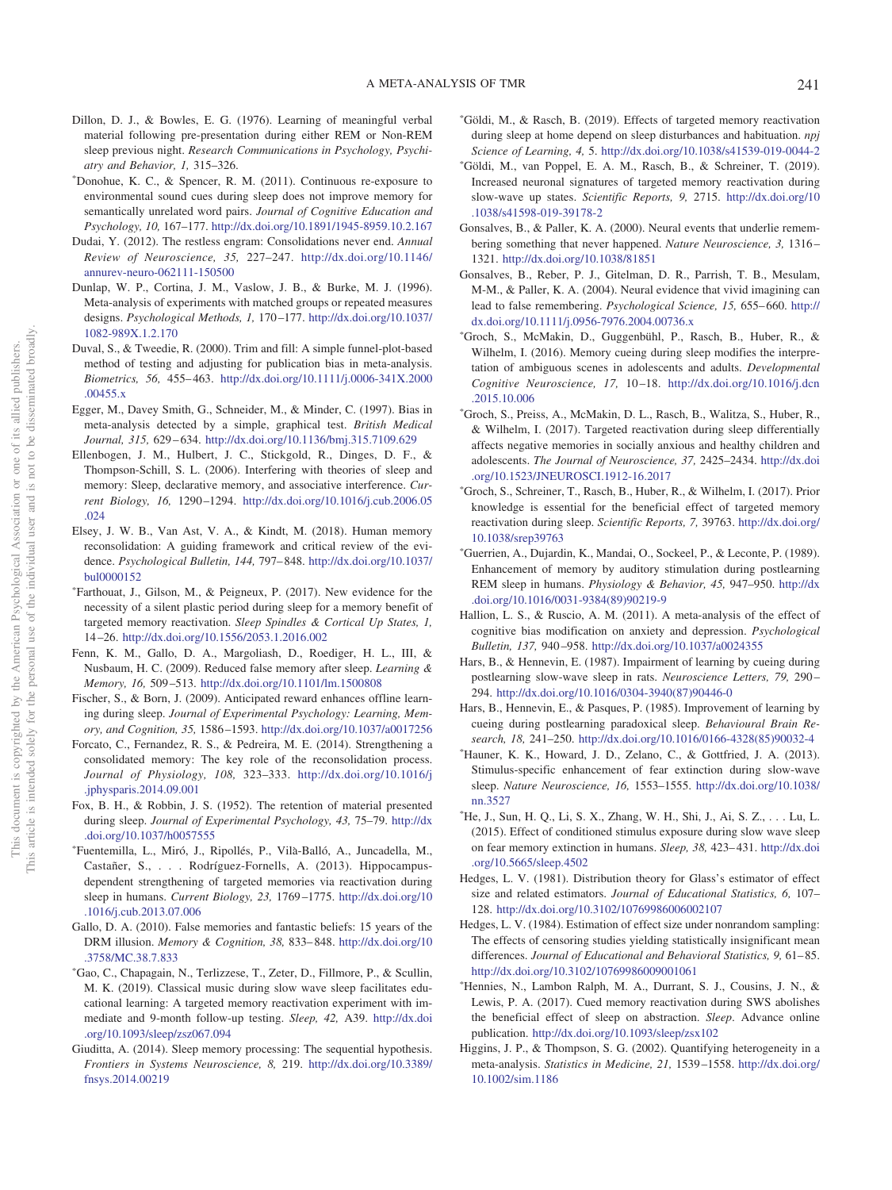- <span id="page-23-2"></span>Dillon, D. J., & Bowles, E. G. (1976). Learning of meaningful verbal material following pre-presentation during either REM or Non-REM sleep previous night. *Research Communications in Psychology, Psychiatry and Behavior, 1,* 315–326.
- <span id="page-23-12"></span>- Donohue, K. C., & Spencer, R. M. (2011). Continuous re-exposure to environmental sound cues during sleep does not improve memory for semantically unrelated word pairs. *Journal of Cognitive Education and Psychology, 10,* 167–177. <http://dx.doi.org/10.1891/1945-8959.10.2.167>
- <span id="page-23-33"></span>Dudai, Y. (2012). The restless engram: Consolidations never end. *Annual Review of Neuroscience, 35,* 227–247. [http://dx.doi.org/10.1146/](http://dx.doi.org/10.1146/annurev-neuro-062111-150500) [annurev-neuro-062111-150500](http://dx.doi.org/10.1146/annurev-neuro-062111-150500)
- <span id="page-23-20"></span>Dunlap, W. P., Cortina, J. M., Vaslow, J. B., & Burke, M. J. (1996). Meta-analysis of experiments with matched groups or repeated measures designs. *Psychological Methods, 1,* 170 –177. [http://dx.doi.org/10.1037/](http://dx.doi.org/10.1037/1082-989X.1.2.170) [1082-989X.1.2.170](http://dx.doi.org/10.1037/1082-989X.1.2.170)
- <span id="page-23-23"></span>Duval, S., & Tweedie, R. (2000). Trim and fill: A simple funnel-plot-based method of testing and adjusting for publication bias in meta-analysis. *Biometrics, 56,* 455– 463. [http://dx.doi.org/10.1111/j.0006-341X.2000](http://dx.doi.org/10.1111/j.0006-341X.2000.00455.x) [.00455.x](http://dx.doi.org/10.1111/j.0006-341X.2000.00455.x)
- <span id="page-23-22"></span>Egger, M., Davey Smith, G., Schneider, M., & Minder, C. (1997). Bias in meta-analysis detected by a simple, graphical test. *British Medical Journal, 315,* 629 – 634. <http://dx.doi.org/10.1136/bmj.315.7109.629>
- <span id="page-23-0"></span>Ellenbogen, J. M., Hulbert, J. C., Stickgold, R., Dinges, D. F., & Thompson-Schill, S. L. (2006). Interfering with theories of sleep and memory: Sleep, declarative memory, and associative interference. *Current Biology, 16,* 1290 –1294. [http://dx.doi.org/10.1016/j.cub.2006.05](http://dx.doi.org/10.1016/j.cub.2006.05.024) [.024](http://dx.doi.org/10.1016/j.cub.2006.05.024)
- <span id="page-23-32"></span>Elsey, J. W. B., Van Ast, V. A., & Kindt, M. (2018). Human memory reconsolidation: A guiding framework and critical review of the evidence. *Psychological Bulletin, 144,* 797– 848. [http://dx.doi.org/10.1037/](http://dx.doi.org/10.1037/bul0000152) [bul0000152](http://dx.doi.org/10.1037/bul0000152)
- <span id="page-23-7"></span>- Farthouat, J., Gilson, M., & Peigneux, P. (2017). New evidence for the necessity of a silent plastic period during sleep for a memory benefit of targeted memory reactivation. *Sleep Spindles & Cortical Up States, 1,* 14 –26. <http://dx.doi.org/10.1556/2053.1.2016.002>
- <span id="page-23-30"></span>Fenn, K. M., Gallo, D. A., Margoliash, D., Roediger, H. L., III, & Nusbaum, H. C. (2009). Reduced false memory after sleep. *Learning & Memory, 16,* 509 –513. <http://dx.doi.org/10.1101/lm.1500808>
- <span id="page-23-1"></span>Fischer, S., & Born, J. (2009). Anticipated reward enhances offline learning during sleep. *Journal of Experimental Psychology: Learning, Memory, and Cognition, 35,* 1586 –1593. <http://dx.doi.org/10.1037/a0017256>
- <span id="page-23-26"></span>Forcato, C., Fernandez, R. S., & Pedreira, M. E. (2014). Strengthening a consolidated memory: The key role of the reconsolidation process. *Journal of Physiology, 108,* 323–333. [http://dx.doi.org/10.1016/j](http://dx.doi.org/10.1016/j.jphysparis.2014.09.001) [.jphysparis.2014.09.001](http://dx.doi.org/10.1016/j.jphysparis.2014.09.001)
- <span id="page-23-3"></span>Fox, B. H., & Robbin, J. S. (1952). The retention of material presented during sleep. *Journal of Experimental Psychology, 43,* 75–79. [http://dx](http://dx.doi.org/10.1037/h0057555) [.doi.org/10.1037/h0057555](http://dx.doi.org/10.1037/h0057555)
- <span id="page-23-13"></span>- Fuentemilla, L., Miró, J., Ripollés, P., Vila`-Balló, A., Juncadella, M., Castañer, S.,... Rodríguez-Fornells, A. (2013). Hippocampusdependent strengthening of targeted memories via reactivation during sleep in humans. *Current Biology, 23,* 1769 –1775. [http://dx.doi.org/10](http://dx.doi.org/10.1016/j.cub.2013.07.006) [.1016/j.cub.2013.07.006](http://dx.doi.org/10.1016/j.cub.2013.07.006)
- <span id="page-23-27"></span>Gallo, D. A. (2010). False memories and fantastic beliefs: 15 years of the DRM illusion. *Memory & Cognition, 38,* 833– 848. [http://dx.doi.org/10](http://dx.doi.org/10.3758/MC.38.7.833) [.3758/MC.38.7.833](http://dx.doi.org/10.3758/MC.38.7.833)
- <span id="page-23-19"></span>- Gao, C., Chapagain, N., Terlizzese, T., Zeter, D., Fillmore, P., & Scullin, M. K. (2019). Classical music during slow wave sleep facilitates educational learning: A targeted memory reactivation experiment with immediate and 9-month follow-up testing. *Sleep, 42,* A39. [http://dx.doi](http://dx.doi.org/10.1093/sleep/zsz067.094) [.org/10.1093/sleep/zsz067.094](http://dx.doi.org/10.1093/sleep/zsz067.094)
- <span id="page-23-31"></span>Giuditta, A. (2014). Sleep memory processing: The sequential hypothesis. *Frontiers in Systems Neuroscience, 8,* 219. [http://dx.doi.org/10.3389/](http://dx.doi.org/10.3389/fnsys.2014.00219) [fnsys.2014.00219](http://dx.doi.org/10.3389/fnsys.2014.00219)
- <span id="page-23-17"></span>- Göldi, M., & Rasch, B. (2019). Effects of targeted memory reactivation during sleep at home depend on sleep disturbances and habituation. *npj Science of Learning, 4,* 5. <http://dx.doi.org/10.1038/s41539-019-0044-2>
- <span id="page-23-18"></span>- Göldi, M., van Poppel, E. A. M., Rasch, B., & Schreiner, T. (2019). Increased neuronal signatures of targeted memory reactivation during slow-wave up states. *Scientific Reports, 9,* 2715. [http://dx.doi.org/10](http://dx.doi.org/10.1038/s41598-019-39178-2) [.1038/s41598-019-39178-2](http://dx.doi.org/10.1038/s41598-019-39178-2)
- <span id="page-23-28"></span>Gonsalves, B., & Paller, K. A. (2000). Neural events that underlie remembering something that never happened. *Nature Neuroscience, 3,* 1316 – 1321. <http://dx.doi.org/10.1038/81851>
- <span id="page-23-29"></span>Gonsalves, B., Reber, P. J., Gitelman, D. R., Parrish, T. B., Mesulam, M-M., & Paller, K. A. (2004). Neural evidence that vivid imagining can lead to false remembering. *Psychological Science, 15,* 655– 660. [http://](http://dx.doi.org/10.1111/j.0956-7976.2004.00736.x) [dx.doi.org/10.1111/j.0956-7976.2004.00736.x](http://dx.doi.org/10.1111/j.0956-7976.2004.00736.x)
- <span id="page-23-9"></span>- Groch, S., McMakin, D., Guggenbühl, P., Rasch, B., Huber, R., & Wilhelm, I. (2016). Memory cueing during sleep modifies the interpretation of ambiguous scenes in adolescents and adults. *Developmental Cognitive Neuroscience, 17,* 10 –18. [http://dx.doi.org/10.1016/j.dcn](http://dx.doi.org/10.1016/j.dcn.2015.10.006) [.2015.10.006](http://dx.doi.org/10.1016/j.dcn.2015.10.006)
- <span id="page-23-10"></span>- Groch, S., Preiss, A., McMakin, D. L., Rasch, B., Walitza, S., Huber, R., & Wilhelm, I. (2017). Targeted reactivation during sleep differentially affects negative memories in socially anxious and healthy children and adolescents. *The Journal of Neuroscience, 37,* 2425–2434. [http://dx.doi](http://dx.doi.org/10.1523/JNEUROSCI.1912-16.2017) [.org/10.1523/JNEUROSCI.1912-16.2017](http://dx.doi.org/10.1523/JNEUROSCI.1912-16.2017)
- <span id="page-23-8"></span>- Groch, S., Schreiner, T., Rasch, B., Huber, R., & Wilhelm, I. (2017). Prior knowledge is essential for the beneficial effect of targeted memory reactivation during sleep. *Scientific Reports, 7,* 39763. [http://dx.doi.org/](http://dx.doi.org/10.1038/srep39763) [10.1038/srep39763](http://dx.doi.org/10.1038/srep39763)
- <span id="page-23-4"></span>- Guerrien, A., Dujardin, K., Mandai, O., Sockeel, P., & Leconte, P. (1989). Enhancement of memory by auditory stimulation during postlearning REM sleep in humans. *Physiology & Behavior, 45,* 947–950. [http://dx](http://dx.doi.org/10.1016/0031-9384%2889%2990219-9) [.doi.org/10.1016/0031-9384\(89\)90219-9](http://dx.doi.org/10.1016/0031-9384%2889%2990219-9)
- <span id="page-23-11"></span>Hallion, L. S., & Ruscio, A. M. (2011). A meta-analysis of the effect of cognitive bias modification on anxiety and depression. *Psychological Bulletin, 137,* 940 –958. <http://dx.doi.org/10.1037/a0024355>
- <span id="page-23-6"></span>Hars, B., & Hennevin, E. (1987). Impairment of learning by cueing during postlearning slow-wave sleep in rats. *Neuroscience Letters, 79,* 290 – 294. [http://dx.doi.org/10.1016/0304-3940\(87\)90446-0](http://dx.doi.org/10.1016/0304-3940%2887%2990446-0)
- <span id="page-23-5"></span>Hars, B., Hennevin, E., & Pasques, P. (1985). Improvement of learning by cueing during postlearning paradoxical sleep. *Behavioural Brain Research, 18,* 241–250. [http://dx.doi.org/10.1016/0166-4328\(85\)90032-4](http://dx.doi.org/10.1016/0166-4328%2885%2990032-4)
- <span id="page-23-14"></span>- Hauner, K. K., Howard, J. D., Zelano, C., & Gottfried, J. A. (2013). Stimulus-specific enhancement of fear extinction during slow-wave sleep. *Nature Neuroscience, 16,* 1553–1555. [http://dx.doi.org/10.1038/](http://dx.doi.org/10.1038/nn.3527) [nn.3527](http://dx.doi.org/10.1038/nn.3527)
- <span id="page-23-15"></span>- He, J., Sun, H. Q., Li, S. X., Zhang, W. H., Shi, J., Ai, S. Z., . . . Lu, L. (2015). Effect of conditioned stimulus exposure during slow wave sleep on fear memory extinction in humans. *Sleep, 38,* 423– 431. [http://dx.doi](http://dx.doi.org/10.5665/sleep.4502) [.org/10.5665/sleep.4502](http://dx.doi.org/10.5665/sleep.4502)
- <span id="page-23-21"></span>Hedges, L. V. (1981). Distribution theory for Glass's estimator of effect size and related estimators. *Journal of Educational Statistics, 6,* 107– 128. <http://dx.doi.org/10.3102/10769986006002107>
- <span id="page-23-24"></span>Hedges, L. V. (1984). Estimation of effect size under nonrandom sampling: The effects of censoring studies yielding statistically insignificant mean differences. *Journal of Educational and Behavioral Statistics*, 9, 61-85. <http://dx.doi.org/10.3102/10769986009001061>
- <span id="page-23-16"></span>- Hennies, N., Lambon Ralph, M. A., Durrant, S. J., Cousins, J. N., & Lewis, P. A. (2017). Cued memory reactivation during SWS abolishes the beneficial effect of sleep on abstraction. *Sleep*. Advance online publication. <http://dx.doi.org/10.1093/sleep/zsx102>
- <span id="page-23-25"></span>Higgins, J. P., & Thompson, S. G. (2002). Quantifying heterogeneity in a meta-analysis. *Statistics in Medicine, 21,* 1539 –1558. [http://dx.doi.org/](http://dx.doi.org/10.1002/sim.1186) [10.1002/sim.1186](http://dx.doi.org/10.1002/sim.1186)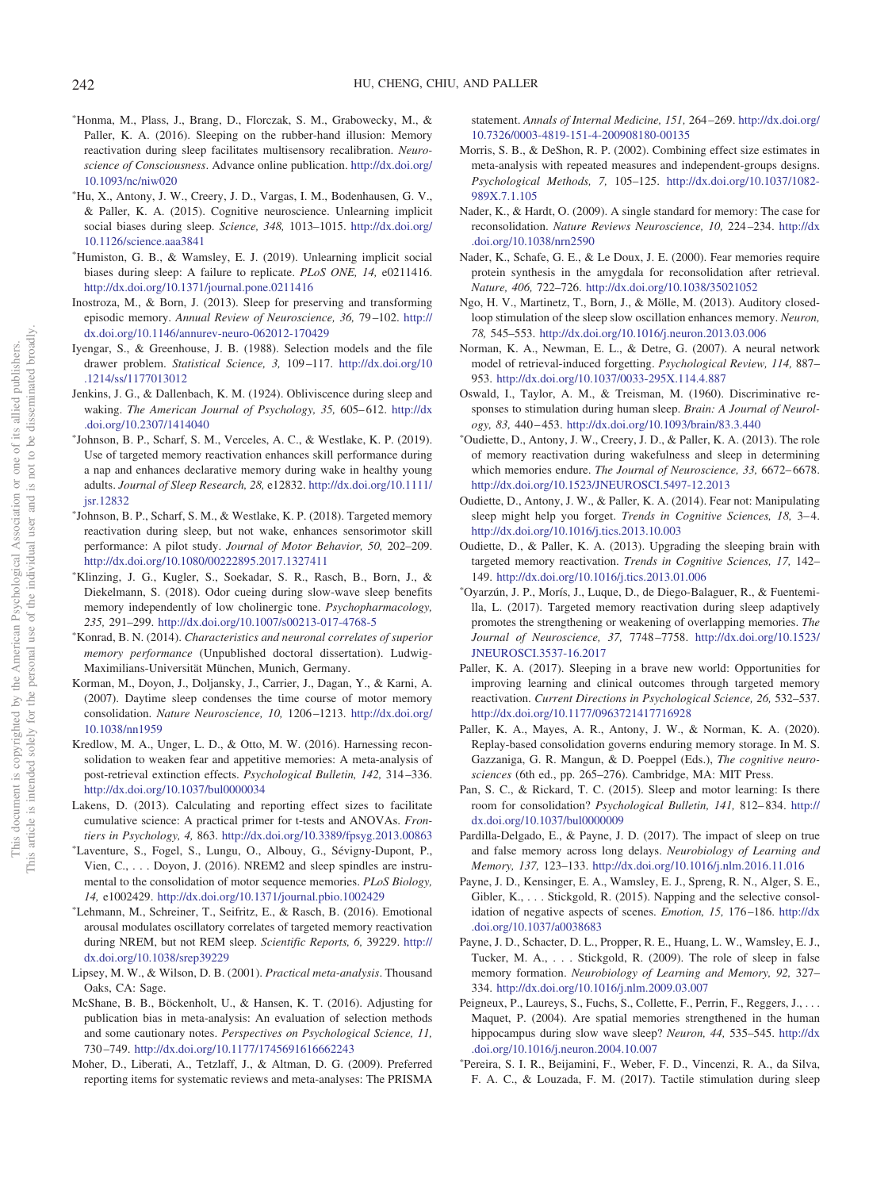- <span id="page-24-10"></span>-Honma, M., Plass, J., Brang, D., Florczak, S. M., Grabowecky, M., & Paller, K. A. (2016). Sleeping on the rubber-hand illusion: Memory reactivation during sleep facilitates multisensory recalibration. *Neuroscience of Consciousness*. Advance online publication. [http://dx.doi.org/](http://dx.doi.org/10.1093/nc/niw020) [10.1093/nc/niw020](http://dx.doi.org/10.1093/nc/niw020)
- <span id="page-24-11"></span>- Hu, X., Antony, J. W., Creery, J. D., Vargas, I. M., Bodenhausen, G. V., & Paller, K. A. (2015). Cognitive neuroscience. Unlearning implicit social biases during sleep. *Science, 348,* 1013–1015. [http://dx.doi.org/](http://dx.doi.org/10.1126/science.aaa3841) [10.1126/science.aaa3841](http://dx.doi.org/10.1126/science.aaa3841)
- <span id="page-24-20"></span>- Humiston, G. B., & Wamsley, E. J. (2019). Unlearning implicit social biases during sleep: A failure to replicate. *PLoS ONE, 14,* e0211416. <http://dx.doi.org/10.1371/journal.pone.0211416>
- <span id="page-24-3"></span>Inostroza, M., & Born, J. (2013). Sleep for preserving and transforming episodic memory. *Annual Review of Neuroscience, 36,* 79 –102. [http://](http://dx.doi.org/10.1146/annurev-neuro-062012-170429) [dx.doi.org/10.1146/annurev-neuro-062012-170429](http://dx.doi.org/10.1146/annurev-neuro-062012-170429)
- <span id="page-24-26"></span>Iyengar, S., & Greenhouse, J. B. (1988). Selection models and the file drawer problem. *Statistical Science, 3,* 109 –117. [http://dx.doi.org/10](http://dx.doi.org/10.1214/ss/1177013012) [.1214/ss/1177013012](http://dx.doi.org/10.1214/ss/1177013012)
- <span id="page-24-2"></span>Jenkins, J. G., & Dallenbach, K. M. (1924). Obliviscence during sleep and waking. *The American Journal of Psychology, 35, 605-612*. [http://dx](http://dx.doi.org/10.2307/1414040) [.doi.org/10.2307/1414040](http://dx.doi.org/10.2307/1414040)
- <span id="page-24-21"></span>- Johnson, B. P., Scharf, S. M., Verceles, A. C., & Westlake, K. P. (2019). Use of targeted memory reactivation enhances skill performance during a nap and enhances declarative memory during wake in healthy young adults. *Journal of Sleep Research, 28,* e12832. [http://dx.doi.org/10.1111/](http://dx.doi.org/10.1111/jsr.12832) [jsr.12832](http://dx.doi.org/10.1111/jsr.12832)
- <span id="page-24-18"></span>- Johnson, B. P., Scharf, S. M., & Westlake, K. P. (2018). Targeted memory reactivation during sleep, but not wake, enhances sensorimotor skill performance: A pilot study. *Journal of Motor Behavior, 50,* 202–209. <http://dx.doi.org/10.1080/00222895.2017.1327411>
- <span id="page-24-19"></span>- Klinzing, J. G., Kugler, S., Soekadar, S. R., Rasch, B., Born, J., & Diekelmann, S. (2018). Odor cueing during slow-wave sleep benefits memory independently of low cholinergic tone. *Psychopharmacology, 235,* 291–299. <http://dx.doi.org/10.1007/s00213-017-4768-5>
- <span id="page-24-22"></span>- Konrad, B. N. (2014). *Characteristics and neuronal correlates of superior memory performance* (Unpublished doctoral dissertation). Ludwig-Maximilians-Universität München, Munich, Germany.
- <span id="page-24-30"></span>Korman, M., Doyon, J., Doljansky, J., Carrier, J., Dagan, Y., & Karni, A. (2007). Daytime sleep condenses the time course of motor memory consolidation. *Nature Neuroscience, 10,* 1206 –1213. [http://dx.doi.org/](http://dx.doi.org/10.1038/nn1959) [10.1038/nn1959](http://dx.doi.org/10.1038/nn1959)
- <span id="page-24-34"></span>Kredlow, M. A., Unger, L. D., & Otto, M. W. (2016). Harnessing reconsolidation to weaken fear and appetitive memories: A meta-analysis of post-retrieval extinction effects. *Psychological Bulletin, 142,* 314 –336. <http://dx.doi.org/10.1037/bul0000034>
- <span id="page-24-24"></span>Lakens, D. (2013). Calculating and reporting effect sizes to facilitate cumulative science: A practical primer for t-tests and ANOVAs. *Frontiers in Psychology, 4,* 863. <http://dx.doi.org/10.3389/fpsyg.2013.00863>
- <span id="page-24-13"></span>- Laventure, S., Fogel, S., Lungu, O., Albouy, G., Sévigny-Dupont, P., Vien, C.,... Doyon, J. (2016). NREM2 and sleep spindles are instrumental to the consolidation of motor sequence memories. *PLoS Biology, 14,* e1002429. <http://dx.doi.org/10.1371/journal.pbio.1002429>
- <span id="page-24-12"></span>- Lehmann, M., Schreiner, T., Seifritz, E., & Rasch, B. (2016). Emotional arousal modulates oscillatory correlates of targeted memory reactivation during NREM, but not REM sleep. *Scientific Reports, 6,* 39229. [http://](http://dx.doi.org/10.1038/srep39229) [dx.doi.org/10.1038/srep39229](http://dx.doi.org/10.1038/srep39229)
- <span id="page-24-15"></span>Lipsey, M. W., & Wilson, D. B. (2001). *Practical meta-analysis*. Thousand Oaks, CA: Sage.
- <span id="page-24-27"></span>McShane, B. B., Böckenholt, U., & Hansen, K. T. (2016). Adjusting for publication bias in meta-analysis: An evaluation of selection methods and some cautionary notes. *Perspectives on Psychological Science, 11,* 730 –749. <http://dx.doi.org/10.1177/1745691616662243>
- <span id="page-24-23"></span>Moher, D., Liberati, A., Tetzlaff, J., & Altman, D. G. (2009). Preferred reporting items for systematic reviews and meta-analyses: The PRISMA

statement. *Annals of Internal Medicine, 151,* 264 –269. [http://dx.doi.org/](http://dx.doi.org/10.7326/0003-4819-151-4-200908180-00135) [10.7326/0003-4819-151-4-200908180-00135](http://dx.doi.org/10.7326/0003-4819-151-4-200908180-00135)

- <span id="page-24-25"></span>Morris, S. B., & DeShon, R. P. (2002). Combining effect size estimates in meta-analysis with repeated measures and independent-groups designs. *Psychological Methods, 7,* 105–125. [http://dx.doi.org/10.1037/1082-](http://dx.doi.org/10.1037/1082-989X.7.1.105) [989X.7.1.105](http://dx.doi.org/10.1037/1082-989X.7.1.105)
- <span id="page-24-28"></span>Nader, K., & Hardt, O. (2009). A single standard for memory: The case for reconsolidation. *Nature Reviews Neuroscience, 10,* 224 –234. [http://dx](http://dx.doi.org/10.1038/nrn2590) [.doi.org/10.1038/nrn2590](http://dx.doi.org/10.1038/nrn2590)
- <span id="page-24-29"></span>Nader, K., Schafe, G. E., & Le Doux, J. E. (2000). Fear memories require protein synthesis in the amygdala for reconsolidation after retrieval. *Nature, 406,* 722–726. <http://dx.doi.org/10.1038/35021052>
- <span id="page-24-8"></span>Ngo, H. V., Martinetz, T., Born, J., & Mölle, M. (2013). Auditory closedloop stimulation of the sleep slow oscillation enhances memory. *Neuron, 78,* 545–553. <http://dx.doi.org/10.1016/j.neuron.2013.03.006>
- <span id="page-24-35"></span>Norman, K. A., Newman, E. L., & Detre, G. (2007). A neural network model of retrieval-induced forgetting. *Psychological Review, 114,* 887– 953. <http://dx.doi.org/10.1037/0033-295X.114.4.887>
- <span id="page-24-7"></span>Oswald, I., Taylor, A. M., & Treisman, M. (1960). Discriminative responses to stimulation during human sleep. *Brain: A Journal of Neurology, 83,* 440 – 453. <http://dx.doi.org/10.1093/brain/83.3.440>
- <span id="page-24-16"></span>- Oudiette, D., Antony, J. W., Creery, J. D., & Paller, K. A. (2013). The role of memory reactivation during wakefulness and sleep in determining which memories endure. *The Journal of Neuroscience, 33,* 6672– 6678. <http://dx.doi.org/10.1523/JNEUROSCI.5497-12.2013>
- <span id="page-24-9"></span>Oudiette, D., Antony, J. W., & Paller, K. A. (2014). Fear not: Manipulating sleep might help you forget. *Trends in Cognitive Sciences*, 18, 3–4. <http://dx.doi.org/10.1016/j.tics.2013.10.003>
- <span id="page-24-6"></span>Oudiette, D., & Paller, K. A. (2013). Upgrading the sleeping brain with targeted memory reactivation. *Trends in Cognitive Sciences, 17,* 142– 149. <http://dx.doi.org/10.1016/j.tics.2013.01.006>
- <span id="page-24-14"></span>- Oyarzún, J. P., Morís, J., Luque, D., de Diego-Balaguer, R., & Fuentemilla, L. (2017). Targeted memory reactivation during sleep adaptively promotes the strengthening or weakening of overlapping memories. *The Journal of Neuroscience, 37,* 7748 –7758. [http://dx.doi.org/10.1523/](http://dx.doi.org/10.1523/JNEUROSCI.3537-16.2017) [JNEUROSCI.3537-16.2017](http://dx.doi.org/10.1523/JNEUROSCI.3537-16.2017)
- <span id="page-24-1"></span>Paller, K. A. (2017). Sleeping in a brave new world: Opportunities for improving learning and clinical outcomes through targeted memory reactivation. *Current Directions in Psychological Science, 26,* 532–537. <http://dx.doi.org/10.1177/0963721417716928>
- <span id="page-24-0"></span>Paller, K. A., Mayes, A. R., Antony, J. W., & Norman, K. A. (2020). Replay-based consolidation governs enduring memory storage. In M. S. Gazzaniga, G. R. Mangun, & D. Poeppel (Eds.), *The cognitive neurosciences* (6th ed., pp. 265–276). Cambridge, MA: MIT Press.
- <span id="page-24-33"></span>Pan, S. C., & Rickard, T. C. (2015). Sleep and motor learning: Is there room for consolidation? *Psychological Bulletin, 141,* 812– 834. [http://](http://dx.doi.org/10.1037/bul0000009) [dx.doi.org/10.1037/bul0000009](http://dx.doi.org/10.1037/bul0000009)
- <span id="page-24-31"></span>Pardilla-Delgado, E., & Payne, J. D. (2017). The impact of sleep on true and false memory across long delays. *Neurobiology of Learning and Memory, 137,* 123–133. <http://dx.doi.org/10.1016/j.nlm.2016.11.016>
- <span id="page-24-4"></span>Payne, J. D., Kensinger, E. A., Wamsley, E. J., Spreng, R. N., Alger, S. E., Gibler, K., ... Stickgold, R. (2015). Napping and the selective consolidation of negative aspects of scenes. *Emotion, 15,* 176 –186. [http://dx](http://dx.doi.org/10.1037/a0038683) [.doi.org/10.1037/a0038683](http://dx.doi.org/10.1037/a0038683)
- <span id="page-24-32"></span>Payne, J. D., Schacter, D. L., Propper, R. E., Huang, L. W., Wamsley, E. J., Tucker, M. A.,... Stickgold, R. (2009). The role of sleep in false memory formation. *Neurobiology of Learning and Memory, 92,* 327– 334. <http://dx.doi.org/10.1016/j.nlm.2009.03.007>
- <span id="page-24-5"></span>Peigneux, P., Laureys, S., Fuchs, S., Collette, F., Perrin, F., Reggers, J.,... Maquet, P. (2004). Are spatial memories strengthened in the human hippocampus during slow wave sleep? *Neuron, 44,* 535–545. [http://dx](http://dx.doi.org/10.1016/j.neuron.2004.10.007) [.doi.org/10.1016/j.neuron.2004.10.007](http://dx.doi.org/10.1016/j.neuron.2004.10.007)
- <span id="page-24-17"></span>- Pereira, S. I. R., Beijamini, F., Weber, F. D., Vincenzi, R. A., da Silva, F. A. C., & Louzada, F. M. (2017). Tactile stimulation during sleep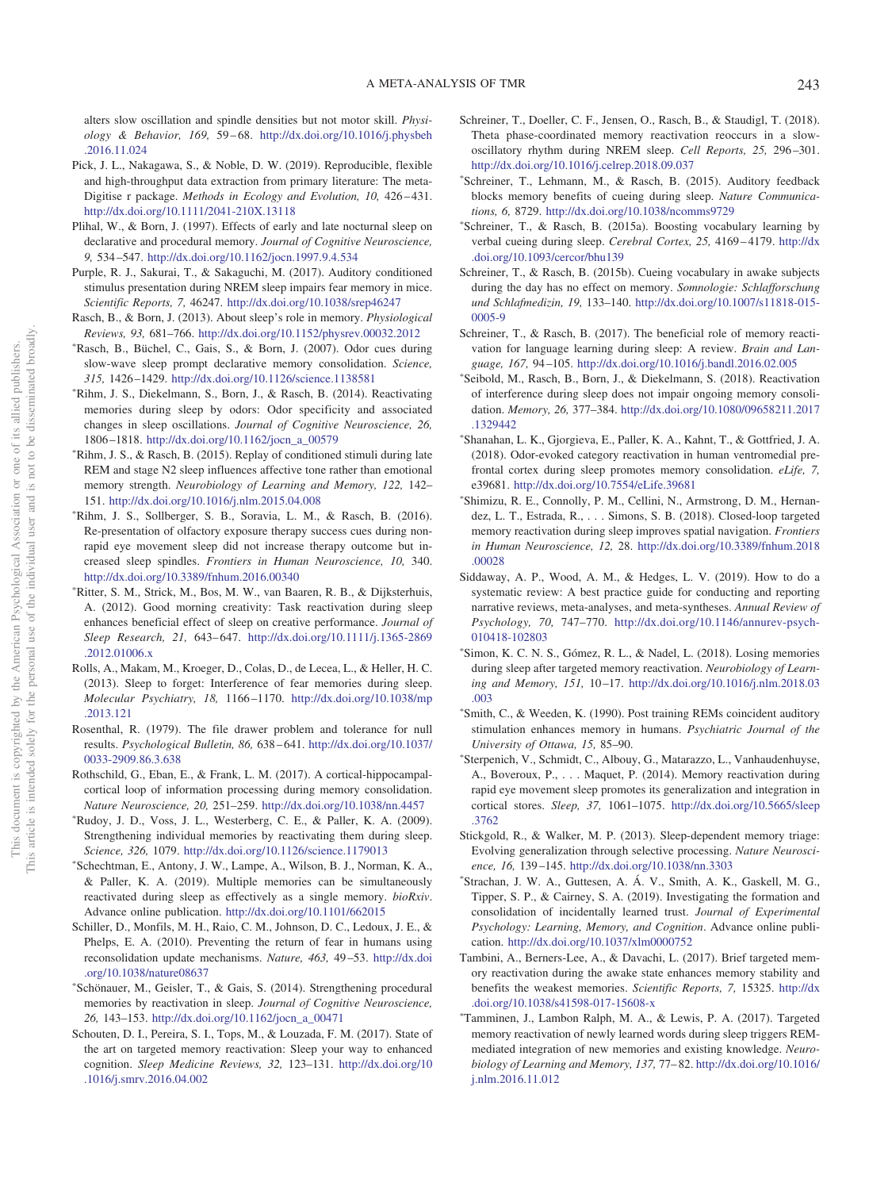alters slow oscillation and spindle densities but not motor skill. *Physiology & Behavior, 169,* 59 – 68. [http://dx.doi.org/10.1016/j.physbeh](http://dx.doi.org/10.1016/j.physbeh.2016.11.024) [.2016.11.024](http://dx.doi.org/10.1016/j.physbeh.2016.11.024)

- <span id="page-25-28"></span>Pick, J. L., Nakagawa, S., & Noble, D. W. (2019). Reproducible, flexible and high-throughput data extraction from primary literature: The meta-Digitise r package. *Methods in Ecology and Evolution, 10,* 426 – 431. <http://dx.doi.org/10.1111/2041-210X.13118>
- <span id="page-25-31"></span>Plihal, W., & Born, J. (1997). Effects of early and late nocturnal sleep on declarative and procedural memory. *Journal of Cognitive Neuroscience, 9,* 534 –547. <http://dx.doi.org/10.1162/jocn.1997.9.4.534>
- <span id="page-25-10"></span>Purple, R. J., Sakurai, T., & Sakaguchi, M. (2017). Auditory conditioned stimulus presentation during NREM sleep impairs fear memory in mice. *Scientific Reports, 7,* 46247. <http://dx.doi.org/10.1038/srep46247>
- <span id="page-25-0"></span>Rasch, B., & Born, J. (2013). About sleep's role in memory. *Physiological Reviews, 93,* 681–766. <http://dx.doi.org/10.1152/physrev.00032.2012>
- <span id="page-25-3"></span>- Rasch, B., Büchel, C., Gais, S., & Born, J. (2007). Odor cues during slow-wave sleep prompt declarative memory consolidation. *Science, 315,* 1426 –1429. <http://dx.doi.org/10.1126/science.1138581>
- <span id="page-25-17"></span>- Rihm, J. S., Diekelmann, S., Born, J., & Rasch, B. (2014). Reactivating memories during sleep by odors: Odor specificity and associated changes in sleep oscillations. *Journal of Cognitive Neuroscience, 26,* 1806 –1818. [http://dx.doi.org/10.1162/jocn\\_a\\_00579](http://dx.doi.org/10.1162/jocn_a_00579)
- <span id="page-25-18"></span>- Rihm, J. S., & Rasch, B. (2015). Replay of conditioned stimuli during late REM and stage N2 sleep influences affective tone rather than emotional memory strength. *Neurobiology of Learning and Memory, 122,* 142– 151. <http://dx.doi.org/10.1016/j.nlm.2015.04.008>
- <span id="page-25-9"></span>- Rihm, J. S., Sollberger, S. B., Soravia, L. M., & Rasch, B. (2016). Re-presentation of olfactory exposure therapy success cues during nonrapid eye movement sleep did not increase therapy outcome but increased sleep spindles. *Frontiers in Human Neuroscience, 10,* 340. <http://dx.doi.org/10.3389/fnhum.2016.00340>
- <span id="page-25-16"></span>- Ritter, S. M., Strick, M., Bos, M. W., van Baaren, R. B., & Dijksterhuis, A. (2012). Good morning creativity: Task reactivation during sleep enhances beneficial effect of sleep on creative performance. *Journal of Sleep Research, 21,* 643– 647. [http://dx.doi.org/10.1111/j.1365-2869](http://dx.doi.org/10.1111/j.1365-2869.2012.01006.x) [.2012.01006.x](http://dx.doi.org/10.1111/j.1365-2869.2012.01006.x)
- <span id="page-25-11"></span>Rolls, A., Makam, M., Kroeger, D., Colas, D., de Lecea, L., & Heller, H. C. (2013). Sleep to forget: Interference of fear memories during sleep. *Molecular Psychiatry, 18,* 1166 –1170. [http://dx.doi.org/10.1038/mp](http://dx.doi.org/10.1038/mp.2013.121) [.2013.121](http://dx.doi.org/10.1038/mp.2013.121)
- <span id="page-25-32"></span>Rosenthal, R. (1979). The file drawer problem and tolerance for null results. *Psychological Bulletin, 86,* 638 – 641. [http://dx.doi.org/10.1037/](http://dx.doi.org/10.1037/0033-2909.86.3.638) [0033-2909.86.3.638](http://dx.doi.org/10.1037/0033-2909.86.3.638)
- <span id="page-25-12"></span>Rothschild, G., Eban, E., & Frank, L. M. (2017). A cortical-hippocampalcortical loop of information processing during memory consolidation. *Nature Neuroscience, 20,* 251–259. <http://dx.doi.org/10.1038/nn.4457>
- <span id="page-25-4"></span>- Rudoy, J. D., Voss, J. L., Westerberg, C. E., & Paller, K. A. (2009). Strengthening individual memories by reactivating them during sleep. *Science, 326,* 1079. <http://dx.doi.org/10.1126/science.1179013>
- <span id="page-25-25"></span>- Schechtman, E., Antony, J. W., Lampe, A., Wilson, B. J., Norman, K. A., & Paller, K. A. (2019). Multiple memories can be simultaneously reactivated during sleep as effectively as a single memory. *bioRxiv*. Advance online publication. <http://dx.doi.org/10.1101/662015>
- <span id="page-25-30"></span>Schiller, D., Monfils, M. H., Raio, C. M., Johnson, D. C., Ledoux, J. E., & Phelps, E. A. (2010). Preventing the return of fear in humans using reconsolidation update mechanisms. *Nature, 463,* 49 –53. [http://dx.doi](http://dx.doi.org/10.1038/nature08637) [.org/10.1038/nature08637](http://dx.doi.org/10.1038/nature08637)
- <span id="page-25-8"></span>- Schönauer, M., Geisler, T., & Gais, S. (2014). Strengthening procedural memories by reactivation in sleep. *Journal of Cognitive Neuroscience, 26,* 143–153. [http://dx.doi.org/10.1162/jocn\\_a\\_00471](http://dx.doi.org/10.1162/jocn_a_00471)
- <span id="page-25-14"></span>Schouten, D. I., Pereira, S. I., Tops, M., & Louzada, F. M. (2017). State of the art on targeted memory reactivation: Sleep your way to enhanced cognition. *Sleep Medicine Reviews, 32,* 123–131. [http://dx.doi.org/10](http://dx.doi.org/10.1016/j.smrv.2016.04.002) [.1016/j.smrv.2016.04.002](http://dx.doi.org/10.1016/j.smrv.2016.04.002)
- <span id="page-25-5"></span>Schreiner, T., Doeller, C. F., Jensen, O., Rasch, B., & Staudigl, T. (2018). Theta phase-coordinated memory reactivation reoccurs in a slowoscillatory rhythm during NREM sleep. *Cell Reports, 25,* 296 –301. <http://dx.doi.org/10.1016/j.celrep.2018.09.037>
- <span id="page-25-6"></span>- Schreiner, T., Lehmann, M., & Rasch, B. (2015). Auditory feedback blocks memory benefits of cueing during sleep. *Nature Communications, 6,* 8729. <http://dx.doi.org/10.1038/ncomms9729>
- <span id="page-25-19"></span>- Schreiner, T., & Rasch, B. (2015a). Boosting vocabulary learning by verbal cueing during sleep. *Cerebral Cortex*, 25, 4169-4179. [http://dx](http://dx.doi.org/10.1093/cercor/bhu139) [.doi.org/10.1093/cercor/bhu139](http://dx.doi.org/10.1093/cercor/bhu139)
- <span id="page-25-26"></span>Schreiner, T., & Rasch, B. (2015b). Cueing vocabulary in awake subjects during the day has no effect on memory. *Somnologie: Schlafforschung und Schlafmedizin, 19,* 133–140. [http://dx.doi.org/10.1007/s11818-015-](http://dx.doi.org/10.1007/s11818-015-0005-9) [0005-9](http://dx.doi.org/10.1007/s11818-015-0005-9)
- <span id="page-25-29"></span>Schreiner, T., & Rasch, B. (2017). The beneficial role of memory reactivation for language learning during sleep: A review. *Brain and Language, 167,* 94 –105. <http://dx.doi.org/10.1016/j.bandl.2016.02.005>
- <span id="page-25-21"></span>- Seibold, M., Rasch, B., Born, J., & Diekelmann, S. (2018). Reactivation of interference during sleep does not impair ongoing memory consolidation. *Memory, 26,* 377–384. [http://dx.doi.org/10.1080/09658211.2017](http://dx.doi.org/10.1080/09658211.2017.1329442) [.1329442](http://dx.doi.org/10.1080/09658211.2017.1329442)
- <span id="page-25-7"></span>- Shanahan, L. K., Gjorgieva, E., Paller, K. A., Kahnt, T., & Gottfried, J. A. (2018). Odor-evoked category reactivation in human ventromedial prefrontal cortex during sleep promotes memory consolidation. *eLife, 7,* e39681. <http://dx.doi.org/10.7554/eLife.39681>
- <span id="page-25-22"></span>- Shimizu, R. E., Connolly, P. M., Cellini, N., Armstrong, D. M., Hernandez, L. T., Estrada, R.,... Simons, S. B. (2018). Closed-loop targeted memory reactivation during sleep improves spatial navigation. *Frontiers in Human Neuroscience, 12,* 28. [http://dx.doi.org/10.3389/fnhum.2018](http://dx.doi.org/10.3389/fnhum.2018.00028) [.00028](http://dx.doi.org/10.3389/fnhum.2018.00028)
- <span id="page-25-15"></span>Siddaway, A. P., Wood, A. M., & Hedges, L. V. (2019). How to do a systematic review: A best practice guide for conducting and reporting narrative reviews, meta-analyses, and meta-syntheses. *Annual Review of Psychology, 70,* 747–770. [http://dx.doi.org/10.1146/annurev-psych-](http://dx.doi.org/10.1146/annurev-psych-010418-102803)[010418-102803](http://dx.doi.org/10.1146/annurev-psych-010418-102803)
- <span id="page-25-23"></span>- Simon, K. C. N. S., Gómez, R. L., & Nadel, L. (2018). Losing memories during sleep after targeted memory reactivation. *Neurobiology of Learning and Memory, 151,* 10 –17. [http://dx.doi.org/10.1016/j.nlm.2018.03](http://dx.doi.org/10.1016/j.nlm.2018.03.003) [.003](http://dx.doi.org/10.1016/j.nlm.2018.03.003)
- <span id="page-25-2"></span>- Smith, C., & Weeden, K. (1990). Post training REMs coincident auditory stimulation enhances memory in humans. *Psychiatric Journal of the University of Ottawa, 15,* 85–90.
- <span id="page-25-13"></span>- Sterpenich, V., Schmidt, C., Albouy, G., Matarazzo, L., Vanhaudenhuyse, A., Boveroux, P.,... Maquet, P. (2014). Memory reactivation during rapid eye movement sleep promotes its generalization and integration in cortical stores. *Sleep, 37,* 1061–1075. [http://dx.doi.org/10.5665/sleep](http://dx.doi.org/10.5665/sleep.3762) [.3762](http://dx.doi.org/10.5665/sleep.3762)
- <span id="page-25-1"></span>Stickgold, R., & Walker, M. P. (2013). Sleep-dependent memory triage: Evolving generalization through selective processing. *Nature Neuroscience, 16,* 139 –145. <http://dx.doi.org/10.1038/nn.3303>
- <span id="page-25-24"></span>- Strachan, J. W. A., Guttesen, A. Á. V., Smith, A. K., Gaskell, M. G., Tipper, S. P., & Cairney, S. A. (2019). Investigating the formation and consolidation of incidentally learned trust. *Journal of Experimental Psychology: Learning, Memory, and Cognition*. Advance online publication. <http://dx.doi.org/10.1037/xlm0000752>
- <span id="page-25-27"></span>Tambini, A., Berners-Lee, A., & Davachi, L. (2017). Brief targeted memory reactivation during the awake state enhances memory stability and benefits the weakest memories. *Scientific Reports, 7,* 15325. [http://dx](http://dx.doi.org/10.1038/s41598-017-15608-x) [.doi.org/10.1038/s41598-017-15608-x](http://dx.doi.org/10.1038/s41598-017-15608-x)
- <span id="page-25-20"></span>- Tamminen, J., Lambon Ralph, M. A., & Lewis, P. A. (2017). Targeted memory reactivation of newly learned words during sleep triggers REMmediated integration of new memories and existing knowledge. *Neurobiology of Learning and Memory, 137,* 77– 82. [http://dx.doi.org/10.1016/](http://dx.doi.org/10.1016/j.nlm.2016.11.012) [j.nlm.2016.11.012](http://dx.doi.org/10.1016/j.nlm.2016.11.012)